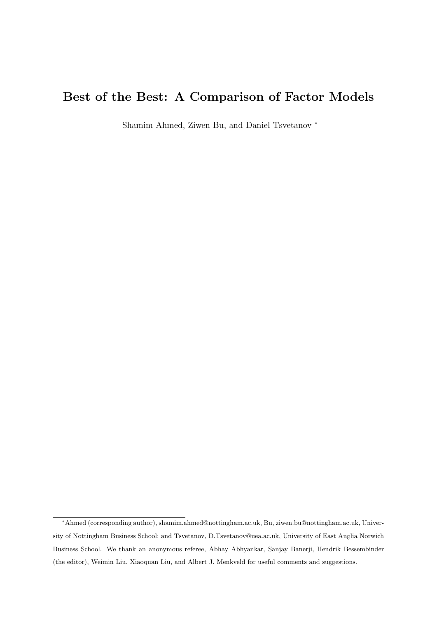# Best of the Best: A Comparison of Factor Models

Shamim Ahmed, Ziwen Bu, and Daniel Tsvetanov <sup>∗</sup>

<sup>∗</sup>Ahmed (corresponding author), shamim.ahmed@nottingham.ac.uk, Bu, ziwen.bu@nottingham.ac.uk, University of Nottingham Business School; and Tsvetanov, D.Tsvetanov@uea.ac.uk, University of East Anglia Norwich Business School. We thank an anonymous referee, Abhay Abhyankar, Sanjay Banerji, Hendrik Bessembinder (the editor), Weimin Liu, Xiaoquan Liu, and Albert J. Menkveld for useful comments and suggestions.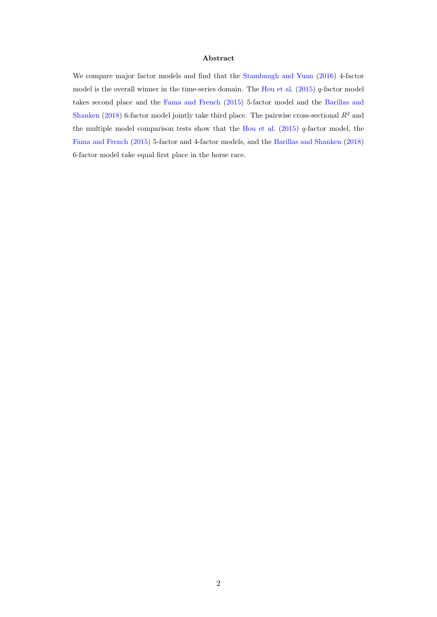#### Abstract

We compare major factor models and find that the [Stambaugh and Yuan](#page-38-0) [\(2016\)](#page-38-0) 4-factor model is the overall winner in the time-series domain. The [Hou et al.](#page-36-0)  $(2015)$  q-factor model takes second place and the [Fama and French](#page-35-0) [\(2015\)](#page-35-0) 5-factor model and the [Barillas and](#page-34-0) [Shanken](#page-34-0) [\(2018\)](#page-34-0) 6-factor model jointly take third place. The pairwise cross-sectional  $R^2$  and the multiple model comparison tests show that the [Hou et al.](#page-36-0) [\(2015\)](#page-36-0) q-factor model, the [Fama and French](#page-35-0) [\(2015\)](#page-35-0) 5-factor and 4-factor models, and the [Barillas and Shanken](#page-34-0) [\(2018\)](#page-34-0) 6-factor model take equal first place in the horse race.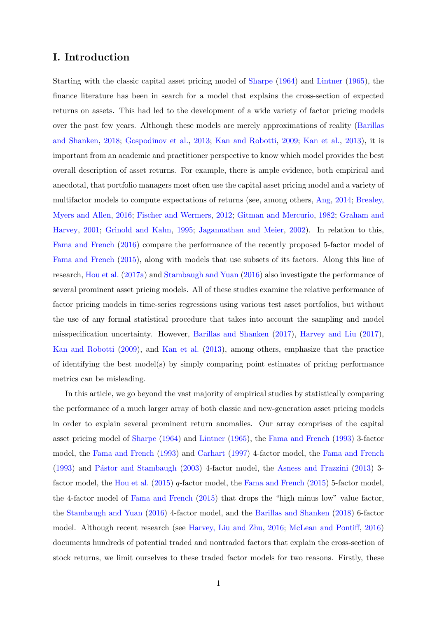## I. Introduction

Starting with the classic capital asset pricing model of [Sharpe](#page-38-1) [\(1964\)](#page-38-1) and [Lintner](#page-37-0) [\(1965\)](#page-37-0), the finance literature has been in search for a model that explains the cross-section of expected returns on assets. This had led to the development of a wide variety of factor pricing models over the past few years. Although these models are merely approximations of reality [\(Barillas](#page-34-0) [and Shanken,](#page-34-0) [2018;](#page-34-0) [Gospodinov et al.,](#page-36-1) [2013;](#page-36-1) [Kan and Robotti,](#page-37-1) [2009;](#page-37-1) [Kan et al.,](#page-37-2) [2013\)](#page-37-2), it is important from an academic and practitioner perspective to know which model provides the best overall description of asset returns. For example, there is ample evidence, both empirical and anecdotal, that portfolio managers most often use the capital asset pricing model and a variety of multifactor models to compute expectations of returns (see, among others, [Ang,](#page-34-1) [2014;](#page-34-1) [Brealey,](#page-34-2) [Myers and Allen,](#page-34-2) [2016;](#page-34-2) [Fischer and Wermers,](#page-35-1) [2012;](#page-35-1) [Gitman and Mercurio,](#page-36-2) [1982;](#page-36-2) [Graham and](#page-36-3) [Harvey,](#page-36-3) [2001;](#page-36-3) [Grinold and Kahn,](#page-36-4) [1995;](#page-36-4) [Jagannathan and Meier,](#page-37-3) [2002\)](#page-37-3). In relation to this, [Fama and French](#page-35-2) [\(2016\)](#page-35-2) compare the performance of the recently proposed 5-factor model of [Fama and French](#page-35-0) [\(2015\)](#page-35-0), along with models that use subsets of its factors. Along this line of research, [Hou et al.](#page-37-4) [\(2017a\)](#page-37-4) and [Stambaugh and Yuan](#page-38-0) [\(2016\)](#page-38-0) also investigate the performance of several prominent asset pricing models. All of these studies examine the relative performance of factor pricing models in time-series regressions using various test asset portfolios, but without the use of any formal statistical procedure that takes into account the sampling and model misspecification uncertainty. However, [Barillas and Shanken](#page-34-3) [\(2017\)](#page-34-3), [Harvey and Liu](#page-36-5) [\(2017\)](#page-36-5), [Kan and Robotti](#page-37-1) [\(2009\)](#page-37-1), and [Kan et al.](#page-37-2) [\(2013\)](#page-37-2), among others, emphasize that the practice of identifying the best model(s) by simply comparing point estimates of pricing performance metrics can be misleading.

In this article, we go beyond the vast majority of empirical studies by statistically comparing the performance of a much larger array of both classic and new-generation asset pricing models in order to explain several prominent return anomalies. Our array comprises of the capital asset pricing model of [Sharpe](#page-38-1) [\(1964\)](#page-38-1) and [Lintner](#page-37-0) [\(1965\)](#page-37-0), the [Fama and French](#page-35-3) [\(1993\)](#page-35-3) 3-factor model, the [Fama and French](#page-35-3) [\(1993\)](#page-35-3) and [Carhart](#page-34-4) [\(1997\)](#page-34-4) 4-factor model, the [Fama and French](#page-35-3) [\(1993\)](#page-35-3) and Pástor and Stambaugh [\(2003\)](#page-38-2) 4-factor model, the [Asness and Frazzini](#page-34-5) [\(2013\)](#page-34-5) 3-factor model, the [Hou et al.](#page-36-0) [\(2015\)](#page-35-0) q-factor model, the [Fama and French](#page-35-0) (2015) 5-factor model, the 4-factor model of [Fama and French](#page-35-0) [\(2015\)](#page-35-0) that drops the "high minus low" value factor, the [Stambaugh and Yuan](#page-38-0) [\(2016\)](#page-38-0) 4-factor model, and the [Barillas and Shanken](#page-34-0) [\(2018\)](#page-34-0) 6-factor model. Although recent research (see [Harvey, Liu and Zhu,](#page-36-6) [2016;](#page-36-6) [McLean and Pontiff,](#page-38-3) [2016\)](#page-38-3) documents hundreds of potential traded and nontraded factors that explain the cross-section of stock returns, we limit ourselves to these traded factor models for two reasons. Firstly, these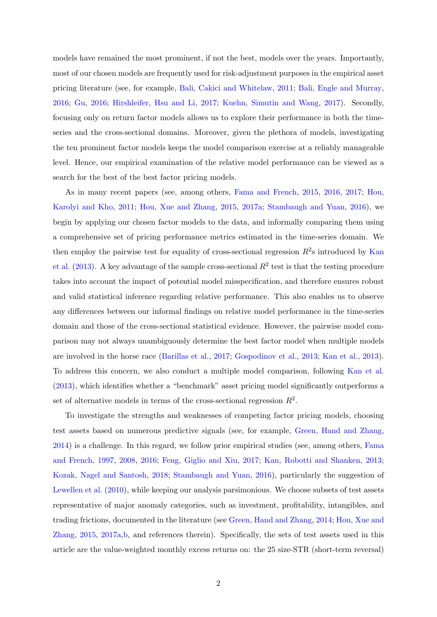models have remained the most prominent, if not the best, models over the years. Importantly, most of our chosen models are frequently used for risk-adjustment purposes in the empirical asset pricing literature (see, for example, [Bali, Cakici and Whitelaw,](#page-34-6) [2011;](#page-34-6) [Bali, Engle and Murray,](#page-34-7) [2016;](#page-34-7) [Gu,](#page-36-7) [2016;](#page-36-7) [Hirshleifer, Hsu and Li,](#page-36-8) [2017;](#page-36-8) [Kuehn, Simutin and Wang,](#page-37-5) [2017\)](#page-37-5). Secondly, focusing only on return factor models allows us to explore their performance in both the timeseries and the cross-sectional domains. Moreover, given the plethora of models, investigating the ten prominent factor models keeps the model comparison exercise at a reliably manageable level. Hence, our empirical examination of the relative model performance can be viewed as a search for the best of the best factor pricing models.

As in many recent papers (see, among others, [Fama and French,](#page-35-0) [2015,](#page-35-0) [2016,](#page-35-2) [2017;](#page-35-4) [Hou,](#page-36-9) [Karolyi and Kho,](#page-36-9) [2011;](#page-36-9) [Hou, Xue and Zhang,](#page-36-0) [2015,](#page-36-0) [2017a;](#page-37-4) [Stambaugh and Yuan,](#page-38-0) [2016\)](#page-38-0), we begin by applying our chosen factor models to the data, and informally comparing them using a comprehensive set of pricing performance metrics estimated in the time-series domain. We then employ the pairwise test for equality of cross-sectional regression  $R^2$ s introduced by [Kan](#page-37-2) [et al.](#page-37-2)  $(2013)$ . A key advantage of the sample cross-sectional  $R^2$  test is that the testing procedure takes into account the impact of potential model misspecification, and therefore ensures robust and valid statistical inference regarding relative performance. This also enables us to observe any differences between our informal findings on relative model performance in the time-series domain and those of the cross-sectional statistical evidence. However, the pairwise model comparison may not always unambiguously determine the best factor model when multiple models are involved in the horse race [\(Barillas et al.,](#page-34-8) [2017;](#page-34-8) [Gospodinov et al.,](#page-36-1) [2013;](#page-36-1) [Kan et al.,](#page-37-2) [2013\)](#page-37-2). To address this concern, we also conduct a multiple model comparison, following [Kan et al.](#page-37-2) [\(2013\)](#page-37-2), which identifies whether a "benchmark" asset pricing model significantly outperforms a set of alternative models in terms of the cross-sectional regression  $R^2$ .

To investigate the strengths and weaknesses of competing factor pricing models, choosing test assets based on numerous predictive signals (see, for example, [Green, Hand and Zhang,](#page-36-10) [2014\)](#page-36-10) is a challenge. In this regard, we follow prior empirical studies (see, among others, [Fama](#page-35-5) [and French,](#page-35-5) [1997,](#page-35-5) [2008,](#page-35-6) [2016;](#page-35-2) [Feng, Giglio and Xiu,](#page-35-7) [2017;](#page-35-7) [Kan, Robotti and Shanken,](#page-37-2) [2013;](#page-37-2) [Kozak, Nagel and Santosh,](#page-37-6) [2018;](#page-37-6) [Stambaugh and Yuan,](#page-38-0) [2016\)](#page-38-0), particularly the suggestion of [Lewellen et al.](#page-37-7) [\(2010\)](#page-37-7), while keeping our analysis parsimonious. We choose subsets of test assets representative of major anomaly categories, such as investment, profitability, intangibles, and trading frictions, documented in the literature (see [Green, Hand and Zhang,](#page-36-10) [2014;](#page-36-10) [Hou, Xue and](#page-36-0) [Zhang,](#page-36-0) [2015,](#page-36-0) [2017a,](#page-37-4)[b,](#page-37-8) and references therein). Specifically, the sets of test assets used in this article are the value-weighted monthly excess returns on: the 25 size-STR (short-term reversal)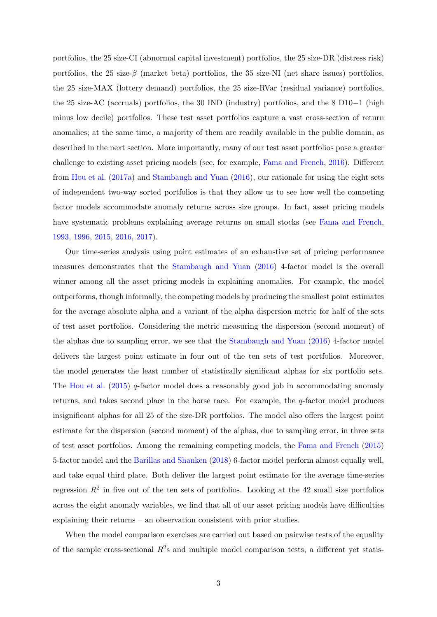portfolios, the 25 size-CI (abnormal capital investment) portfolios, the 25 size-DR (distress risk) portfolios, the 25 size- $\beta$  (market beta) portfolios, the 35 size-NI (net share issues) portfolios, the 25 size-MAX (lottery demand) portfolios, the 25 size-RVar (residual variance) portfolios, the 25 size-AC (accruals) portfolios, the 30 IND (industry) portfolios, and the 8 D10 $-1$  (high minus low decile) portfolios. These test asset portfolios capture a vast cross-section of return anomalies; at the same time, a majority of them are readily available in the public domain, as described in the next section. More importantly, many of our test asset portfolios pose a greater challenge to existing asset pricing models (see, for example, [Fama and French,](#page-35-2) [2016\)](#page-35-2). Different from [Hou et al.](#page-37-4) [\(2017a\)](#page-37-4) and [Stambaugh and Yuan](#page-38-0) [\(2016\)](#page-38-0), our rationale for using the eight sets of independent two-way sorted portfolios is that they allow us to see how well the competing factor models accommodate anomaly returns across size groups. In fact, asset pricing models have systematic problems explaining average returns on small stocks (see [Fama and French,](#page-35-3) [1993,](#page-35-3) [1996,](#page-35-8) [2015,](#page-35-0) [2016,](#page-35-2) [2017\)](#page-35-4).

Our time-series analysis using point estimates of an exhaustive set of pricing performance measures demonstrates that the [Stambaugh and Yuan](#page-38-0) [\(2016\)](#page-38-0) 4-factor model is the overall winner among all the asset pricing models in explaining anomalies. For example, the model outperforms, though informally, the competing models by producing the smallest point estimates for the average absolute alpha and a variant of the alpha dispersion metric for half of the sets of test asset portfolios. Considering the metric measuring the dispersion (second moment) of the alphas due to sampling error, we see that the [Stambaugh and Yuan](#page-38-0) [\(2016\)](#page-38-0) 4-factor model delivers the largest point estimate in four out of the ten sets of test portfolios. Moreover, the model generates the least number of statistically significant alphas for six portfolio sets. The [Hou et al.](#page-36-0) [\(2015\)](#page-36-0)  $q$ -factor model does a reasonably good job in accommodating anomaly returns, and takes second place in the horse race. For example, the q-factor model produces insignificant alphas for all 25 of the size-DR portfolios. The model also offers the largest point estimate for the dispersion (second moment) of the alphas, due to sampling error, in three sets of test asset portfolios. Among the remaining competing models, the [Fama and French](#page-35-0) [\(2015\)](#page-35-0) 5-factor model and the [Barillas and Shanken](#page-34-0) [\(2018\)](#page-34-0) 6-factor model perform almost equally well, and take equal third place. Both deliver the largest point estimate for the average time-series regression  $R^2$  in five out of the ten sets of portfolios. Looking at the 42 small size portfolios across the eight anomaly variables, we find that all of our asset pricing models have difficulties explaining their returns – an observation consistent with prior studies.

When the model comparison exercises are carried out based on pairwise tests of the equality of the sample cross-sectional  $R^2$ s and multiple model comparison tests, a different yet statis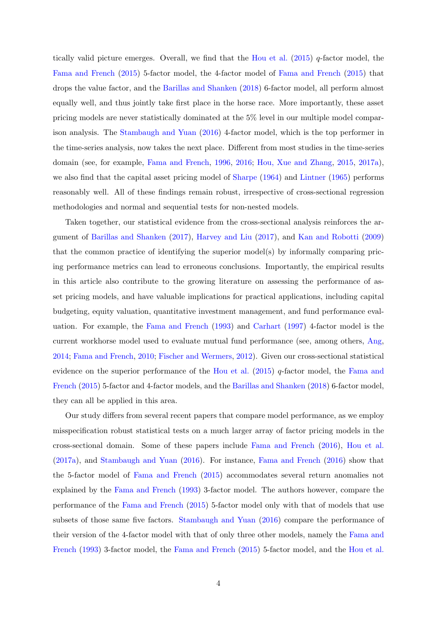tically valid picture emerges. Overall, we find that the [Hou et al.](#page-36-0)  $(2015)$  q-factor model, the [Fama and French](#page-35-0) [\(2015\)](#page-35-0) 5-factor model, the 4-factor model of [Fama and French](#page-35-0) [\(2015\)](#page-35-0) that drops the value factor, and the [Barillas and Shanken](#page-34-0) [\(2018\)](#page-34-0) 6-factor model, all perform almost equally well, and thus jointly take first place in the horse race. More importantly, these asset pricing models are never statistically dominated at the 5% level in our multiple model comparison analysis. The [Stambaugh and Yuan](#page-38-0) [\(2016\)](#page-38-0) 4-factor model, which is the top performer in the time-series analysis, now takes the next place. Different from most studies in the time-series domain (see, for example, [Fama and French,](#page-35-8) [1996,](#page-35-8) [2016;](#page-35-2) [Hou, Xue and Zhang,](#page-36-0) [2015,](#page-36-0) [2017a\)](#page-37-4), we also find that the capital asset pricing model of [Sharpe](#page-38-1) [\(1964\)](#page-38-1) and [Lintner](#page-37-0) [\(1965\)](#page-37-0) performs reasonably well. All of these findings remain robust, irrespective of cross-sectional regression methodologies and normal and sequential tests for non-nested models.

Taken together, our statistical evidence from the cross-sectional analysis reinforces the argument of [Barillas and Shanken](#page-34-3) [\(2017\)](#page-34-3), [Harvey and Liu](#page-36-5) [\(2017\)](#page-36-5), and [Kan and Robotti](#page-37-1) [\(2009\)](#page-37-1) that the common practice of identifying the superior model(s) by informally comparing pricing performance metrics can lead to erroneous conclusions. Importantly, the empirical results in this article also contribute to the growing literature on assessing the performance of asset pricing models, and have valuable implications for practical applications, including capital budgeting, equity valuation, quantitative investment management, and fund performance evaluation. For example, the [Fama and French](#page-35-3) [\(1993\)](#page-35-3) and [Carhart](#page-34-4) [\(1997\)](#page-34-4) 4-factor model is the current workhorse model used to evaluate mutual fund performance (see, among others, [Ang,](#page-34-1) [2014;](#page-34-1) [Fama and French,](#page-35-9) [2010;](#page-35-9) [Fischer and Wermers,](#page-35-1) [2012\)](#page-35-1). Given our cross-sectional statistical evidence on the superior performance of the [Hou et al.](#page-36-0) [\(2015\)](#page-36-0)  $q$ -factor model, the [Fama and](#page-35-0) [French](#page-35-0) [\(2015\)](#page-35-0) 5-factor and 4-factor models, and the [Barillas and Shanken](#page-34-0) [\(2018\)](#page-34-0) 6-factor model, they can all be applied in this area.

Our study differs from several recent papers that compare model performance, as we employ misspecification robust statistical tests on a much larger array of factor pricing models in the cross-sectional domain. Some of these papers include [Fama and French](#page-35-2) [\(2016\)](#page-35-2), [Hou et al.](#page-37-4) [\(2017a\)](#page-37-4), and [Stambaugh and Yuan](#page-38-0) [\(2016\)](#page-38-0). For instance, [Fama and French](#page-35-2) [\(2016\)](#page-35-2) show that the 5-factor model of [Fama and French](#page-35-0) [\(2015\)](#page-35-0) accommodates several return anomalies not explained by the [Fama and French](#page-35-3) [\(1993\)](#page-35-3) 3-factor model. The authors however, compare the performance of the [Fama and French](#page-35-0) [\(2015\)](#page-35-0) 5-factor model only with that of models that use subsets of those same five factors. [Stambaugh and Yuan](#page-38-0) [\(2016\)](#page-38-0) compare the performance of their version of the 4-factor model with that of only three other models, namely the [Fama and](#page-35-3) [French](#page-35-3) [\(1993\)](#page-35-3) 3-factor model, the [Fama and French](#page-35-0) [\(2015\)](#page-35-0) 5-factor model, and the [Hou et al.](#page-36-0)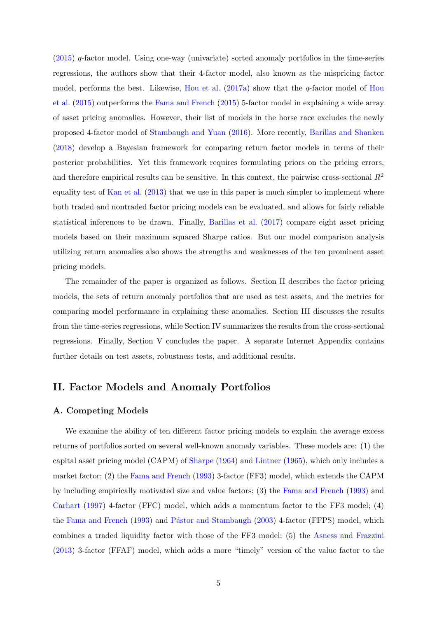[\(2015\)](#page-36-0) q-factor model. Using one-way (univariate) sorted anomaly portfolios in the time-series regressions, the authors show that their 4-factor model, also known as the mispricing factor model, performs the best. Likewise, [Hou et al.](#page-37-4)  $(2017a)$  show that the q-factor model of [Hou](#page-36-0) [et al.](#page-36-0) [\(2015\)](#page-36-0) outperforms the [Fama and French](#page-35-0) [\(2015\)](#page-35-0) 5-factor model in explaining a wide array of asset pricing anomalies. However, their list of models in the horse race excludes the newly proposed 4-factor model of [Stambaugh and Yuan](#page-38-0) [\(2016\)](#page-38-0). More recently, [Barillas and Shanken](#page-34-0) [\(2018\)](#page-34-0) develop a Bayesian framework for comparing return factor models in terms of their posterior probabilities. Yet this framework requires formulating priors on the pricing errors, and therefore empirical results can be sensitive. In this context, the pairwise cross-sectional  $R^2$ equality test of [Kan et al.](#page-37-2) [\(2013\)](#page-37-2) that we use in this paper is much simpler to implement where both traded and nontraded factor pricing models can be evaluated, and allows for fairly reliable statistical inferences to be drawn. Finally, [Barillas et al.](#page-34-8) [\(2017\)](#page-34-8) compare eight asset pricing models based on their maximum squared Sharpe ratios. But our model comparison analysis utilizing return anomalies also shows the strengths and weaknesses of the ten prominent asset pricing models.

The remainder of the paper is organized as follows. Section II describes the factor pricing models, the sets of return anomaly portfolios that are used as test assets, and the metrics for comparing model performance in explaining these anomalies. Section III discusses the results from the time-series regressions, while Section IV summarizes the results from the cross-sectional regressions. Finally, Section V concludes the paper. A separate Internet Appendix contains further details on test assets, robustness tests, and additional results.

## II. Factor Models and Anomaly Portfolios

#### A. Competing Models

We examine the ability of ten different factor pricing models to explain the average excess returns of portfolios sorted on several well-known anomaly variables. These models are: (1) the capital asset pricing model (CAPM) of [Sharpe](#page-38-1) [\(1964\)](#page-38-1) and [Lintner](#page-37-0) [\(1965\)](#page-37-0), which only includes a market factor; (2) the [Fama and French](#page-35-3) [\(1993\)](#page-35-3) 3-factor (FF3) model, which extends the CAPM by including empirically motivated size and value factors; (3) the [Fama and French](#page-35-3) [\(1993\)](#page-35-3) and [Carhart](#page-34-4) [\(1997\)](#page-34-4) 4-factor (FFC) model, which adds a momentum factor to the FF3 model; (4) the [Fama and French](#page-35-3) [\(1993\)](#page-35-3) and Pástor and Stambaugh [\(2003\)](#page-38-2) 4-factor (FFPS) model, which combines a traded liquidity factor with those of the FF3 model; (5) the [Asness and Frazzini](#page-34-5) [\(2013\)](#page-34-5) 3-factor (FFAF) model, which adds a more "timely" version of the value factor to the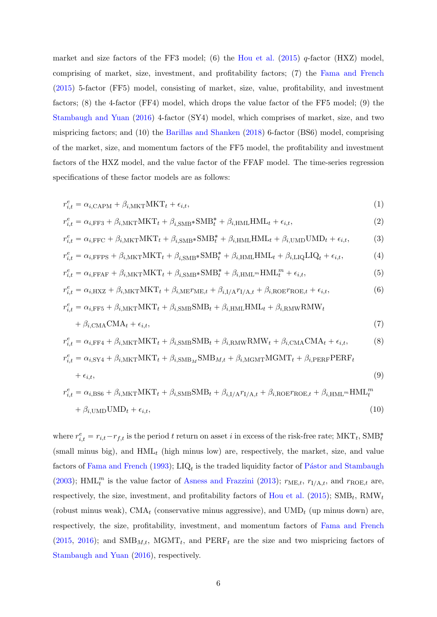market and size factors of the FF3 model; (6) the [Hou et al.](#page-36-0)  $(2015)$  q-factor (HXZ) model, comprising of market, size, investment, and profitability factors; (7) the [Fama and French](#page-35-0) [\(2015\)](#page-35-0) 5-factor (FF5) model, consisting of market, size, value, profitability, and investment factors; (8) the 4-factor (FF4) model, which drops the value factor of the FF5 model; (9) the [Stambaugh and Yuan](#page-38-0) [\(2016\)](#page-38-0) 4-factor (SY4) model, which comprises of market, size, and two mispricing factors; and (10) the [Barillas and Shanken](#page-34-0) [\(2018\)](#page-34-0) 6-factor (BS6) model, comprising of the market, size, and momentum factors of the FF5 model, the profitability and investment factors of the HXZ model, and the value factor of the FFAF model. The time-series regression specifications of these factor models are as follows:

$$
r_{i,t}^e = \alpha_{i,\text{CAPM}} + \beta_{i,\text{MKT}} \text{MKT}_t + \epsilon_{i,t},\tag{1}
$$

$$
r_{i,t}^e = \alpha_{i,\text{FF3}} + \beta_{i,\text{MKT}} \text{MKT}_t + \beta_{i,\text{SMB*}} \text{SMB}_t^* + \beta_{i,\text{HML}} \text{HML}_t + \epsilon_{i,t},\tag{2}
$$

$$
r_{i,t}^e = \alpha_{i,\text{FFC}} + \beta_{i,\text{MKT}}\text{MKT}_t + \beta_{i,\text{SMB}}*\text{SMB}_t^* + \beta_{i,\text{HML}}\text{HML}_t + \beta_{i,\text{UMD}}\text{UMD}_t + \epsilon_{i,t},\tag{3}
$$

$$
r_{i,t}^e = \alpha_{i,\text{FFPS}} + \beta_{i,\text{MKT}} \text{MKT}_t + \beta_{i,\text{SMB}} * \text{SMB}_t^* + \beta_{i,\text{HML}} \text{HML}_t + \beta_{i,\text{LIQ}} \text{LIQ}_t + \epsilon_{i,t},\tag{4}
$$

$$
r_{i,t}^e = \alpha_{i,\text{FFAF}} + \beta_{i,\text{MKT}} \text{MKT}_t + \beta_{i,\text{SMB*}} \text{SMB}_t^* + \beta_{i,\text{HML}^m} \text{HML}_t^m + \epsilon_{i,t},\tag{5}
$$

$$
r_{i,t}^e = \alpha_{i,\text{HXZ}} + \beta_{i,\text{MKT}}\text{MKT}_t + \beta_{i,\text{ME}}r_{\text{ME},t} + \beta_{i,\text{I/A}}r_{\text{I/A},t} + \beta_{i,\text{ROE}}r_{\text{ROE},t} + \epsilon_{i,t},\tag{6}
$$

$$
r_{i,t}^e = \alpha_{i,\text{FF5}} + \beta_{i,\text{MKT}} \text{MKT}_t + \beta_{i,\text{SMB}} \text{SMB}_t + \beta_{i,\text{HML}} \text{HML}_t + \beta_{i,\text{RMW}} \text{RMW}_t + \beta_{i,\text{CMA}} \text{CMA}_t + \epsilon_{i,t},
$$
\n(7)

$$
r_{i,t}^e = \alpha_{i,\text{FF4}} + \beta_{i,\text{MKT}}\text{MKT}_t + \beta_{i,\text{SMB}}\text{SMB}_t + \beta_{i,\text{RMW}}\text{RMW}_t + \beta_{i,\text{CMA}}\text{CMA}_t + \epsilon_{i,t},\tag{8}
$$

$$
r_{i,t}^e = \alpha_{i,\text{SY4}} + \beta_{i,\text{MKT}}\text{MKT}_t + \beta_{i,\text{SMB}_M}\text{SMB}_{M,t} + \beta_{i,\text{MGMT}}\text{MGMT}_t + \beta_{i,\text{PERF}}\text{PERF}_t + \epsilon_{i,t},
$$
\n
$$
(9)
$$

$$
r_{i,t}^{e} = \alpha_{i,\text{BS6}} + \beta_{i,\text{MKT}}\text{MKT}_{t} + \beta_{i,\text{SMB}}\text{SMB}_{t} + \beta_{i,\text{I/A}}r_{\text{I/A},t} + \beta_{i,\text{ROE}}r_{\text{ROE},t} + \beta_{i,\text{HML}}\text{HML}_{t}^{m}
$$

$$
+ \beta_{i,\text{UMD}}\text{UMD}_{t} + \epsilon_{i,t},
$$
(10)

where  $r_{i,t}^e = r_{i,t} - r_{f,t}$  is the period t return on asset i in excess of the risk-free rate;  $MKT_t$ ,  $SMB_t^*$ (small minus big), and  $HML_t$  (high minus low) are, respectively, the market, size, and value factors of [Fama and French](#page-35-3) [\(1993\)](#page-35-3); LIQ<sub>t</sub> is the traded liquidity factor of Pástor and Stambaugh [\(2003\)](#page-38-2); HML<sup>*m*</sup> is the value factor of [Asness and Frazzini](#page-34-5) [\(2013\)](#page-34-5);  $r_{\text{ME},t}$ ,  $r_{\text{I/A},t}$ , and  $r_{\text{ROE},t}$  are, respectively, the size, investment, and profitability factors of [Hou et al.](#page-36-0) [\(2015\)](#page-36-0);  $\text{SMB}_t$ ,  $\text{RMW}_t$ (robust minus weak), CMA<sub>t</sub> (conservative minus aggressive), and UMD<sub>t</sub> (up minus down) are, respectively, the size, profitability, investment, and momentum factors of [Fama and French](#page-35-0)  $(2015, 2016)$  $(2015, 2016)$  $(2015, 2016)$ ; and SMB<sub>M,t</sub>, MGMT<sub>t</sub>, and PERF<sub>t</sub> are the size and two mispricing factors of [Stambaugh and Yuan](#page-38-0) [\(2016\)](#page-38-0), respectively.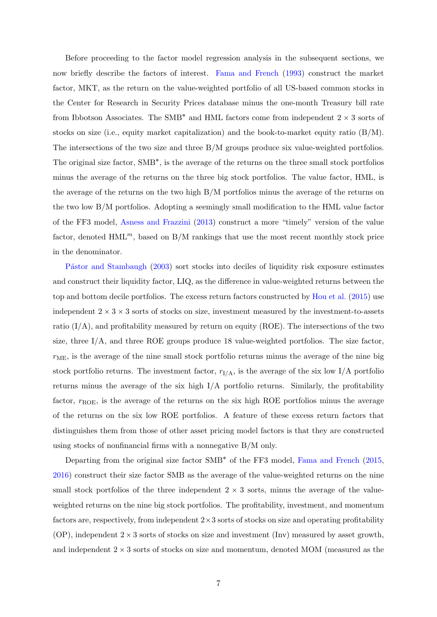Before proceeding to the factor model regression analysis in the subsequent sections, we now briefly describe the factors of interest. [Fama and French](#page-35-3) [\(1993\)](#page-35-3) construct the market factor, MKT, as the return on the value-weighted portfolio of all US-based common stocks in the Center for Research in Security Prices database minus the one-month Treasury bill rate from Ibbotson Associates. The SMB<sup>\*</sup> and HML factors come from independent  $2 \times 3$  sorts of stocks on size (i.e., equity market capitalization) and the book-to-market equity ratio  $(B/M)$ . The intersections of the two size and three B/M groups produce six value-weighted portfolios. The original size factor, SMB˚ , is the average of the returns on the three small stock portfolios minus the average of the returns on the three big stock portfolios. The value factor, HML, is the average of the returns on the two high B/M portfolios minus the average of the returns on the two low B/M portfolios. Adopting a seemingly small modification to the HML value factor of the FF3 model, [Asness and Frazzini](#page-34-5) [\(2013\)](#page-34-5) construct a more "timely" version of the value factor, denoted  $HML^m$ , based on B/M rankings that use the most recent monthly stock price in the denominator.

Pástor and Stambaugh [\(2003\)](#page-38-2) sort stocks into deciles of liquidity risk exposure estimates and construct their liquidity factor, LIQ, as the difference in value-weighted returns between the top and bottom decile portfolios. The excess return factors constructed by [Hou et al.](#page-36-0) [\(2015\)](#page-36-0) use independent  $2 \times 3 \times 3$  sorts of stocks on size, investment measured by the investment-to-assets ratio  $(I/A)$ , and profitability measured by return on equity (ROE). The intersections of the two size, three I/A, and three ROE groups produce 18 value-weighted portfolios. The size factor,  $r<sub>ME</sub>$ , is the average of the nine small stock portfolio returns minus the average of the nine big stock portfolio returns. The investment factor,  $r_{I/A}$ , is the average of the six low I/A portfolio returns minus the average of the six high  $I/A$  portfolio returns. Similarly, the profitability factor,  $r_{ROE}$ , is the average of the returns on the six high ROE portfolios minus the average of the returns on the six low ROE portfolios. A feature of these excess return factors that distinguishes them from those of other asset pricing model factors is that they are constructed using stocks of nonfinancial firms with a nonnegative B/M only.

Departing from the original size factor SMB<sup>\*</sup> of the FF3 model, [Fama and French](#page-35-0) [\(2015,](#page-35-0) [2016\)](#page-35-2) construct their size factor SMB as the average of the value-weighted returns on the nine small stock portfolios of the three independent  $2 \times 3$  sorts, minus the average of the valueweighted returns on the nine big stock portfolios. The profitability, investment, and momentum factors are, respectively, from independent  $2\times3$  sorts of stocks on size and operating profitability (OP), independent  $2 \times 3$  sorts of stocks on size and investment (Inv) measured by asset growth, and independent  $2 \times 3$  sorts of stocks on size and momentum, denoted MOM (measured as the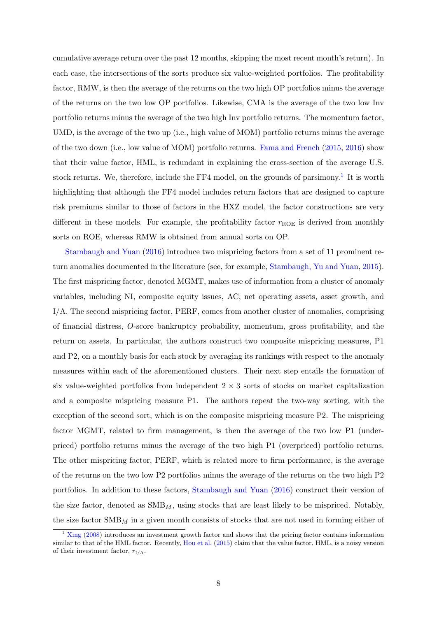cumulative average return over the past 12 months, skipping the most recent month's return). In each case, the intersections of the sorts produce six value-weighted portfolios. The profitability factor, RMW, is then the average of the returns on the two high OP portfolios minus the average of the returns on the two low OP portfolios. Likewise, CMA is the average of the two low Inv portfolio returns minus the average of the two high Inv portfolio returns. The momentum factor, UMD, is the average of the two up (i.e., high value of MOM) portfolio returns minus the average of the two down (i.e., low value of MOM) portfolio returns. [Fama and French](#page-35-0) [\(2015,](#page-35-0) [2016\)](#page-35-2) show that their value factor, HML, is redundant in explaining the cross-section of the average U.S. stock returns. We, therefore, include the FF4 model, on the grounds of parsimony.<sup>[1](#page-9-0)</sup> It is worth highlighting that although the FF4 model includes return factors that are designed to capture risk premiums similar to those of factors in the HXZ model, the factor constructions are very different in these models. For example, the profitability factor  $r_{ROE}$  is derived from monthly sorts on ROE, whereas RMW is obtained from annual sorts on OP.

[Stambaugh and Yuan](#page-38-0) [\(2016\)](#page-38-0) introduce two mispricing factors from a set of 11 prominent return anomalies documented in the literature (see, for example, [Stambaugh, Yu and Yuan,](#page-38-4) [2015\)](#page-38-4). The first mispricing factor, denoted MGMT, makes use of information from a cluster of anomaly variables, including NI, composite equity issues, AC, net operating assets, asset growth, and I/A. The second mispricing factor, PERF, comes from another cluster of anomalies, comprising of financial distress, O-score bankruptcy probability, momentum, gross profitability, and the return on assets. In particular, the authors construct two composite mispricing measures, P1 and P2, on a monthly basis for each stock by averaging its rankings with respect to the anomaly measures within each of the aforementioned clusters. Their next step entails the formation of six value-weighted portfolios from independent  $2 \times 3$  sorts of stocks on market capitalization and a composite mispricing measure P1. The authors repeat the two-way sorting, with the exception of the second sort, which is on the composite mispricing measure P2. The mispricing factor MGMT, related to firm management, is then the average of the two low P1 (underpriced) portfolio returns minus the average of the two high P1 (overpriced) portfolio returns. The other mispricing factor, PERF, which is related more to firm performance, is the average of the returns on the two low P2 portfolios minus the average of the returns on the two high P2 portfolios. In addition to these factors, [Stambaugh and Yuan](#page-38-0) [\(2016\)](#page-38-0) construct their version of the size factor, denoted as  $\text{SMB}_M$ , using stocks that are least likely to be mispriced. Notably, the size factor  $\text{SMB}_M$  in a given month consists of stocks that are not used in forming either of

<span id="page-9-0"></span> $1 \times 1$  [Xing](#page-38-5) [\(2008\)](#page-38-5) introduces an investment growth factor and shows that the pricing factor contains information similar to that of the HML factor. Recently, [Hou et al.](#page-36-0) [\(2015\)](#page-36-0) claim that the value factor, HML, is a noisy version of their investment factor,  $r_{I/A}$ .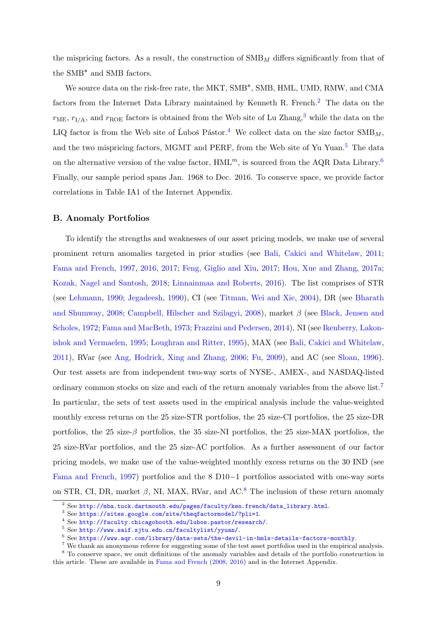the mispricing factors. As a result, the construction of  $\text{SMB}_M$  differs significantly from that of the SMB˚ and SMB factors.

We source data on the risk-free rate, the MKT, SMB<sup>\*</sup>, SMB, HML, UMD, RMW, and CMA factors from the Internet Data Library maintained by Kenneth R. French.<sup>[2](#page-10-0)</sup> The data on the  $r_{\text{ME}}, r_{\text{I/A}},$  and  $r_{\text{ROE}}$  factors is obtained from the Web site of Lu Zhang,<sup>[3](#page-10-1)</sup> while the data on the LIQ factor is from the Web site of Luboš Pástor.<sup>[4](#page-10-2)</sup> We collect data on the size factor  $\text{SMB}_M$ , and the two mispricing factors, MGMT and PERF, from the Web site of Yu Yuan.<sup>[5](#page-10-3)</sup> The data on the alternative version of the value factor,  $HML^m$ , is sourced from the AQR Data Library.<sup>[6](#page-10-4)</sup> Finally, our sample period spans Jan. 1968 to Dec. 2016. To conserve space, we provide factor correlations in Table IA1 of the Internet Appendix.

#### B. Anomaly Portfolios

To identify the strengths and weaknesses of our asset pricing models, we make use of several prominent return anomalies targeted in prior studies (see [Bali, Cakici and Whitelaw,](#page-34-6) [2011;](#page-34-6) [Fama and French,](#page-35-5) [1997,](#page-35-5) [2016,](#page-35-2) [2017;](#page-35-4) [Feng, Giglio and Xiu,](#page-35-7) [2017;](#page-35-7) [Hou, Xue and Zhang,](#page-37-4) [2017a;](#page-37-4) [Kozak, Nagel and Santosh,](#page-37-6) [2018;](#page-37-6) [Linnainmaa and Roberts,](#page-37-9) [2016\)](#page-37-9). The list comprises of STR (see [Lehmann,](#page-37-10) [1990;](#page-37-10) [Jegadeesh,](#page-37-11) [1990\)](#page-37-11), CI (see [Titman, Wei and Xie,](#page-38-6) [2004\)](#page-38-6), DR (see [Bharath](#page-34-9) [and Shumway,](#page-34-9) [2008;](#page-34-9) [Campbell, Hilscher and Szilagyi,](#page-34-10) [2008\)](#page-34-10), market β (see [Black, Jensen and](#page-34-11) [Scholes,](#page-34-11) [1972;](#page-34-11) [Fama and MacBeth,](#page-35-10) [1973;](#page-35-10) [Frazzini and Pedersen,](#page-35-11) [2014\)](#page-35-11), NI (see [Ikenberry, Lakon](#page-37-12)[ishok and Vermaelen,](#page-37-12) [1995;](#page-37-12) [Loughran and Ritter,](#page-37-13) [1995\)](#page-37-13), MAX (see [Bali, Cakici and Whitelaw,](#page-34-6) [2011\)](#page-34-6), RVar (see [Ang, Hodrick, Xing and Zhang,](#page-34-12) [2006;](#page-34-12) [Fu,](#page-36-11) [2009\)](#page-36-11), and AC (see [Sloan,](#page-38-7) [1996\)](#page-38-7). Our test assets are from independent two-way sorts of NYSE-, AMEX-, and NASDAQ-listed ordinary common stocks on size and each of the return anomaly variables from the above list.[7](#page-10-5) In particular, the sets of test assets used in the empirical analysis include the value-weighted monthly excess returns on the 25 size-STR portfolios, the 25 size-CI portfolios, the 25 size-DR portfolios, the 25 size- $\beta$  portfolios, the 35 size-NI portfolios, the 25 size-MAX portfolios, the 25 size-RVar portfolios, and the 25 size-AC portfolios. As a further assessment of our factor pricing models, we make use of the value-weighted monthly excess returns on the 30 IND (see [Fama and French,](#page-35-5)  $1997$ ) portfolios and the 8 D10–1 portfolios associated with one-way sorts on STR, CI, DR, market  $\beta$ , NI, MAX, RVar, and AC.<sup>[8](#page-10-6)</sup> The inclusion of these return anomaly

<span id="page-10-0"></span> $2$  See [http://mba.tuck.dartmouth.edu/pages/faculty/ken.french/data\\_library.html](http://mba.tuck.dartmouth.edu/pages/faculty/ken.french/data_library.html).

<span id="page-10-1"></span><sup>3</sup> See <https://sites.google.com/site/theqfactormodel/?pli=1>.

<span id="page-10-2"></span><sup>4</sup> See <http://faculty.chicagobooth.edu/lubos.pastor/research/>.

<span id="page-10-3"></span><sup>5</sup> See <http://www.saif.sjtu.edu.cn/facultylist/yyuan/>.

<span id="page-10-5"></span><span id="page-10-4"></span><sup>6</sup> See <https://www.aqr.com/library/data-sets/the-devil-in-hmls-details-factors-monthly>.

<span id="page-10-6"></span><sup>&</sup>lt;sup>7</sup> We thank an anonymous referee for suggesting some of the test asset portfolios used in the empirical analysis. <sup>8</sup> To conserve space, we omit definitions of the anomaly variables and details of the portfolio construction in this article. These are available in [Fama and French](#page-35-6) [\(2008,](#page-35-6) [2016\)](#page-35-2) and in the Internet Appendix.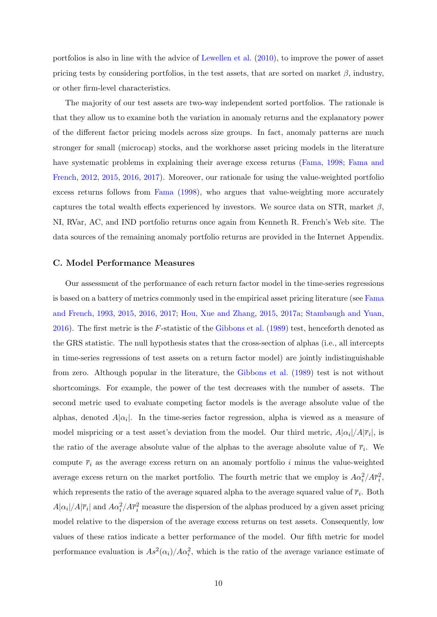portfolios is also in line with the advice of [Lewellen et al.](#page-37-7) [\(2010\)](#page-37-7), to improve the power of asset pricing tests by considering portfolios, in the test assets, that are sorted on market  $\beta$ , industry, or other firm-level characteristics.

The majority of our test assets are two-way independent sorted portfolios. The rationale is that they allow us to examine both the variation in anomaly returns and the explanatory power of the different factor pricing models across size groups. In fact, anomaly patterns are much stronger for small (microcap) stocks, and the workhorse asset pricing models in the literature have systematic problems in explaining their average excess returns [\(Fama,](#page-35-12) [1998;](#page-35-12) [Fama and](#page-35-13) [French,](#page-35-13) [2012,](#page-35-13) [2015,](#page-35-0) [2016,](#page-35-2) [2017\)](#page-35-4). Moreover, our rationale for using the value-weighted portfolio excess returns follows from [Fama](#page-35-12) [\(1998\)](#page-35-12), who argues that value-weighting more accurately captures the total wealth effects experienced by investors. We source data on STR, market  $\beta$ , NI, RVar, AC, and IND portfolio returns once again from Kenneth R. French's Web site. The data sources of the remaining anomaly portfolio returns are provided in the Internet Appendix.

#### C. Model Performance Measures

Our assessment of the performance of each return factor model in the time-series regressions is based on a battery of metrics commonly used in the empirical asset pricing literature (see [Fama](#page-35-3) [and French,](#page-35-3) [1993,](#page-35-3) [2015,](#page-35-0) [2016,](#page-35-2) [2017;](#page-35-4) [Hou, Xue and Zhang,](#page-36-0) [2015,](#page-36-0) [2017a;](#page-37-4) [Stambaugh and Yuan,](#page-38-0) [2016\)](#page-38-0). The first metric is the F-statistic of the [Gibbons et al.](#page-36-12) [\(1989\)](#page-36-12) test, henceforth denoted as the GRS statistic. The null hypothesis states that the cross-section of alphas (i.e., all intercepts in time-series regressions of test assets on a return factor model) are jointly indistinguishable from zero. Although popular in the literature, the [Gibbons et al.](#page-36-12) [\(1989\)](#page-36-12) test is not without shortcomings. For example, the power of the test decreases with the number of assets. The second metric used to evaluate competing factor models is the average absolute value of the alphas, denoted  $A|\alpha_i|$ . In the time-series factor regression, alpha is viewed as a measure of model mispricing or a test asset's deviation from the model. Our third metric,  $A|\alpha_i|/A|\overline{r}_i|$ , is the ratio of the average absolute value of the alphas to the average absolute value of  $\bar{r}_i$ . We compute  $\overline{r}_i$  as the average excess return on an anomaly portfolio i minus the value-weighted average excess return on the market portfolio. The fourth metric that we employ is  $A\alpha_i^2/A\overline{r}_i^2$ , which represents the ratio of the average squared alpha to the average squared value of  $\bar{r}_i$ . Both  $A|\alpha_i|/A|\overline{r}_i|$  and  $A\alpha_i^2/A\overline{r}_i^2$  measure the dispersion of the alphas produced by a given asset pricing model relative to the dispersion of the average excess returns on test assets. Consequently, low values of these ratios indicate a better performance of the model. Our fifth metric for model performance evaluation is  $As^2(\alpha_i)/A\alpha_i^2$ , which is the ratio of the average variance estimate of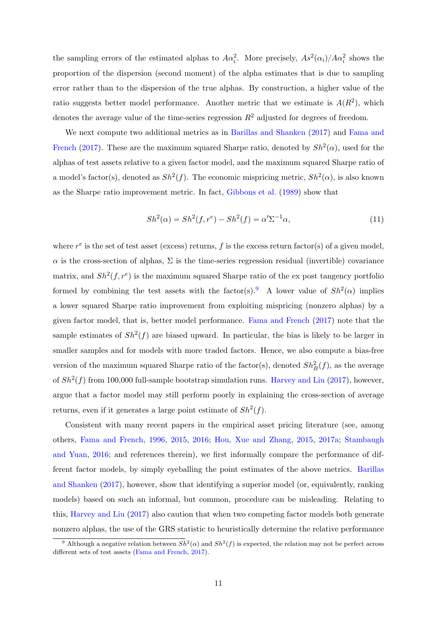the sampling errors of the estimated alphas to  $A\alpha_i^2$ . More precisely,  $As^2(\alpha_i)/A\alpha_i^2$  shows the proportion of the dispersion (second moment) of the alpha estimates that is due to sampling error rather than to the dispersion of the true alphas. By construction, a higher value of the ratio suggests better model performance. Another metric that we estimate is  $A(R^2)$ , which denotes the average value of the time-series regression  $R^2$  adjusted for degrees of freedom.

We next compute two additional metrics as in [Barillas and Shanken](#page-34-3) [\(2017\)](#page-34-3) and [Fama and](#page-35-4) [French](#page-35-4) [\(2017\)](#page-35-4). These are the maximum squared Sharpe ratio, denoted by  $Sh^2(\alpha)$ , used for the alphas of test assets relative to a given factor model, and the maximum squared Sharpe ratio of a model's factor(s), denoted as  $Sh^2(f)$ . The economic mispricing metric,  $Sh^2(\alpha)$ , is also known as the Sharpe ratio improvement metric. In fact, [Gibbons et al.](#page-36-12) [\(1989\)](#page-36-12) show that

$$
Sh^{2}(\alpha) = Sh^{2}(f, r^{e}) - Sh^{2}(f) = \alpha' \Sigma^{-1} \alpha,
$$
\n(11)

where  $r^e$  is the set of test asset (excess) returns, f is the excess return factor(s) of a given model,  $\alpha$  is the cross-section of alphas,  $\Sigma$  is the time-series regression residual (invertible) covariance matrix, and  $Sh^2(f, r^e)$  is the maximum squared Sharpe ratio of the ex post tangency portfolio formed by combining the test assets with the factor(s).<sup>[9](#page-12-0)</sup> A lower value of  $Sh^2(\alpha)$  implies a lower squared Sharpe ratio improvement from exploiting mispricing (nonzero alphas) by a given factor model, that is, better model performance. [Fama and French](#page-35-4) [\(2017\)](#page-35-4) note that the sample estimates of  $Sh^2(f)$  are biased upward. In particular, the bias is likely to be larger in smaller samples and for models with more traded factors. Hence, we also compute a bias-free version of the maximum squared Sharpe ratio of the factor(s), denoted  $Sh_B^2(f)$ , as the average of  $Sh^2(f)$  from 100,000 full-sample bootstrap simulation runs. [Harvey and Liu](#page-36-5) [\(2017\)](#page-36-5), however, argue that a factor model may still perform poorly in explaining the cross-section of average returns, even if it generates a large point estimate of  $\mathcal{S}h^2(f)$ .

Consistent with many recent papers in the empirical asset pricing literature (see, among others, [Fama and French,](#page-35-8) [1996,](#page-35-8) [2015,](#page-35-0) [2016;](#page-35-2) [Hou, Xue and Zhang,](#page-36-0) [2015,](#page-36-0) [2017a;](#page-37-4) [Stambaugh](#page-38-0) [and Yuan,](#page-38-0) [2016;](#page-38-0) and references therein), we first informally compare the performance of different factor models, by simply eyeballing the point estimates of the above metrics. [Barillas](#page-34-3) [and Shanken](#page-34-3) [\(2017\)](#page-34-3), however, show that identifying a superior model (or, equivalently, ranking models) based on such an informal, but common, procedure can be misleading. Relating to this, [Harvey and Liu](#page-36-5) [\(2017\)](#page-36-5) also caution that when two competing factor models both generate nonzero alphas, the use of the GRS statistic to heuristically determine the relative performance

<span id="page-12-0"></span><sup>&</sup>lt;sup>9</sup> Although a negative relation between  $Sh^2(\alpha)$  and  $Sh^2(f)$  is expected, the relation may not be perfect across different sets of test assets [\(Fama and French,](#page-35-4) [2017\)](#page-35-4).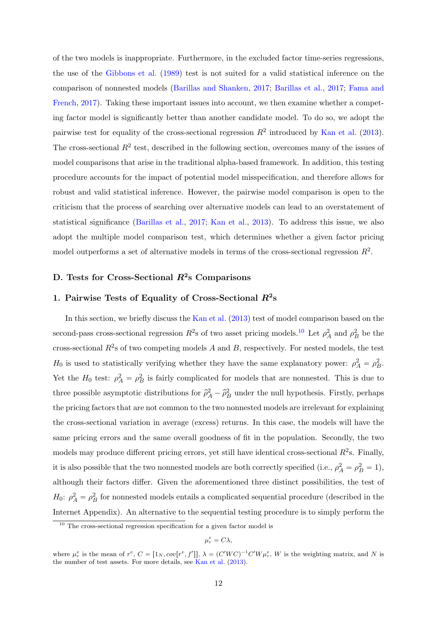of the two models is inappropriate. Furthermore, in the excluded factor time-series regressions, the use of the [Gibbons et al.](#page-36-12) [\(1989\)](#page-36-12) test is not suited for a valid statistical inference on the comparison of nonnested models [\(Barillas and Shanken,](#page-34-3) [2017;](#page-34-3) [Barillas et al.,](#page-34-8) [2017;](#page-34-8) [Fama and](#page-35-4) [French,](#page-35-4) [2017\)](#page-35-4). Taking these important issues into account, we then examine whether a competing factor model is significantly better than another candidate model. To do so, we adopt the pairwise test for equality of the cross-sectional regression  $R^2$  introduced by [Kan et al.](#page-37-2) [\(2013\)](#page-37-2). The cross-sectional  $R^2$  test, described in the following section, overcomes many of the issues of model comparisons that arise in the traditional alpha-based framework. In addition, this testing procedure accounts for the impact of potential model misspecification, and therefore allows for robust and valid statistical inference. However, the pairwise model comparison is open to the criticism that the process of searching over alternative models can lead to an overstatement of statistical significance [\(Barillas et al.,](#page-34-8) [2017;](#page-34-8) [Kan et al.,](#page-37-2) [2013\)](#page-37-2). To address this issue, we also adopt the multiple model comparison test, which determines whether a given factor pricing model outperforms a set of alternative models in terms of the cross-sectional regression  $R^2$ .

## D. Tests for Cross-Sectional  $R^2$ s Comparisons

## 1. Pairwise Tests of Equality of Cross-Sectional  $R^2$ s

In this section, we briefly discuss the [Kan et al.](#page-37-2) [\(2013\)](#page-37-2) test of model comparison based on the second-pass cross-sectional regression  $R^2$ s of two asset pricing models.<sup>[10](#page-13-0)</sup> Let  $\rho_A^2$  and  $\rho_B^2$  be the cross-sectional  $R^2$ s of two competing models A and B, respectively. For nested models, the test  $H_0$  is used to statistically verifying whether they have the same explanatory power:  $\rho_A^2 = \rho_B^2$ . Yet the  $H_0$  test:  $\rho_A^2 = \rho_B^2$  is fairly complicated for models that are nonnested. This is due to three possible asymptotic distributions for  $\hat{\rho}_A^2 - \hat{\rho}_B^2$  under the null hypothesis. Firstly, perhaps the pricing factors that are not common to the two nonnested models are irrelevant for explaining the cross-sectional variation in average (excess) returns. In this case, the models will have the same pricing errors and the same overall goodness of fit in the population. Secondly, the two models may produce different pricing errors, yet still have identical cross-sectional  $R^2$ s. Finally, it is also possible that the two nonnested models are both correctly specified (i.e.,  $\rho_A^2 = \rho_B^2 = 1$ ), although their factors differ. Given the aforementioned three distinct possibilities, the test of  $H_0$ :  $\rho_A^2 = \rho_B^2$  for nonnested models entails a complicated sequential procedure (described in the Internet Appendix). An alternative to the sequential testing procedure is to simply perform the

$$
\mu_r^e = C \lambda,
$$

<span id="page-13-0"></span> $10$  The cross-sectional regression specification for a given factor model is

where  $\mu_r^e$  is the mean of  $r^e$ ,  $C = [1_N, cov[r^e, f']], \lambda = (C'WC)^{-1}C'W\mu_r^e$ , W is the weighting matrix, and N is the number of test assets. For more details, see [Kan et al.](#page-37-2) [\(2013\)](#page-37-2).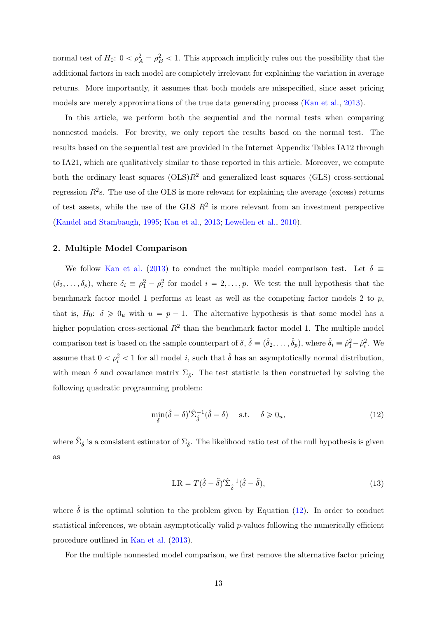normal test of  $H_0: 0 < \rho_A^2 = \rho_B^2 < 1$ . This approach implicitly rules out the possibility that the additional factors in each model are completely irrelevant for explaining the variation in average returns. More importantly, it assumes that both models are misspecified, since asset pricing models are merely approximations of the true data generating process [\(Kan et al.,](#page-37-2) [2013\)](#page-37-2).

In this article, we perform both the sequential and the normal tests when comparing nonnested models. For brevity, we only report the results based on the normal test. The results based on the sequential test are provided in the Internet Appendix Tables IA12 through to IA21, which are qualitatively similar to those reported in this article. Moreover, we compute both the ordinary least squares  $(OLS)R^2$  and generalized least squares  $(GLS)$  cross-sectional regression  $R^2$ s. The use of the OLS is more relevant for explaining the average (excess) returns of test assets, while the use of the GLS  $R^2$  is more relevant from an investment perspective [\(Kandel and Stambaugh,](#page-37-14) [1995;](#page-37-14) [Kan et al.,](#page-37-2) [2013;](#page-37-2) [Lewellen et al.,](#page-37-7) [2010\)](#page-37-7).

#### 2. Multiple Model Comparison

We follow [Kan et al.](#page-37-2) [\(2013\)](#page-37-2) to conduct the multiple model comparison test. Let  $\delta \equiv$  $(\delta_2,\ldots,\delta_p)$ , where  $\delta_i \equiv \rho_1^2 - \rho_i^2$  for model  $i = 2,\ldots,p$ . We test the null hypothesis that the benchmark factor model 1 performs at least as well as the competing factor models 2 to  $p$ , that is,  $H_0$ :  $\delta \geq 0_u$  with  $u = p - 1$ . The alternative hypothesis is that some model has a higher population cross-sectional  $R^2$  than the benchmark factor model 1. The multiple model comparison test is based on the sample counterpart of  $\delta$ ,  $\hat{\delta} \equiv (\hat{\delta}_2, \dots, \hat{\delta}_p)$ , where  $\hat{\delta}_i \equiv \hat{\rho}_1^2 - \hat{\rho}_i^2$ . We assume that  $0 < \rho_i^2 < 1$  for all model *i*, such that  $\hat{\delta}$  has an asymptotically normal distribution, with mean  $\delta$  and covariance matrix  $\Sigma_{\hat{\delta}}$ . The test statistic is then constructed by solving the following quadratic programming problem:

$$
\min_{\delta} (\hat{\delta} - \delta)' \hat{\Sigma}_{\hat{\delta}}^{-1} (\hat{\delta} - \delta) \quad \text{s.t.} \quad \delta \ge 0_u,
$$
\n(12)

where  $\hat{\Sigma}_{\hat{\delta}}$  is a consistent estimator of  $\Sigma_{\hat{\delta}}$ . The likelihood ratio test of the null hypothesis is given as

<span id="page-14-0"></span>
$$
LR = T(\hat{\delta} - \tilde{\delta})' \hat{\Sigma}_{\hat{\delta}}^{-1} (\hat{\delta} - \tilde{\delta}), \tag{13}
$$

where  $\tilde{\delta}$  is the optimal solution to the problem given by Equation [\(12\)](#page-14-0). In order to conduct statistical inferences, we obtain asymptotically valid  $p$ -values following the numerically efficient procedure outlined in [Kan et al.](#page-37-2) [\(2013\)](#page-37-2).

For the multiple nonnested model comparison, we first remove the alternative factor pricing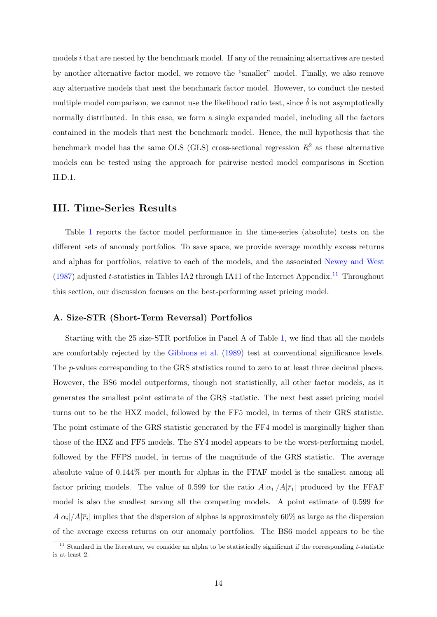models i that are nested by the benchmark model. If any of the remaining alternatives are nested by another alternative factor model, we remove the "smaller" model. Finally, we also remove any alternative models that nest the benchmark factor model. However, to conduct the nested multiple model comparison, we cannot use the likelihood ratio test, since  $\hat{\delta}$  is not asymptotically normally distributed. In this case, we form a single expanded model, including all the factors contained in the models that nest the benchmark model. Hence, the null hypothesis that the benchmark model has the same OLS (GLS) cross-sectional regression  $R^2$  as these alternative models can be tested using the approach for pairwise nested model comparisons in Section II.D.1.

## III. Time-Series Results

Table [1](#page-39-0) reports the factor model performance in the time-series (absolute) tests on the different sets of anomaly portfolios. To save space, we provide average monthly excess returns and alphas for portfolios, relative to each of the models, and the associated [Newey and West](#page-38-8) [\(1987\)](#page-38-8) adjusted t-statistics in Tables IA2 through IA[11](#page-15-0) of the Internet Appendix.<sup>11</sup> Throughout this section, our discussion focuses on the best-performing asset pricing model.

#### A. Size-STR (Short-Term Reversal) Portfolios

Starting with the 25 size-STR portfolios in Panel A of Table [1,](#page-39-0) we find that all the models are comfortably rejected by the [Gibbons et al.](#page-36-12) [\(1989\)](#page-36-12) test at conventional significance levels. The p-values corresponding to the GRS statistics round to zero to at least three decimal places. However, the BS6 model outperforms, though not statistically, all other factor models, as it generates the smallest point estimate of the GRS statistic. The next best asset pricing model turns out to be the HXZ model, followed by the FF5 model, in terms of their GRS statistic. The point estimate of the GRS statistic generated by the FF4 model is marginally higher than those of the HXZ and FF5 models. The SY4 model appears to be the worst-performing model, followed by the FFPS model, in terms of the magnitude of the GRS statistic. The average absolute value of 0.144% per month for alphas in the FFAF model is the smallest among all factor pricing models. The value of 0.599 for the ratio  $A|\alpha_i|/A|\overline{r}_i|$  produced by the FFAF model is also the smallest among all the competing models. A point estimate of 0.599 for  $A|\alpha_i|/A|\overline{r}_i|$  implies that the dispersion of alphas is approximately 60% as large as the dispersion of the average excess returns on our anomaly portfolios. The BS6 model appears to be the

<span id="page-15-0"></span> $11$  Standard in the literature, we consider an alpha to be statistically significant if the corresponding t-statistic is at least 2.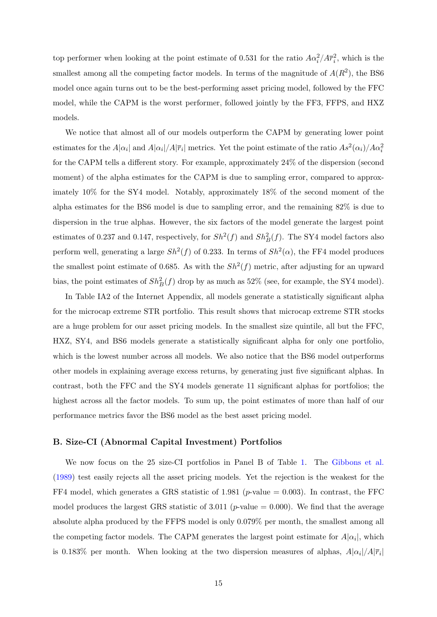top performer when looking at the point estimate of 0.531 for the ratio  $A\alpha_i^2/A\overline{r}_i^2$ , which is the smallest among all the competing factor models. In terms of the magnitude of  $A(R^2)$ , the BS6 model once again turns out to be the best-performing asset pricing model, followed by the FFC model, while the CAPM is the worst performer, followed jointly by the FF3, FFPS, and HXZ models.

We notice that almost all of our models outperform the CAPM by generating lower point estimates for the  $A|\alpha_i|$  and  $A|\alpha_i|/A|\overline{r}_i|$  metrics. Yet the point estimate of the ratio  $As^2(\alpha_i)/A\alpha_i^2$ for the CAPM tells a different story. For example, approximately 24% of the dispersion (second moment) of the alpha estimates for the CAPM is due to sampling error, compared to approximately 10% for the SY4 model. Notably, approximately 18% of the second moment of the alpha estimates for the BS6 model is due to sampling error, and the remaining 82% is due to dispersion in the true alphas. However, the six factors of the model generate the largest point estimates of 0.237 and 0.147, respectively, for  $Sh^2(f)$  and  $Sh^2_B(f)$ . The SY4 model factors also perform well, generating a large  $Sh^2(f)$  of 0.233. In terms of  $Sh^2(\alpha)$ , the FF4 model produces the smallest point estimate of 0.685. As with the  $Sh^2(f)$  metric, after adjusting for an upward bias, the point estimates of  $Sh_B^2(f)$  drop by as much as 52% (see, for example, the SY4 model).

In Table IA2 of the Internet Appendix, all models generate a statistically significant alpha for the microcap extreme STR portfolio. This result shows that microcap extreme STR stocks are a huge problem for our asset pricing models. In the smallest size quintile, all but the FFC, HXZ, SY4, and BS6 models generate a statistically significant alpha for only one portfolio, which is the lowest number across all models. We also notice that the BS6 model outperforms other models in explaining average excess returns, by generating just five significant alphas. In contrast, both the FFC and the SY4 models generate 11 significant alphas for portfolios; the highest across all the factor models. To sum up, the point estimates of more than half of our performance metrics favor the BS6 model as the best asset pricing model.

#### B. Size-CI (Abnormal Capital Investment) Portfolios

We now focus on the 25 size-CI portfolios in Panel B of Table [1.](#page-39-0) The [Gibbons et al.](#page-36-12) [\(1989\)](#page-36-12) test easily rejects all the asset pricing models. Yet the rejection is the weakest for the FF4 model, which generates a GRS statistic of 1.981 ( $p$ -value = 0.003). In contrast, the FFC model produces the largest GRS statistic of 3.011 ( $p$ -value = 0.000). We find that the average absolute alpha produced by the FFPS model is only 0.079% per month, the smallest among all the competing factor models. The CAPM generates the largest point estimate for  $A|\alpha_i|$ , which is 0.183% per month. When looking at the two dispersion measures of alphas,  $A|\alpha_i|/A|\overline{r}_i|$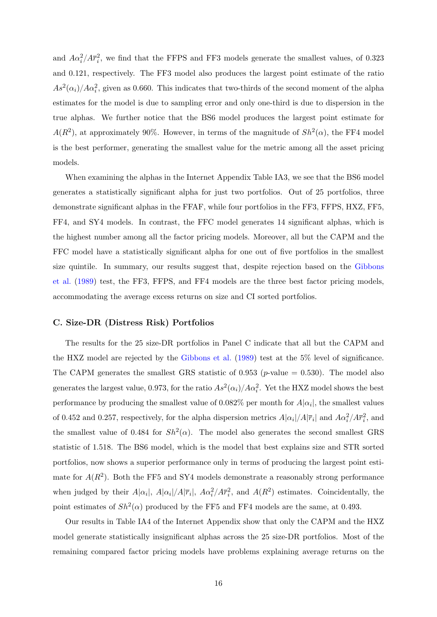and  $A\alpha_i^2/A\overline{r}_i^2$ , we find that the FFPS and FF3 models generate the smallest values, of 0.323 and 0.121, respectively. The FF3 model also produces the largest point estimate of the ratio  $As<sup>2</sup>(\alpha_i)/A\alpha_i^2$ , given as 0.660. This indicates that two-thirds of the second moment of the alpha estimates for the model is due to sampling error and only one-third is due to dispersion in the true alphas. We further notice that the BS6 model produces the largest point estimate for  $A(R^2)$ , at approximately 90%. However, in terms of the magnitude of  $Sh^2(\alpha)$ , the FF4 model is the best performer, generating the smallest value for the metric among all the asset pricing models.

When examining the alphas in the Internet Appendix Table IA3, we see that the BS6 model generates a statistically significant alpha for just two portfolios. Out of 25 portfolios, three demonstrate significant alphas in the FFAF, while four portfolios in the FF3, FFPS, HXZ, FF5, FF4, and SY4 models. In contrast, the FFC model generates 14 significant alphas, which is the highest number among all the factor pricing models. Moreover, all but the CAPM and the FFC model have a statistically significant alpha for one out of five portfolios in the smallest size quintile. In summary, our results suggest that, despite rejection based on the [Gibbons](#page-36-12) [et al.](#page-36-12) [\(1989\)](#page-36-12) test, the FF3, FFPS, and FF4 models are the three best factor pricing models, accommodating the average excess returns on size and CI sorted portfolios.

#### C. Size-DR (Distress Risk) Portfolios

The results for the 25 size-DR portfolios in Panel C indicate that all but the CAPM and the HXZ model are rejected by the [Gibbons et al.](#page-36-12) [\(1989\)](#page-36-12) test at the 5% level of significance. The CAPM generates the smallest GRS statistic of 0.953 (*p*-value  $= 0.530$ ). The model also generates the largest value, 0.973, for the ratio  $As^2(\alpha_i)/A\alpha_i^2$ . Yet the HXZ model shows the best performance by producing the smallest value of  $0.082\%$  per month for  $A|\alpha_i|$ , the smallest values of 0.452 and 0.257, respectively, for the alpha dispersion metrics  $A|\alpha_i|/A|\overline{r}_i|$  and  $A\alpha_i^2/A\overline{r}_i^2$ , and the smallest value of 0.484 for  $Sh^2(\alpha)$ . The model also generates the second smallest GRS statistic of 1.518. The BS6 model, which is the model that best explains size and STR sorted portfolios, now shows a superior performance only in terms of producing the largest point estimate for  $A(R^2)$ . Both the FF5 and SY4 models demonstrate a reasonably strong performance when judged by their  $A|\alpha_i|$ ,  $A|\alpha_i|/A|\overline{r}_i|$ ,  $A\alpha_i^2/A\overline{r}_i^2$ , and  $A(R^2)$  estimates. Coincidentally, the point estimates of  $Sh^2(\alpha)$  produced by the FF5 and FF4 models are the same, at 0.493.

Our results in Table IA4 of the Internet Appendix show that only the CAPM and the HXZ model generate statistically insignificant alphas across the 25 size-DR portfolios. Most of the remaining compared factor pricing models have problems explaining average returns on the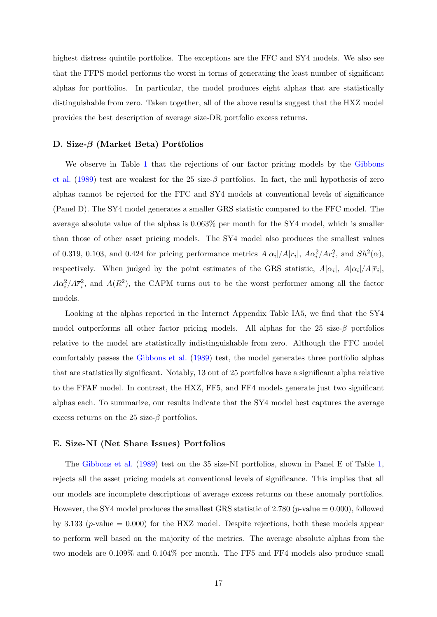highest distress quintile portfolios. The exceptions are the FFC and SY4 models. We also see that the FFPS model performs the worst in terms of generating the least number of significant alphas for portfolios. In particular, the model produces eight alphas that are statistically distinguishable from zero. Taken together, all of the above results suggest that the HXZ model provides the best description of average size-DR portfolio excess returns.

#### D. Size-β (Market Beta) Portfolios

We observe in Table [1](#page-39-0) that the rejections of our factor pricing models by the [Gibbons](#page-36-12) [et al.](#page-36-12) [\(1989\)](#page-36-12) test are weakest for the 25 size- $\beta$  portfolios. In fact, the null hypothesis of zero alphas cannot be rejected for the FFC and SY4 models at conventional levels of significance (Panel D). The SY4 model generates a smaller GRS statistic compared to the FFC model. The average absolute value of the alphas is 0.063% per month for the SY4 model, which is smaller than those of other asset pricing models. The SY4 model also produces the smallest values of 0.319, 0.103, and 0.424 for pricing performance metrics  $A|\alpha_i|/A|\overline{r}_i|$ ,  $A\alpha_i^2/A\overline{r}_i^2$ , and  $Sh^2(\alpha)$ , respectively. When judged by the point estimates of the GRS statistic,  $A|\alpha_i|$ ,  $A|\alpha_i|/A|\overline{r}_i|$ ,  $A\alpha_i^2/A\overline{r}_i^2$ , and  $A(R^2)$ , the CAPM turns out to be the worst performer among all the factor models.

Looking at the alphas reported in the Internet Appendix Table IA5, we find that the SY4 model outperforms all other factor pricing models. All alphas for the 25 size- $\beta$  portfolios relative to the model are statistically indistinguishable from zero. Although the FFC model comfortably passes the [Gibbons et al.](#page-36-12) [\(1989\)](#page-36-12) test, the model generates three portfolio alphas that are statistically significant. Notably, 13 out of 25 portfolios have a significant alpha relative to the FFAF model. In contrast, the HXZ, FF5, and FF4 models generate just two significant alphas each. To summarize, our results indicate that the SY4 model best captures the average excess returns on the 25 size- $\beta$  portfolios.

#### E. Size-NI (Net Share Issues) Portfolios

The [Gibbons et al.](#page-36-12) [\(1989\)](#page-36-12) test on the 35 size-NI portfolios, shown in Panel E of Table [1,](#page-39-0) rejects all the asset pricing models at conventional levels of significance. This implies that all our models are incomplete descriptions of average excess returns on these anomaly portfolios. However, the SY4 model produces the smallest GRS statistic of 2.780 (*p*-value  $= 0.000$ ), followed by 3.133 ( $p$ -value  $= 0.000$ ) for the HXZ model. Despite rejections, both these models appear to perform well based on the majority of the metrics. The average absolute alphas from the two models are 0.109% and 0.104% per month. The FF5 and FF4 models also produce small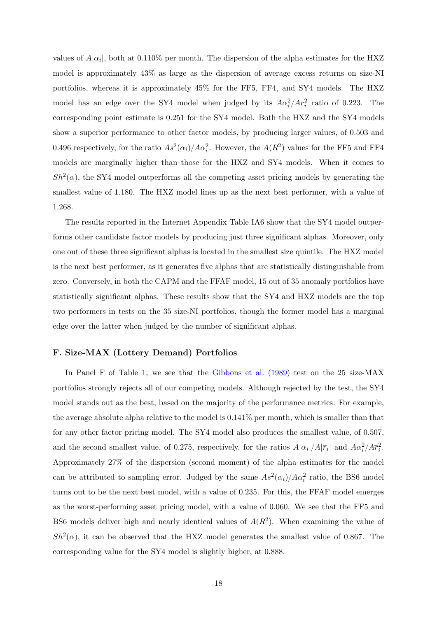values of  $A|\alpha_i|$ , both at 0.110% per month. The dispersion of the alpha estimates for the HXZ model is approximately 43% as large as the dispersion of average excess returns on size-NI portfolios, whereas it is approximately 45% for the FF5, FF4, and SY4 models. The HXZ model has an edge over the SY4 model when judged by its  $A\alpha_i^2/A\overline{r}_i^2$  ratio of 0.223. The corresponding point estimate is 0.251 for the SY4 model. Both the HXZ and the SY4 models show a superior performance to other factor models, by producing larger values, of 0.503 and 0.496 respectively, for the ratio  $As^2(\alpha_i)/A\alpha_i^2$ . However, the  $A(R^2)$  values for the FF5 and FF4 models are marginally higher than those for the HXZ and SY4 models. When it comes to  $Sh^2(\alpha)$ , the SY4 model outperforms all the competing asset pricing models by generating the smallest value of 1.180. The HXZ model lines up as the next best performer, with a value of 1.268.

The results reported in the Internet Appendix Table IA6 show that the SY4 model outperforms other candidate factor models by producing just three significant alphas. Moreover, only one out of these three significant alphas is located in the smallest size quintile. The HXZ model is the next best performer, as it generates five alphas that are statistically distinguishable from zero. Conversely, in both the CAPM and the FFAF model, 15 out of 35 anomaly portfolios have statistically significant alphas. These results show that the SY4 and HXZ models are the top two performers in tests on the 35 size-NI portfolios, though the former model has a marginal edge over the latter when judged by the number of significant alphas.

#### F. Size-MAX (Lottery Demand) Portfolios

In Panel F of Table [1,](#page-39-0) we see that the [Gibbons et al.](#page-36-12) [\(1989\)](#page-36-12) test on the 25 size-MAX portfolios strongly rejects all of our competing models. Although rejected by the test, the SY4 model stands out as the best, based on the majority of the performance metrics. For example, the average absolute alpha relative to the model is 0.141% per month, which is smaller than that for any other factor pricing model. The SY4 model also produces the smallest value, of 0.507, and the second smallest value, of 0.275, respectively, for the ratios  $A|\alpha_i|/A|\overline{r}_i|$  and  $A\alpha_i^2/A\overline{r}_i^2$ . Approximately 27% of the dispersion (second moment) of the alpha estimates for the model can be attributed to sampling error. Judged by the same  $As^2(\alpha_i)/A\alpha_i^2$  ratio, the BS6 model turns out to be the next best model, with a value of 0.235. For this, the FFAF model emerges as the worst-performing asset pricing model, with a value of 0.060. We see that the FF5 and BS6 models deliver high and nearly identical values of  $A(R^2)$ . When examining the value of  $Sh^2(\alpha)$ , it can be observed that the HXZ model generates the smallest value of 0.867. The corresponding value for the SY4 model is slightly higher, at 0.888.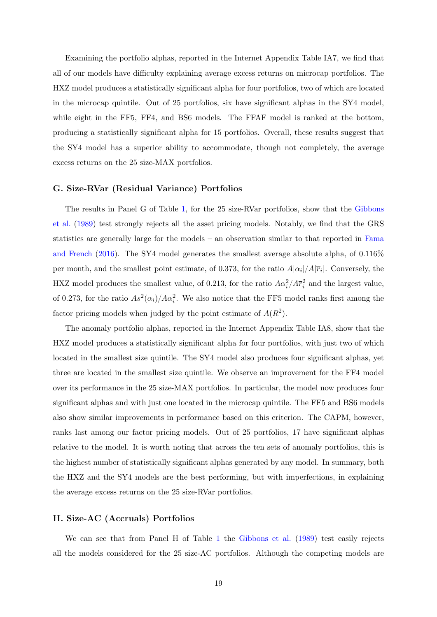Examining the portfolio alphas, reported in the Internet Appendix Table IA7, we find that all of our models have difficulty explaining average excess returns on microcap portfolios. The HXZ model produces a statistically significant alpha for four portfolios, two of which are located in the microcap quintile. Out of 25 portfolios, six have significant alphas in the SY4 model, while eight in the FF5, FF4, and BS6 models. The FFAF model is ranked at the bottom, producing a statistically significant alpha for 15 portfolios. Overall, these results suggest that the SY4 model has a superior ability to accommodate, though not completely, the average excess returns on the 25 size-MAX portfolios.

#### G. Size-RVar (Residual Variance) Portfolios

The results in Panel G of Table [1,](#page-39-0) for the 25 size-RVar portfolios, show that the [Gibbons](#page-36-12) [et al.](#page-36-12) [\(1989\)](#page-36-12) test strongly rejects all the asset pricing models. Notably, we find that the GRS statistics are generally large for the models – an observation similar to that reported in [Fama](#page-35-2) [and French](#page-35-2) [\(2016\)](#page-35-2). The SY4 model generates the smallest average absolute alpha, of 0.116% per month, and the smallest point estimate, of 0.373, for the ratio  $A|\alpha_i|/A|\overline{r}_i|$ . Conversely, the HXZ model produces the smallest value, of 0.213, for the ratio  $A\alpha_i^2/A\overline{r}_i^2$  and the largest value, of 0.273, for the ratio  $As^2(\alpha_i)/A\alpha_i^2$ . We also notice that the FF5 model ranks first among the factor pricing models when judged by the point estimate of  $A(R^2)$ .

The anomaly portfolio alphas, reported in the Internet Appendix Table IA8, show that the HXZ model produces a statistically significant alpha for four portfolios, with just two of which located in the smallest size quintile. The SY4 model also produces four significant alphas, yet three are located in the smallest size quintile. We observe an improvement for the FF4 model over its performance in the 25 size-MAX portfolios. In particular, the model now produces four significant alphas and with just one located in the microcap quintile. The FF5 and BS6 models also show similar improvements in performance based on this criterion. The CAPM, however, ranks last among our factor pricing models. Out of 25 portfolios, 17 have significant alphas relative to the model. It is worth noting that across the ten sets of anomaly portfolios, this is the highest number of statistically significant alphas generated by any model. In summary, both the HXZ and the SY4 models are the best performing, but with imperfections, in explaining the average excess returns on the 25 size-RVar portfolios.

#### H. Size-AC (Accruals) Portfolios

We can see that from Panel H of Table [1](#page-39-0) the [Gibbons et al.](#page-36-12) [\(1989\)](#page-36-12) test easily rejects all the models considered for the 25 size-AC portfolios. Although the competing models are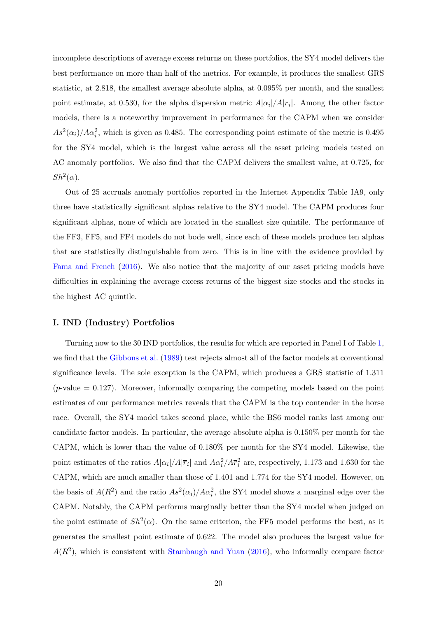incomplete descriptions of average excess returns on these portfolios, the SY4 model delivers the best performance on more than half of the metrics. For example, it produces the smallest GRS statistic, at 2.818, the smallest average absolute alpha, at 0.095% per month, and the smallest point estimate, at 0.530, for the alpha dispersion metric  $A|\alpha_i|/A|\overline{r}_i|$ . Among the other factor models, there is a noteworthy improvement in performance for the CAPM when we consider  $As<sup>2</sup>(\alpha_i)/A\alpha_i^2$ , which is given as 0.485. The corresponding point estimate of the metric is 0.495 for the SY4 model, which is the largest value across all the asset pricing models tested on AC anomaly portfolios. We also find that the CAPM delivers the smallest value, at 0.725, for  $Sh^2(\alpha)$ .

Out of 25 accruals anomaly portfolios reported in the Internet Appendix Table IA9, only three have statistically significant alphas relative to the SY4 model. The CAPM produces four significant alphas, none of which are located in the smallest size quintile. The performance of the FF3, FF5, and FF4 models do not bode well, since each of these models produce ten alphas that are statistically distinguishable from zero. This is in line with the evidence provided by [Fama and French](#page-35-2) [\(2016\)](#page-35-2). We also notice that the majority of our asset pricing models have difficulties in explaining the average excess returns of the biggest size stocks and the stocks in the highest AC quintile.

#### I. IND (Industry) Portfolios

Turning now to the 30 IND portfolios, the results for which are reported in Panel I of Table [1,](#page-39-0) we find that the [Gibbons et al.](#page-36-12) [\(1989\)](#page-36-12) test rejects almost all of the factor models at conventional significance levels. The sole exception is the CAPM, which produces a GRS statistic of 1.311  $(p$ -value  $= 0.127$ ). Moreover, informally comparing the competing models based on the point estimates of our performance metrics reveals that the CAPM is the top contender in the horse race. Overall, the SY4 model takes second place, while the BS6 model ranks last among our candidate factor models. In particular, the average absolute alpha is 0.150% per month for the CAPM, which is lower than the value of 0.180% per month for the SY4 model. Likewise, the point estimates of the ratios  $A|\alpha_i|/A|\overline{r}_i|$  and  $A\alpha_i^2/A\overline{r}_i^2$  are, respectively, 1.173 and 1.630 for the CAPM, which are much smaller than those of 1.401 and 1.774 for the SY4 model. However, on the basis of  $A(R^2)$  and the ratio  $As^2(\alpha_i)/A\alpha_i^2$ , the SY4 model shows a marginal edge over the CAPM. Notably, the CAPM performs marginally better than the SY4 model when judged on the point estimate of  $Sh^2(\alpha)$ . On the same criterion, the FF5 model performs the best, as it generates the smallest point estimate of 0.622. The model also produces the largest value for  $A(R<sup>2</sup>)$ , which is consistent with [Stambaugh and Yuan](#page-38-0) [\(2016\)](#page-38-0), who informally compare factor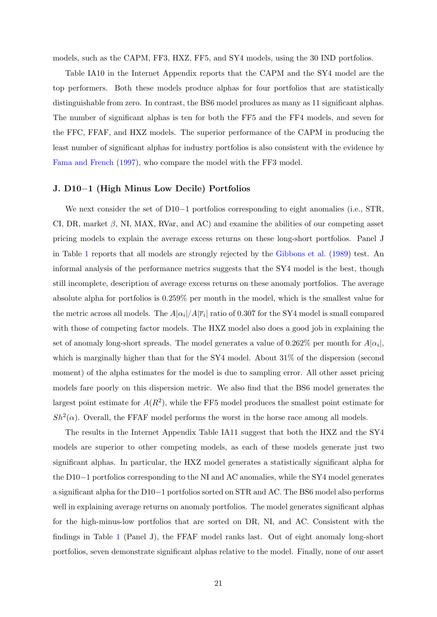models, such as the CAPM, FF3, HXZ, FF5, and SY4 models, using the 30 IND portfolios.

Table IA10 in the Internet Appendix reports that the CAPM and the SY4 model are the top performers. Both these models produce alphas for four portfolios that are statistically distinguishable from zero. In contrast, the BS6 model produces as many as 11 significant alphas. The number of significant alphas is ten for both the FF5 and the FF4 models, and seven for the FFC, FFAF, and HXZ models. The superior performance of the CAPM in producing the least number of significant alphas for industry portfolios is also consistent with the evidence by [Fama and French](#page-35-5) [\(1997\)](#page-35-5), who compare the model with the FF3 model.

#### J. D10–1 (High Minus Low Decile) Portfolios

We next consider the set of  $D10-1$  portfolios corresponding to eight anomalies (i.e., STR, CI, DR, market  $\beta$ , NI, MAX, RVar, and AC) and examine the abilities of our competing asset pricing models to explain the average excess returns on these long-short portfolios. Panel J in Table [1](#page-39-0) reports that all models are strongly rejected by the [Gibbons et al.](#page-36-12) [\(1989\)](#page-36-12) test. An informal analysis of the performance metrics suggests that the SY4 model is the best, though still incomplete, description of average excess returns on these anomaly portfolios. The average absolute alpha for portfolios is 0.259% per month in the model, which is the smallest value for the metric across all models. The  $A|\alpha_i|/A|\overline{r}_i|$  ratio of 0.307 for the SY4 model is small compared with those of competing factor models. The HXZ model also does a good job in explaining the set of anomaly long-short spreads. The model generates a value of 0.262% per month for  $A|\alpha_i|$ , which is marginally higher than that for the SY4 model. About 31% of the dispersion (second moment) of the alpha estimates for the model is due to sampling error. All other asset pricing models fare poorly on this dispersion metric. We also find that the BS6 model generates the largest point estimate for  $A(R^2)$ , while the FF5 model produces the smallest point estimate for  $Sh^2(\alpha)$ . Overall, the FFAF model performs the worst in the horse race among all models.

The results in the Internet Appendix Table IA11 suggest that both the HXZ and the SY4 models are superior to other competing models, as each of these models generate just two significant alphas. In particular, the HXZ model generates a statistically significant alpha for the  $D10-1$  portfolios corresponding to the NI and AC anomalies, while the SY4 model generates a significant alpha for the  $D10-1$  portfolios sorted on STR and AC. The BS6 model also performs well in explaining average returns on anomaly portfolios. The model generates significant alphas for the high-minus-low portfolios that are sorted on DR, NI, and AC. Consistent with the findings in Table [1](#page-39-0) (Panel J), the FFAF model ranks last. Out of eight anomaly long-short portfolios, seven demonstrate significant alphas relative to the model. Finally, none of our asset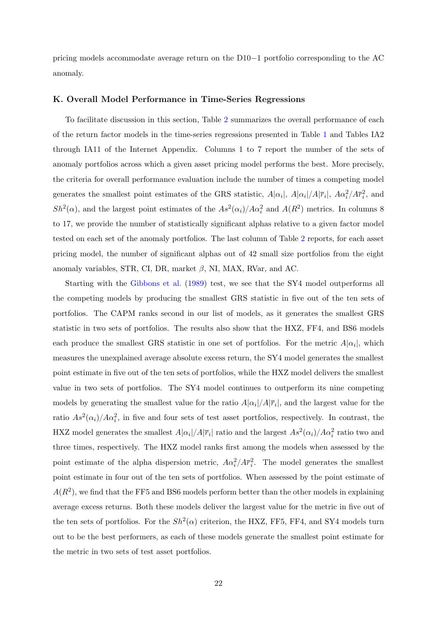pricing models accommodate average return on the  $D10-1$  portfolio corresponding to the AC anomaly.

#### K. Overall Model Performance in Time-Series Regressions

To facilitate discussion in this section, Table [2](#page-42-0) summarizes the overall performance of each of the return factor models in the time-series regressions presented in Table [1](#page-39-0) and Tables IA2 through IA11 of the Internet Appendix. Columns 1 to 7 report the number of the sets of anomaly portfolios across which a given asset pricing model performs the best. More precisely, the criteria for overall performance evaluation include the number of times a competing model generates the smallest point estimates of the GRS statistic,  $A|\alpha_i|$ ,  $A|\alpha_i|/A|\overline{r}_i|$ ,  $A\alpha_i^2/A\overline{r}_i^2$ , and  $Sh^2(\alpha)$ , and the largest point estimates of the  $As^2(\alpha_i)/A\alpha_i^2$  and  $A(R^2)$  metrics. In columns 8 to 17, we provide the number of statistically significant alphas relative to a given factor model tested on each set of the anomaly portfolios. The last column of Table [2](#page-42-0) reports, for each asset pricing model, the number of significant alphas out of 42 small size portfolios from the eight anomaly variables, STR, CI, DR, market  $\beta$ , NI, MAX, RVar, and AC.

Starting with the [Gibbons et al.](#page-36-12) [\(1989\)](#page-36-12) test, we see that the SY4 model outperforms all the competing models by producing the smallest GRS statistic in five out of the ten sets of portfolios. The CAPM ranks second in our list of models, as it generates the smallest GRS statistic in two sets of portfolios. The results also show that the HXZ, FF4, and BS6 models each produce the smallest GRS statistic in one set of portfolios. For the metric  $A|\alpha_i|$ , which measures the unexplained average absolute excess return, the SY4 model generates the smallest point estimate in five out of the ten sets of portfolios, while the HXZ model delivers the smallest value in two sets of portfolios. The SY4 model continues to outperform its nine competing models by generating the smallest value for the ratio  $A|\alpha_i|/A|\overline{r}_i|$ , and the largest value for the ratio  $As^2(\alpha_i)/A\alpha_i^2$ , in five and four sets of test asset portfolios, respectively. In contrast, the HXZ model generates the smallest  $A|\alpha_i|/A|\overline{r}_i|$  ratio and the largest  $As^2(\alpha_i)/A\alpha_i^2$  ratio two and three times, respectively. The HXZ model ranks first among the models when assessed by the point estimate of the alpha dispersion metric,  $A\alpha_i^2/A\overline{r}_i^2$ . The model generates the smallest point estimate in four out of the ten sets of portfolios. When assessed by the point estimate of  $A(R<sup>2</sup>)$ , we find that the FF5 and BS6 models perform better than the other models in explaining average excess returns. Both these models deliver the largest value for the metric in five out of the ten sets of portfolios. For the  $Sh^2(\alpha)$  criterion, the HXZ, FF5, FF4, and SY4 models turn out to be the best performers, as each of these models generate the smallest point estimate for the metric in two sets of test asset portfolios.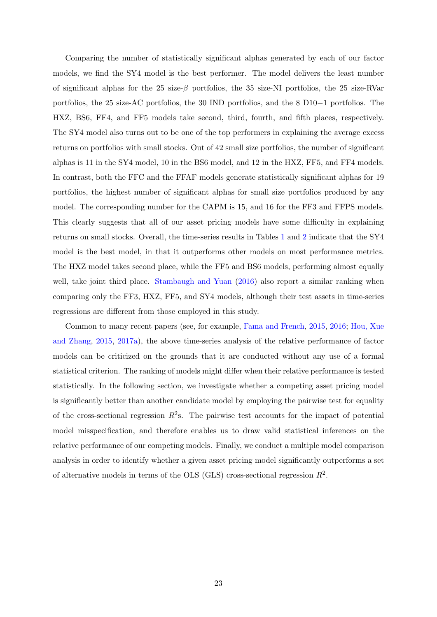Comparing the number of statistically significant alphas generated by each of our factor models, we find the SY4 model is the best performer. The model delivers the least number of significant alphas for the 25 size- $\beta$  portfolios, the 35 size-NI portfolios, the 25 size-RVar portfolios, the 25 size-AC portfolios, the 30 IND portfolios, and the 8  $D10-1$  portfolios. The HXZ, BS6, FF4, and FF5 models take second, third, fourth, and fifth places, respectively. The SY4 model also turns out to be one of the top performers in explaining the average excess returns on portfolios with small stocks. Out of 42 small size portfolios, the number of significant alphas is 11 in the SY4 model, 10 in the BS6 model, and 12 in the HXZ, FF5, and FF4 models. In contrast, both the FFC and the FFAF models generate statistically significant alphas for 19 portfolios, the highest number of significant alphas for small size portfolios produced by any model. The corresponding number for the CAPM is 15, and 16 for the FF3 and FFPS models. This clearly suggests that all of our asset pricing models have some difficulty in explaining returns on small stocks. Overall, the time-series results in Tables [1](#page-39-0) and [2](#page-42-0) indicate that the SY4 model is the best model, in that it outperforms other models on most performance metrics. The HXZ model takes second place, while the FF5 and BS6 models, performing almost equally well, take joint third place. [Stambaugh and Yuan](#page-38-0) [\(2016\)](#page-38-0) also report a similar ranking when comparing only the FF3, HXZ, FF5, and SY4 models, although their test assets in time-series regressions are different from those employed in this study.

Common to many recent papers (see, for example, [Fama and French,](#page-35-0) [2015,](#page-35-0) [2016;](#page-35-2) [Hou, Xue](#page-36-0) [and Zhang,](#page-36-0) [2015,](#page-36-0) [2017a\)](#page-37-4), the above time-series analysis of the relative performance of factor models can be criticized on the grounds that it are conducted without any use of a formal statistical criterion. The ranking of models might differ when their relative performance is tested statistically. In the following section, we investigate whether a competing asset pricing model is significantly better than another candidate model by employing the pairwise test for equality of the cross-sectional regression  $R^2$ s. The pairwise test accounts for the impact of potential model misspecification, and therefore enables us to draw valid statistical inferences on the relative performance of our competing models. Finally, we conduct a multiple model comparison analysis in order to identify whether a given asset pricing model significantly outperforms a set of alternative models in terms of the OLS (GLS) cross-sectional regression  $R^2$ .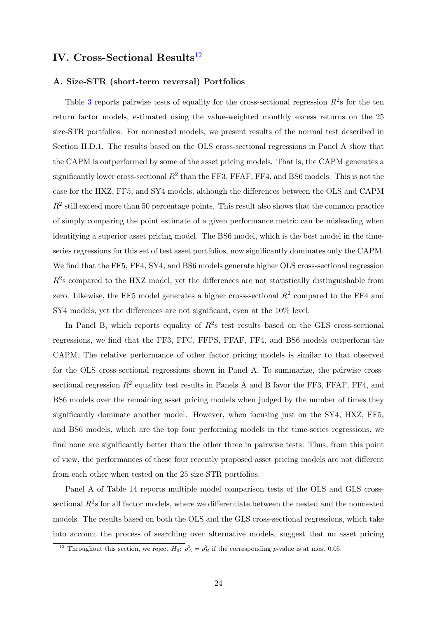## IV. Cross-Sectional Results $^{12}$  $^{12}$  $^{12}$

#### A. Size-STR (short-term reversal) Portfolios

Table [3](#page-43-0) reports pairwise tests of equality for the cross-sectional regression  $R^2$ s for the ten return factor models, estimated using the value-weighted monthly excess returns on the 25 size-STR portfolios. For nonnested models, we present results of the normal test described in Section II.D.1. The results based on the OLS cross-sectional regressions in Panel A show that the CAPM is outperformed by some of the asset pricing models. That is, the CAPM generates a significantly lower cross-sectional  $R^2$  than the FF3, FFAF, FF4, and BS6 models. This is not the case for the HXZ, FF5, and SY4 models, although the differences between the OLS and CAPM  $R<sup>2</sup>$  still exceed more than 50 percentage points. This result also shows that the common practice of simply comparing the point estimate of a given performance metric can be misleading when identifying a superior asset pricing model. The BS6 model, which is the best model in the timeseries regressions for this set of test asset portfolios, now significantly dominates only the CAPM. We find that the FF5, FF4, SY4, and BS6 models generate higher OLS cross-sectional regression  $R<sup>2</sup>$ s compared to the HXZ model, yet the differences are not statistically distinguishable from zero. Likewise, the FF5 model generates a higher cross-sectional  $R^2$  compared to the FF4 and SY4 models, yet the differences are not significant, even at the 10% level.

In Panel B, which reports equality of  $R^2$ s test results based on the GLS cross-sectional regressions, we find that the FF3, FFC, FFPS, FFAF, FF4, and BS6 models outperform the CAPM. The relative performance of other factor pricing models is similar to that observed for the OLS cross-sectional regressions shown in Panel A. To summarize, the pairwise crosssectional regression  $R^2$  equality test results in Panels A and B favor the FF3, FFAF, FF4, and BS6 models over the remaining asset pricing models when judged by the number of times they significantly dominate another model. However, when focusing just on the SY4, HXZ, FF5, and BS6 models, which are the top four performing models in the time-series regressions, we find none are significantly better than the other three in pairwise tests. Thus, from this point of view, the performances of these four recently proposed asset pricing models are not different from each other when tested on the 25 size-STR portfolios.

Panel A of Table [14](#page-54-0) reports multiple model comparison tests of the OLS and GLS crosssectional  $R^2$ s for all factor models, where we differentiate between the nested and the nonnested models. The results based on both the OLS and the GLS cross-sectional regressions, which take into account the process of searching over alternative models, suggest that no asset pricing

<span id="page-25-0"></span><sup>&</sup>lt;sup>12</sup> Throughout this section, we reject  $H_0$ :  $\rho_A^2 = \rho_B^2$  if the corresponding p-value is at most 0.05.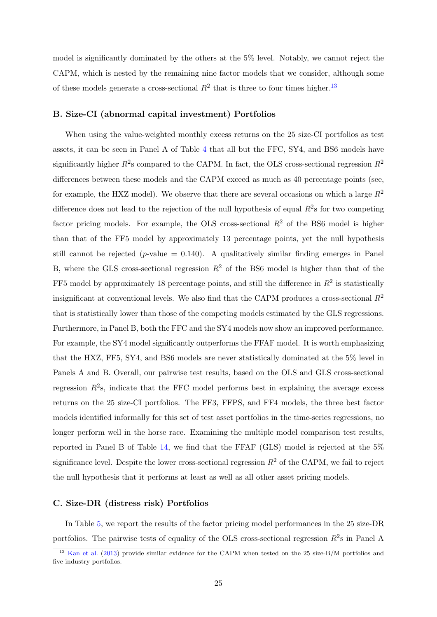model is significantly dominated by the others at the 5% level. Notably, we cannot reject the CAPM, which is nested by the remaining nine factor models that we consider, although some of these models generate a cross-sectional  $R^2$  that is three to four times higher.<sup>[13](#page-26-0)</sup>

#### B. Size-CI (abnormal capital investment) Portfolios

When using the value-weighted monthly excess returns on the 25 size-CI portfolios as test assets, it can be seen in Panel A of Table [4](#page-44-0) that all but the FFC, SY4, and BS6 models have significantly higher  $R^2$ s compared to the CAPM. In fact, the OLS cross-sectional regression  $R^2$ differences between these models and the CAPM exceed as much as 40 percentage points (see, for example, the HXZ model). We observe that there are several occasions on which a large  $R^2$ difference does not lead to the rejection of the null hypothesis of equal  $R^2$ s for two competing factor pricing models. For example, the OLS cross-sectional  $R^2$  of the BS6 model is higher than that of the FF5 model by approximately 13 percentage points, yet the null hypothesis still cannot be rejected (*p*-value  $= 0.140$ ). A qualitatively similar finding emerges in Panel B, where the GLS cross-sectional regression  $R^2$  of the BS6 model is higher than that of the FF5 model by approximately 18 percentage points, and still the difference in  $R^2$  is statistically insignificant at conventional levels. We also find that the CAPM produces a cross-sectional  $R^2$ that is statistically lower than those of the competing models estimated by the GLS regressions. Furthermore, in Panel B, both the FFC and the SY4 models now show an improved performance. For example, the SY4 model significantly outperforms the FFAF model. It is worth emphasizing that the HXZ, FF5, SY4, and BS6 models are never statistically dominated at the 5% level in Panels A and B. Overall, our pairwise test results, based on the OLS and GLS cross-sectional regression  $R^2$ s, indicate that the FFC model performs best in explaining the average excess returns on the 25 size-CI portfolios. The FF3, FFPS, and FF4 models, the three best factor models identified informally for this set of test asset portfolios in the time-series regressions, no longer perform well in the horse race. Examining the multiple model comparison test results, reported in Panel B of Table [14,](#page-54-0) we find that the FFAF (GLS) model is rejected at the 5% significance level. Despite the lower cross-sectional regression  $R^2$  of the CAPM, we fail to reject the null hypothesis that it performs at least as well as all other asset pricing models.

#### C. Size-DR (distress risk) Portfolios

In Table [5,](#page-45-0) we report the results of the factor pricing model performances in the 25 size-DR portfolios. The pairwise tests of equality of the OLS cross-sectional regression  $R^2$ s in Panel A

<span id="page-26-0"></span><sup>&</sup>lt;sup>13</sup> [Kan et al.](#page-37-2) [\(2013\)](#page-37-2) provide similar evidence for the CAPM when tested on the 25 size-B/M portfolios and five industry portfolios.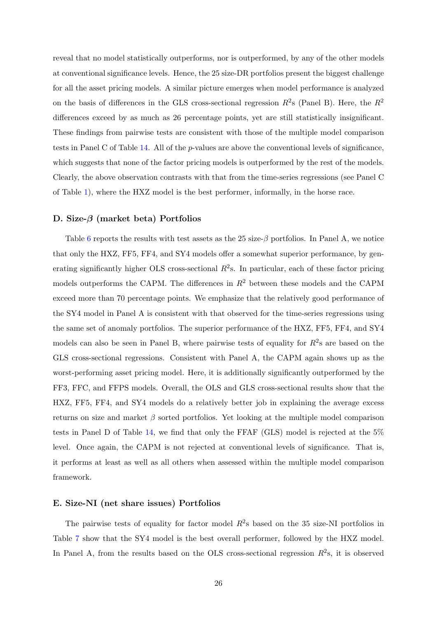reveal that no model statistically outperforms, nor is outperformed, by any of the other models at conventional significance levels. Hence, the 25 size-DR portfolios present the biggest challenge for all the asset pricing models. A similar picture emerges when model performance is analyzed on the basis of differences in the GLS cross-sectional regression  $R^2$ s (Panel B). Here, the  $R^2$ differences exceed by as much as 26 percentage points, yet are still statistically insignificant. These findings from pairwise tests are consistent with those of the multiple model comparison tests in Panel C of Table [14.](#page-54-0) All of the p-values are above the conventional levels of significance, which suggests that none of the factor pricing models is outperformed by the rest of the models. Clearly, the above observation contrasts with that from the time-series regressions (see Panel C of Table [1\)](#page-39-0), where the HXZ model is the best performer, informally, in the horse race.

#### D. Size-β (market beta) Portfolios

Table [6](#page-46-0) reports the results with test assets as the 25 size- $\beta$  portfolios. In Panel A, we notice that only the HXZ, FF5, FF4, and SY4 models offer a somewhat superior performance, by generating significantly higher OLS cross-sectional  $R^2$ s. In particular, each of these factor pricing models outperforms the CAPM. The differences in  $R^2$  between these models and the CAPM exceed more than 70 percentage points. We emphasize that the relatively good performance of the SY4 model in Panel A is consistent with that observed for the time-series regressions using the same set of anomaly portfolios. The superior performance of the HXZ, FF5, FF4, and SY4 models can also be seen in Panel B, where pairwise tests of equality for  $R^2$ s are based on the GLS cross-sectional regressions. Consistent with Panel A, the CAPM again shows up as the worst-performing asset pricing model. Here, it is additionally significantly outperformed by the FF3, FFC, and FFPS models. Overall, the OLS and GLS cross-sectional results show that the HXZ, FF5, FF4, and SY4 models do a relatively better job in explaining the average excess returns on size and market  $\beta$  sorted portfolios. Yet looking at the multiple model comparison tests in Panel D of Table [14,](#page-54-0) we find that only the FFAF (GLS) model is rejected at the 5% level. Once again, the CAPM is not rejected at conventional levels of significance. That is, it performs at least as well as all others when assessed within the multiple model comparison framework.

#### E. Size-NI (net share issues) Portfolios

The pairwise tests of equality for factor model  $R^2$ s based on the 35 size-NI portfolios in Table [7](#page-47-0) show that the SY4 model is the best overall performer, followed by the HXZ model. In Panel A, from the results based on the OLS cross-sectional regression  $R^2$ s, it is observed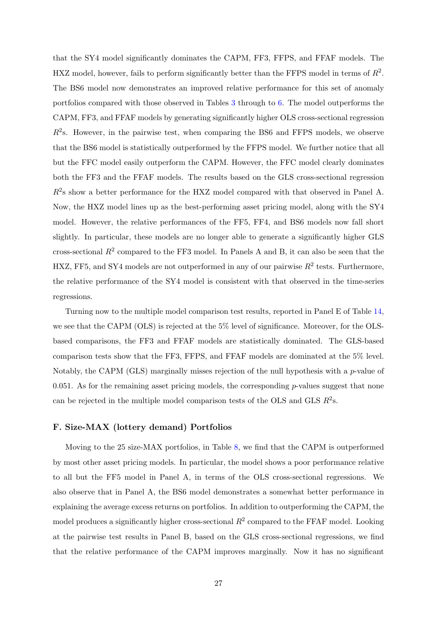that the SY4 model significantly dominates the CAPM, FF3, FFPS, and FFAF models. The HXZ model, however, fails to perform significantly better than the FFPS model in terms of  $R^2$ . The BS6 model now demonstrates an improved relative performance for this set of anomaly portfolios compared with those observed in Tables [3](#page-43-0) through to [6.](#page-46-0) The model outperforms the CAPM, FF3, and FFAF models by generating significantly higher OLS cross-sectional regression  $R<sup>2</sup>$ s. However, in the pairwise test, when comparing the BS6 and FFPS models, we observe that the BS6 model is statistically outperformed by the FFPS model. We further notice that all but the FFC model easily outperform the CAPM. However, the FFC model clearly dominates both the FF3 and the FFAF models. The results based on the GLS cross-sectional regression  $R<sup>2</sup>$ s show a better performance for the HXZ model compared with that observed in Panel A. Now, the HXZ model lines up as the best-performing asset pricing model, along with the SY4 model. However, the relative performances of the FF5, FF4, and BS6 models now fall short slightly. In particular, these models are no longer able to generate a significantly higher GLS cross-sectional  $R^2$  compared to the FF3 model. In Panels A and B, it can also be seen that the HXZ, FF5, and SY4 models are not outperformed in any of our pairwise  $R^2$  tests. Furthermore, the relative performance of the SY4 model is consistent with that observed in the time-series regressions.

Turning now to the multiple model comparison test results, reported in Panel E of Table [14,](#page-54-0) we see that the CAPM (OLS) is rejected at the 5% level of significance. Moreover, for the OLSbased comparisons, the FF3 and FFAF models are statistically dominated. The GLS-based comparison tests show that the FF3, FFPS, and FFAF models are dominated at the 5% level. Notably, the CAPM (GLS) marginally misses rejection of the null hypothesis with a p-value of  $0.051$ . As for the remaining asset pricing models, the corresponding p-values suggest that none can be rejected in the multiple model comparison tests of the OLS and GLS  $R^2$ s.

#### F. Size-MAX (lottery demand) Portfolios

Moving to the 25 size-MAX portfolios, in Table [8,](#page-48-0) we find that the CAPM is outperformed by most other asset pricing models. In particular, the model shows a poor performance relative to all but the FF5 model in Panel A, in terms of the OLS cross-sectional regressions. We also observe that in Panel A, the BS6 model demonstrates a somewhat better performance in explaining the average excess returns on portfolios. In addition to outperforming the CAPM, the model produces a significantly higher cross-sectional  $R^2$  compared to the FFAF model. Looking at the pairwise test results in Panel B, based on the GLS cross-sectional regressions, we find that the relative performance of the CAPM improves marginally. Now it has no significant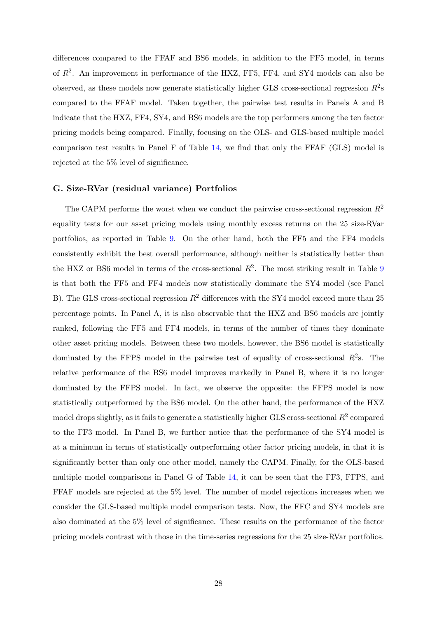differences compared to the FFAF and BS6 models, in addition to the FF5 model, in terms of  $R^2$ . An improvement in performance of the HXZ, FF5, FF4, and SY4 models can also be observed, as these models now generate statistically higher GLS cross-sectional regression  $R^2$ s compared to the FFAF model. Taken together, the pairwise test results in Panels A and B indicate that the HXZ, FF4, SY4, and BS6 models are the top performers among the ten factor pricing models being compared. Finally, focusing on the OLS- and GLS-based multiple model comparison test results in Panel F of Table [14,](#page-54-0) we find that only the FFAF (GLS) model is rejected at the 5% level of significance.

#### G. Size-RVar (residual variance) Portfolios

The CAPM performs the worst when we conduct the pairwise cross-sectional regression  $R^2$ equality tests for our asset pricing models using monthly excess returns on the 25 size-RVar portfolios, as reported in Table [9.](#page-49-0) On the other hand, both the FF5 and the FF4 models consistently exhibit the best overall performance, although neither is statistically better than the HXZ or BS6 model in terms of the cross-sectional  $R^2$ . The most striking result in Table [9](#page-49-0) is that both the FF5 and FF4 models now statistically dominate the SY4 model (see Panel B). The GLS cross-sectional regression  $R^2$  differences with the SY4 model exceed more than 25 percentage points. In Panel A, it is also observable that the HXZ and BS6 models are jointly ranked, following the FF5 and FF4 models, in terms of the number of times they dominate other asset pricing models. Between these two models, however, the BS6 model is statistically dominated by the FFPS model in the pairwise test of equality of cross-sectional  $R^2$ s. The relative performance of the BS6 model improves markedly in Panel B, where it is no longer dominated by the FFPS model. In fact, we observe the opposite: the FFPS model is now statistically outperformed by the BS6 model. On the other hand, the performance of the HXZ model drops slightly, as it fails to generate a statistically higher GLS cross-sectional  $R^2$  compared to the FF3 model. In Panel B, we further notice that the performance of the SY4 model is at a minimum in terms of statistically outperforming other factor pricing models, in that it is significantly better than only one other model, namely the CAPM. Finally, for the OLS-based multiple model comparisons in Panel G of Table [14,](#page-54-0) it can be seen that the FF3, FFPS, and FFAF models are rejected at the 5% level. The number of model rejections increases when we consider the GLS-based multiple model comparison tests. Now, the FFC and SY4 models are also dominated at the 5% level of significance. These results on the performance of the factor pricing models contrast with those in the time-series regressions for the 25 size-RVar portfolios.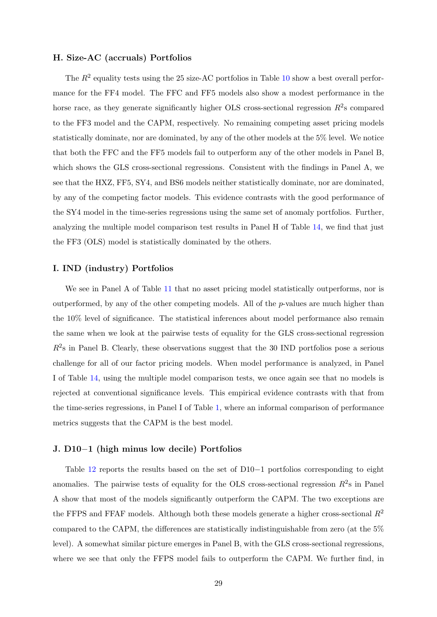#### H. Size-AC (accruals) Portfolios

The  $R^2$  equality tests using the 25 size-AC portfolios in Table [10](#page-50-0) show a best overall performance for the FF4 model. The FFC and FF5 models also show a modest performance in the horse race, as they generate significantly higher OLS cross-sectional regression  $R^2$ s compared to the FF3 model and the CAPM, respectively. No remaining competing asset pricing models statistically dominate, nor are dominated, by any of the other models at the 5% level. We notice that both the FFC and the FF5 models fail to outperform any of the other models in Panel B, which shows the GLS cross-sectional regressions. Consistent with the findings in Panel A, we see that the HXZ, FF5, SY4, and BS6 models neither statistically dominate, nor are dominated, by any of the competing factor models. This evidence contrasts with the good performance of the SY4 model in the time-series regressions using the same set of anomaly portfolios. Further, analyzing the multiple model comparison test results in Panel H of Table [14,](#page-54-0) we find that just the FF3 (OLS) model is statistically dominated by the others.

#### I. IND (industry) Portfolios

We see in Panel A of Table [11](#page-51-0) that no asset pricing model statistically outperforms, nor is outperformed, by any of the other competing models. All of the p-values are much higher than the 10% level of significance. The statistical inferences about model performance also remain the same when we look at the pairwise tests of equality for the GLS cross-sectional regression  $R<sup>2</sup>s$  in Panel B. Clearly, these observations suggest that the 30 IND portfolios pose a serious challenge for all of our factor pricing models. When model performance is analyzed, in Panel I of Table [14,](#page-54-0) using the multiple model comparison tests, we once again see that no models is rejected at conventional significance levels. This empirical evidence contrasts with that from the time-series regressions, in Panel I of Table [1,](#page-39-0) where an informal comparison of performance metrics suggests that the CAPM is the best model.

#### J.  $D10-1$  (high minus low decile) Portfolios

Table [12](#page-52-0) reports the results based on the set of  $D10-1$  portfolios corresponding to eight anomalies. The pairwise tests of equality for the OLS cross-sectional regression  $R^2$ s in Panel A show that most of the models significantly outperform the CAPM. The two exceptions are the FFPS and FFAF models. Although both these models generate a higher cross-sectional  $R^2$ compared to the CAPM, the differences are statistically indistinguishable from zero (at the 5% level). A somewhat similar picture emerges in Panel B, with the GLS cross-sectional regressions, where we see that only the FFPS model fails to outperform the CAPM. We further find, in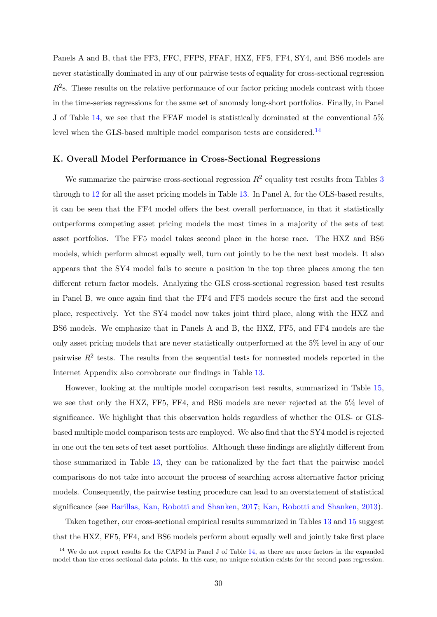Panels A and B, that the FF3, FFC, FFPS, FFAF, HXZ, FF5, FF4, SY4, and BS6 models are never statistically dominated in any of our pairwise tests of equality for cross-sectional regression  $R<sup>2</sup>$ s. These results on the relative performance of our factor pricing models contrast with those in the time-series regressions for the same set of anomaly long-short portfolios. Finally, in Panel J of Table [14,](#page-54-0) we see that the FFAF model is statistically dominated at the conventional 5% level when the GLS-based multiple model comparison tests are considered.<sup>[14](#page-31-0)</sup>

#### K. Overall Model Performance in Cross-Sectional Regressions

We summarize the pairwise cross-sectional regression  $R^2$  equality test results from Tables [3](#page-43-0) through to [12](#page-52-0) for all the asset pricing models in Table [13.](#page-53-0) In Panel A, for the OLS-based results, it can be seen that the FF4 model offers the best overall performance, in that it statistically outperforms competing asset pricing models the most times in a majority of the sets of test asset portfolios. The FF5 model takes second place in the horse race. The HXZ and BS6 models, which perform almost equally well, turn out jointly to be the next best models. It also appears that the SY4 model fails to secure a position in the top three places among the ten different return factor models. Analyzing the GLS cross-sectional regression based test results in Panel B, we once again find that the FF4 and FF5 models secure the first and the second place, respectively. Yet the SY4 model now takes joint third place, along with the HXZ and BS6 models. We emphasize that in Panels A and B, the HXZ, FF5, and FF4 models are the only asset pricing models that are never statistically outperformed at the 5% level in any of our pairwise  $R^2$  tests. The results from the sequential tests for nonnested models reported in the Internet Appendix also corroborate our findings in Table [13.](#page-53-0)

However, looking at the multiple model comparison test results, summarized in Table [15,](#page-58-0) we see that only the HXZ, FF5, FF4, and BS6 models are never rejected at the 5% level of significance. We highlight that this observation holds regardless of whether the OLS- or GLSbased multiple model comparison tests are employed. We also find that the SY4 model is rejected in one out the ten sets of test asset portfolios. Although these findings are slightly different from those summarized in Table [13,](#page-53-0) they can be rationalized by the fact that the pairwise model comparisons do not take into account the process of searching across alternative factor pricing models. Consequently, the pairwise testing procedure can lead to an overstatement of statistical significance (see [Barillas, Kan, Robotti and Shanken,](#page-34-8) [2017;](#page-34-8) [Kan, Robotti and Shanken,](#page-37-2) [2013\)](#page-37-2).

Taken together, our cross-sectional empirical results summarized in Tables [13](#page-53-0) and [15](#page-58-0) suggest that the HXZ, FF5, FF4, and BS6 models perform about equally well and jointly take first place

<span id="page-31-0"></span><sup>&</sup>lt;sup>14</sup> We do not report results for the CAPM in Panel J of Table [14,](#page-54-0) as there are more factors in the expanded model than the cross-sectional data points. In this case, no unique solution exists for the second-pass regression.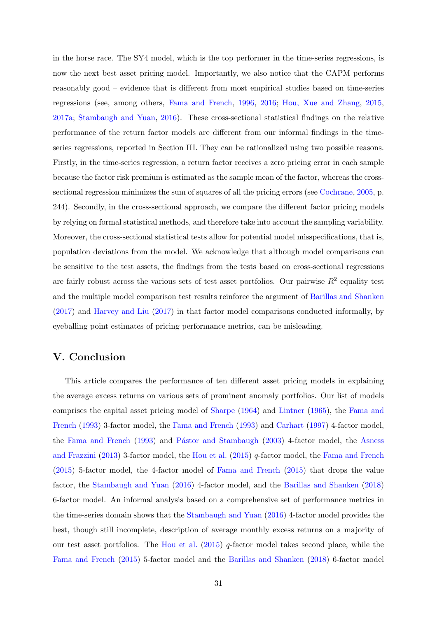in the horse race. The SY4 model, which is the top performer in the time-series regressions, is now the next best asset pricing model. Importantly, we also notice that the CAPM performs reasonably good – evidence that is different from most empirical studies based on time-series regressions (see, among others, [Fama and French,](#page-35-8) [1996,](#page-35-8) [2016;](#page-35-2) [Hou, Xue and Zhang,](#page-36-0) [2015,](#page-36-0) [2017a;](#page-37-4) [Stambaugh and Yuan,](#page-38-0) [2016\)](#page-38-0). These cross-sectional statistical findings on the relative performance of the return factor models are different from our informal findings in the timeseries regressions, reported in Section III. They can be rationalized using two possible reasons. Firstly, in the time-series regression, a return factor receives a zero pricing error in each sample because the factor risk premium is estimated as the sample mean of the factor, whereas the crosssectional regression minimizes the sum of squares of all the pricing errors (see [Cochrane,](#page-34-13) [2005,](#page-34-13) p. 244). Secondly, in the cross-sectional approach, we compare the different factor pricing models by relying on formal statistical methods, and therefore take into account the sampling variability. Moreover, the cross-sectional statistical tests allow for potential model misspecifications, that is, population deviations from the model. We acknowledge that although model comparisons can be sensitive to the test assets, the findings from the tests based on cross-sectional regressions are fairly robust across the various sets of test asset portfolios. Our pairwise  $R^2$  equality test and the multiple model comparison test results reinforce the argument of [Barillas and Shanken](#page-34-3) [\(2017\)](#page-34-3) and [Harvey and Liu](#page-36-5) [\(2017\)](#page-36-5) in that factor model comparisons conducted informally, by eyeballing point estimates of pricing performance metrics, can be misleading.

## V. Conclusion

This article compares the performance of ten different asset pricing models in explaining the average excess returns on various sets of prominent anomaly portfolios. Our list of models comprises the capital asset pricing model of [Sharpe](#page-38-1) [\(1964\)](#page-38-1) and [Lintner](#page-37-0) [\(1965\)](#page-37-0), the [Fama and](#page-35-3) [French](#page-35-3) [\(1993\)](#page-35-3) 3-factor model, the [Fama and French](#page-35-3) [\(1993\)](#page-35-3) and [Carhart](#page-34-4) [\(1997\)](#page-34-4) 4-factor model, the [Fama and French](#page-35-3) [\(1993\)](#page-35-3) and Pástor and Stambaugh [\(2003\)](#page-38-2) 4-factor model, the [Asness](#page-34-5) [and Frazzini](#page-34-5) [\(2013\)](#page-34-5) 3-factor model, the [Hou et al.](#page-36-0) [\(2015\)](#page-36-0) q-factor model, the [Fama and French](#page-35-0) [\(2015\)](#page-35-0) 5-factor model, the 4-factor model of [Fama and French](#page-35-0) [\(2015\)](#page-35-0) that drops the value factor, the [Stambaugh and Yuan](#page-38-0) [\(2016\)](#page-38-0) 4-factor model, and the [Barillas and Shanken](#page-34-0) [\(2018\)](#page-34-0) 6-factor model. An informal analysis based on a comprehensive set of performance metrics in the time-series domain shows that the [Stambaugh and Yuan](#page-38-0) [\(2016\)](#page-38-0) 4-factor model provides the best, though still incomplete, description of average monthly excess returns on a majority of our test asset portfolios. The [Hou et al.](#page-36-0)  $(2015)$  q-factor model takes second place, while the [Fama and French](#page-35-0) [\(2015\)](#page-35-0) 5-factor model and the [Barillas and Shanken](#page-34-0) [\(2018\)](#page-34-0) 6-factor model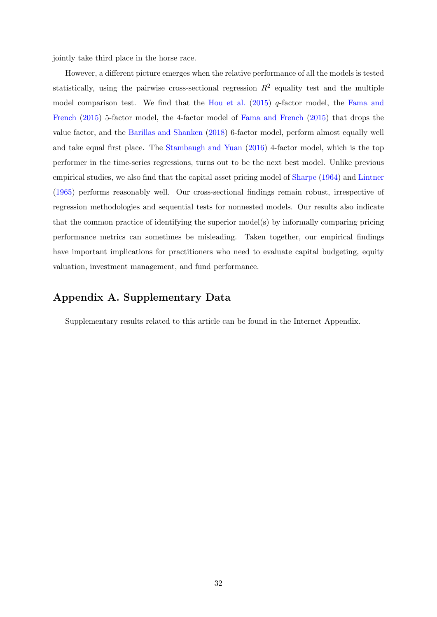jointly take third place in the horse race.

However, a different picture emerges when the relative performance of all the models is tested statistically, using the pairwise cross-sectional regression  $R^2$  equality test and the multiple model comparison test. We find that the [Hou et al.](#page-36-0)  $(2015)$  q-factor model, the [Fama and](#page-35-0) [French](#page-35-0) [\(2015\)](#page-35-0) 5-factor model, the 4-factor model of [Fama and French](#page-35-0) [\(2015\)](#page-35-0) that drops the value factor, and the [Barillas and Shanken](#page-34-0) [\(2018\)](#page-34-0) 6-factor model, perform almost equally well and take equal first place. The [Stambaugh and Yuan](#page-38-0) [\(2016\)](#page-38-0) 4-factor model, which is the top performer in the time-series regressions, turns out to be the next best model. Unlike previous empirical studies, we also find that the capital asset pricing model of [Sharpe](#page-38-1) [\(1964\)](#page-38-1) and [Lintner](#page-37-0) [\(1965\)](#page-37-0) performs reasonably well. Our cross-sectional findings remain robust, irrespective of regression methodologies and sequential tests for nonnested models. Our results also indicate that the common practice of identifying the superior model(s) by informally comparing pricing performance metrics can sometimes be misleading. Taken together, our empirical findings have important implications for practitioners who need to evaluate capital budgeting, equity valuation, investment management, and fund performance.

## Appendix A. Supplementary Data

Supplementary results related to this article can be found in the Internet Appendix.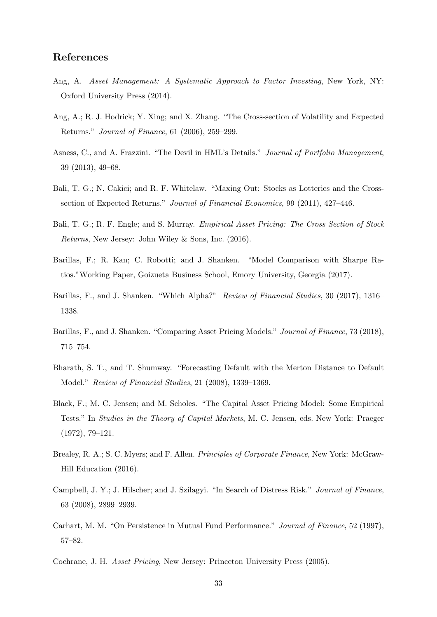## <span id="page-34-16"></span><span id="page-34-15"></span><span id="page-34-14"></span>References

- <span id="page-34-1"></span>Ang, A. Asset Management: A Systematic Approach to Factor Investing, New York, NY: Oxford University Press (2014).
- <span id="page-34-12"></span>Ang, A.; R. J. Hodrick; Y. Xing; and X. Zhang. "The Cross-section of Volatility and Expected Returns." Journal of Finance, 61 (2006), 259–299.
- <span id="page-34-5"></span>Asness, C., and A. Frazzini. "The Devil in HML's Details." Journal of Portfolio Management, 39 (2013), 49–68.
- <span id="page-34-6"></span>Bali, T. G.; N. Cakici; and R. F. Whitelaw. "Maxing Out: Stocks as Lotteries and the Crosssection of Expected Returns." Journal of Financial Economics, 99 (2011), 427–446.
- <span id="page-34-7"></span>Bali, T. G.; R. F. Engle; and S. Murray. Empirical Asset Pricing: The Cross Section of Stock Returns, New Jersey: John Wiley & Sons, Inc. (2016).
- <span id="page-34-8"></span>Barillas, F.; R. Kan; C. Robotti; and J. Shanken. "Model Comparison with Sharpe Ratios."Working Paper, Goizueta Business School, Emory University, Georgia (2017).
- <span id="page-34-3"></span>Barillas, F., and J. Shanken. "Which Alpha?" Review of Financial Studies, 30 (2017), 1316– 1338.
- <span id="page-34-0"></span>Barillas, F., and J. Shanken. "Comparing Asset Pricing Models." *Journal of Finance*, 73 (2018), 715–754.
- <span id="page-34-9"></span>Bharath, S. T., and T. Shumway. "Forecasting Default with the Merton Distance to Default Model." Review of Financial Studies, 21 (2008), 1339–1369.
- <span id="page-34-11"></span>Black, F.; M. C. Jensen; and M. Scholes. "The Capital Asset Pricing Model: Some Empirical Tests." In Studies in the Theory of Capital Markets, M. C. Jensen, eds. New York: Praeger (1972), 79–121.
- <span id="page-34-2"></span>Brealey, R. A.; S. C. Myers; and F. Allen. Principles of Corporate Finance, New York: McGraw-Hill Education (2016).
- <span id="page-34-10"></span>Campbell, J. Y.; J. Hilscher; and J. Szilagyi. "In Search of Distress Risk." Journal of Finance, 63 (2008), 2899–2939.
- <span id="page-34-4"></span>Carhart, M. M. "On Persistence in Mutual Fund Performance." Journal of Finance, 52 (1997), 57–82.
- <span id="page-34-13"></span>Cochrane, J. H. Asset Pricing, New Jersey: Princeton University Press (2005).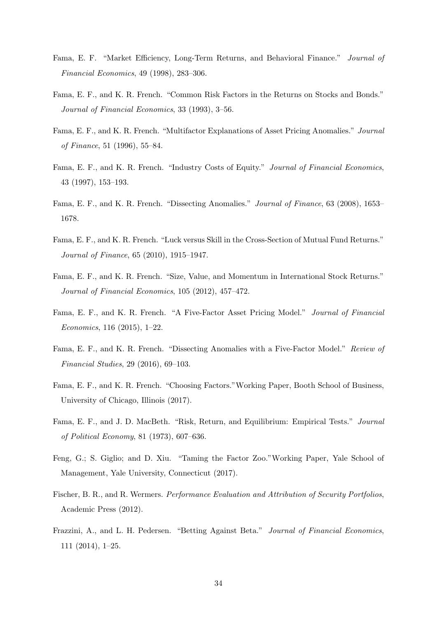- <span id="page-35-15"></span><span id="page-35-14"></span><span id="page-35-12"></span>Fama, E. F. "Market Efficiency, Long-Term Returns, and Behavioral Finance." Journal of Financial Economics, 49 (1998), 283–306.
- <span id="page-35-3"></span>Fama, E. F., and K. R. French. "Common Risk Factors in the Returns on Stocks and Bonds." Journal of Financial Economics, 33 (1993), 3–56.
- <span id="page-35-8"></span>Fama, E. F., and K. R. French. "Multifactor Explanations of Asset Pricing Anomalies." Journal of Finance, 51 (1996), 55–84.
- <span id="page-35-5"></span>Fama, E. F., and K. R. French. "Industry Costs of Equity." Journal of Financial Economics, 43 (1997), 153–193.
- <span id="page-35-6"></span>Fama, E. F., and K. R. French. "Dissecting Anomalies." Journal of Finance, 63 (2008), 1653– 1678.
- <span id="page-35-9"></span>Fama, E. F., and K. R. French. "Luck versus Skill in the Cross-Section of Mutual Fund Returns." Journal of Finance, 65 (2010), 1915–1947.
- <span id="page-35-13"></span>Fama, E. F., and K. R. French. "Size, Value, and Momentum in International Stock Returns." Journal of Financial Economics, 105 (2012), 457–472.
- <span id="page-35-0"></span>Fama, E. F., and K. R. French. "A Five-Factor Asset Pricing Model." Journal of Financial Economics, 116 (2015), 1–22.
- <span id="page-35-2"></span>Fama, E. F., and K. R. French. "Dissecting Anomalies with a Five-Factor Model." Review of Financial Studies, 29 (2016), 69–103.
- <span id="page-35-4"></span>Fama, E. F., and K. R. French. "Choosing Factors."Working Paper, Booth School of Business, University of Chicago, Illinois (2017).
- <span id="page-35-10"></span>Fama, E. F., and J. D. MacBeth. "Risk, Return, and Equilibrium: Empirical Tests." Journal of Political Economy, 81 (1973), 607–636.
- <span id="page-35-7"></span>Feng, G.; S. Giglio; and D. Xiu. "Taming the Factor Zoo."Working Paper, Yale School of Management, Yale University, Connecticut (2017).
- <span id="page-35-1"></span>Fischer, B. R., and R. Wermers. Performance Evaluation and Attribution of Security Portfolios, Academic Press (2012).
- <span id="page-35-11"></span>Frazzini, A., and L. H. Pedersen. "Betting Against Beta." Journal of Financial Economics, 111 (2014), 1–25.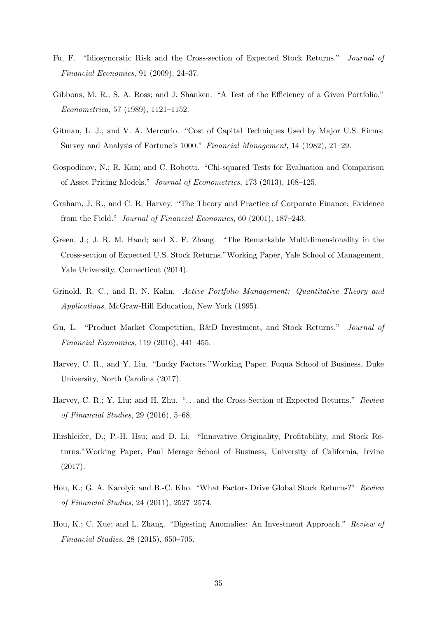- <span id="page-36-14"></span><span id="page-36-13"></span><span id="page-36-11"></span>Fu, F. "Idiosyncratic Risk and the Cross-section of Expected Stock Returns." Journal of Financial Economics, 91 (2009), 24–37.
- <span id="page-36-12"></span>Gibbons, M. R.; S. A. Ross; and J. Shanken. "A Test of the Efficiency of a Given Portfolio." Econometrica, 57 (1989), 1121–1152.
- <span id="page-36-2"></span>Gitman, L. J., and V. A. Mercurio. "Cost of Capital Techniques Used by Major U.S. Firms: Survey and Analysis of Fortune's 1000." Financial Management, 14 (1982), 21–29.
- <span id="page-36-1"></span>Gospodinov, N.; R. Kan; and C. Robotti. "Chi-squared Tests for Evaluation and Comparison of Asset Pricing Models." Journal of Econometrics, 173 (2013), 108–125.
- <span id="page-36-3"></span>Graham, J. R., and C. R. Harvey. "The Theory and Practice of Corporate Finance: Evidence from the Field." Journal of Financial Economics, 60 (2001), 187–243.
- <span id="page-36-10"></span>Green, J.; J. R. M. Hand; and X. F. Zhang. "The Remarkable Multidimensionality in the Cross-section of Expected U.S. Stock Returns."Working Paper, Yale School of Management, Yale University, Connecticut (2014).
- <span id="page-36-4"></span>Grinold, R. C., and R. N. Kahn. Active Portfolio Management: Quantitative Theory and Applications, McGraw-Hill Education, New York (1995).
- <span id="page-36-7"></span>Gu, L. "Product Market Competition, R&D Investment, and Stock Returns." Journal of Financial Economics, 119 (2016), 441–455.
- <span id="page-36-5"></span>Harvey, C. R., and Y. Liu. "Lucky Factors."Working Paper, Fuqua School of Business, Duke University, North Carolina (2017).
- <span id="page-36-6"></span>Harvey, C. R.; Y. Liu; and H. Zhu. "... and the Cross-Section of Expected Returns." Review of Financial Studies, 29 (2016), 5–68.
- <span id="page-36-8"></span>Hirshleifer, D.; P.-H. Hsu; and D. Li. "Innovative Originality, Profitability, and Stock Returns."Working Paper, Paul Merage School of Business, University of California, Irvine (2017).
- <span id="page-36-9"></span>Hou, K.; G. A. Karolyi; and B.-C. Kho. "What Factors Drive Global Stock Returns?" Review of Financial Studies, 24 (2011), 2527–2574.
- <span id="page-36-0"></span>Hou, K.; C. Xue; and L. Zhang. "Digesting Anomalies: An Investment Approach." Review of Financial Studies, 28 (2015), 650–705.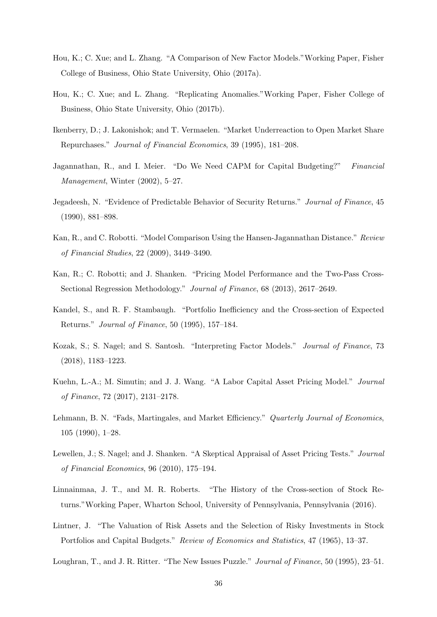- <span id="page-37-15"></span><span id="page-37-4"></span>Hou, K.; C. Xue; and L. Zhang. "A Comparison of New Factor Models."Working Paper, Fisher College of Business, Ohio State University, Ohio (2017a).
- <span id="page-37-8"></span>Hou, K.; C. Xue; and L. Zhang. "Replicating Anomalies."Working Paper, Fisher College of Business, Ohio State University, Ohio (2017b).
- <span id="page-37-12"></span>Ikenberry, D.; J. Lakonishok; and T. Vermaelen. "Market Underreaction to Open Market Share Repurchases." Journal of Financial Economics, 39 (1995), 181–208.
- <span id="page-37-3"></span>Jagannathan, R., and I. Meier. "Do We Need CAPM for Capital Budgeting?" Financial Management, Winter (2002), 5–27.
- <span id="page-37-11"></span>Jegadeesh, N. "Evidence of Predictable Behavior of Security Returns." Journal of Finance, 45 (1990), 881–898.
- <span id="page-37-1"></span>Kan, R., and C. Robotti. "Model Comparison Using the Hansen-Jagannathan Distance." Review of Financial Studies, 22 (2009), 3449–3490.
- <span id="page-37-2"></span>Kan, R.; C. Robotti; and J. Shanken. "Pricing Model Performance and the Two-Pass Cross-Sectional Regression Methodology." Journal of Finance, 68 (2013), 2617–2649.
- <span id="page-37-14"></span>Kandel, S., and R. F. Stambaugh. "Portfolio Inefficiency and the Cross-section of Expected Returns." Journal of Finance, 50 (1995), 157–184.
- <span id="page-37-6"></span>Kozak, S.; S. Nagel; and S. Santosh. "Interpreting Factor Models." Journal of Finance, 73 (2018), 1183–1223.
- <span id="page-37-5"></span>Kuehn, L.-A.; M. Simutin; and J. J. Wang. "A Labor Capital Asset Pricing Model." Journal of Finance, 72 (2017), 2131–2178.
- <span id="page-37-10"></span>Lehmann, B. N. "Fads, Martingales, and Market Efficiency." Quarterly Journal of Economics, 105 (1990), 1–28.
- <span id="page-37-7"></span>Lewellen, J.; S. Nagel; and J. Shanken. "A Skeptical Appraisal of Asset Pricing Tests." Journal of Financial Economics, 96 (2010), 175–194.
- <span id="page-37-9"></span>Linnainmaa, J. T., and M. R. Roberts. "The History of the Cross-section of Stock Returns."Working Paper, Wharton School, University of Pennsylvania, Pennsylvania (2016).
- <span id="page-37-0"></span>Lintner, J. "The Valuation of Risk Assets and the Selection of Risky Investments in Stock Portfolios and Capital Budgets." Review of Economics and Statistics, 47 (1965), 13–37.
- <span id="page-37-13"></span>Loughran, T., and J. R. Ritter. "The New Issues Puzzle." Journal of Finance, 50 (1995), 23–51.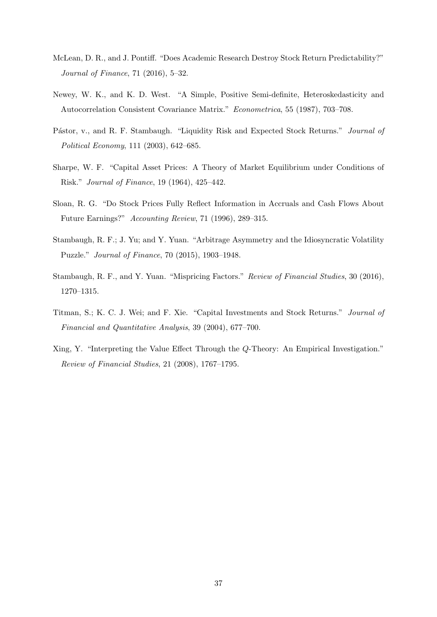- <span id="page-38-12"></span><span id="page-38-11"></span><span id="page-38-10"></span><span id="page-38-9"></span><span id="page-38-3"></span>McLean, D. R., and J. Pontiff. "Does Academic Research Destroy Stock Return Predictability?" Journal of Finance, 71 (2016), 5–32.
- <span id="page-38-8"></span>Newey, W. K., and K. D. West. "A Simple, Positive Semi-definite, Heteroskedasticity and Autocorrelation Consistent Covariance Matrix." Econometrica, 55 (1987), 703–708.
- <span id="page-38-2"></span>Pástor, v., and R. F. Stambaugh. "Liquidity Risk and Expected Stock Returns." Journal of Political Economy, 111 (2003), 642–685.
- <span id="page-38-1"></span>Sharpe, W. F. "Capital Asset Prices: A Theory of Market Equilibrium under Conditions of Risk." Journal of Finance, 19 (1964), 425–442.
- <span id="page-38-7"></span>Sloan, R. G. "Do Stock Prices Fully Reflect Information in Accruals and Cash Flows About Future Earnings?" Accounting Review, 71 (1996), 289–315.
- <span id="page-38-4"></span>Stambaugh, R. F.; J. Yu; and Y. Yuan. "Arbitrage Asymmetry and the Idiosyncratic Volatility Puzzle." Journal of Finance, 70 (2015), 1903–1948.
- <span id="page-38-0"></span>Stambaugh, R. F., and Y. Yuan. "Mispricing Factors." Review of Financial Studies, 30 (2016), 1270–1315.
- <span id="page-38-6"></span>Titman, S.; K. C. J. Wei; and F. Xie. "Capital Investments and Stock Returns." Journal of Financial and Quantitative Analysis, 39 (2004), 677–700.
- <span id="page-38-5"></span>Xing, Y. "Interpreting the Value Effect Through the Q-Theory: An Empirical Investigation." Review of Financial Studies, 21 (2008), 1767–1795.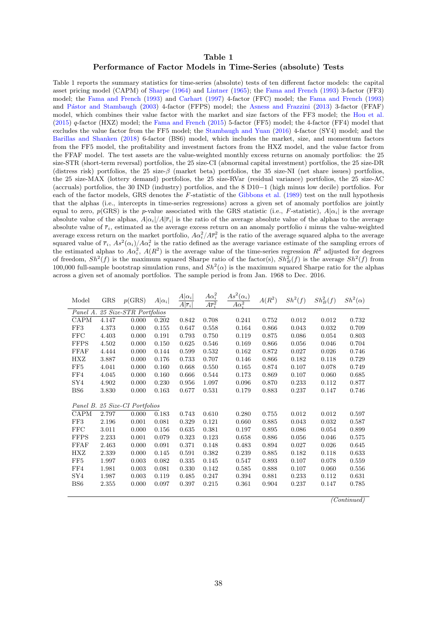#### <span id="page-39-1"></span>Table 1 Performance of Factor Models in Time-Series (absolute) Tests

<span id="page-39-0"></span>Table 1 reports the summary statistics for time-series (absolute) tests of ten different factor models: the capital asset pricing model (CAPM) of [Sharpe](#page-38-1) [\(1964\)](#page-38-1) and [Lintner](#page-37-0) [\(1965\)](#page-37-0); the [Fama and French](#page-35-3) [\(1993\)](#page-35-3) 3-factor (FF3) model; the [Fama and French](#page-35-3) [\(1993\)](#page-35-3) and [Carhart](#page-34-4) [\(1997\)](#page-34-4) 4-factor (FFC) model; the [Fama and French](#page-35-3) [\(1993\)](#page-35-3) and Pástor and Stambaugh [\(2003\)](#page-38-2) 4-factor (FFPS) model; the [Asness and Frazzini](#page-34-5) [\(2013\)](#page-34-5) 3-factor (FFAF) model, which combines their value factor with the market and size factors of the FF3 model; the [Hou et al.](#page-36-0) [\(2015\)](#page-36-0) q-factor (HXZ) model; the [Fama and French](#page-35-0) [\(2015\)](#page-35-0) 5-factor (FF5) model; the 4-factor (FF4) model that excludes the value factor from the FF5 model; the [Stambaugh and Yuan](#page-38-0) [\(2016\)](#page-38-0) 4-factor (SY4) model; and the [Barillas and Shanken](#page-34-0) [\(2018\)](#page-34-0) 6-factor (BS6) model, which includes the market, size, and momentum factors from the FF5 model, the profitability and investment factors from the HXZ model, and the value factor from the FFAF model. The test assets are the value-weighted monthly excess returns on anomaly portfolios: the 25 size-STR (short-term reversal) portfolios, the 25 size-CI (abnormal capital investment) portfolios, the 25 size-DR (distress risk) portfolios, the 25 size- $\beta$  (market beta) portfolios, the 35 size-NI (net share issues) portfolios, the 25 size-MAX (lottery demand) portfolios, the 25 size-RVar (residual variance) portfolios, the 25 size-AC (accruals) portfolios, the 30 IND (industry) portfolios, and the  $8 \text{ D10}-1$  (high minus low decile) portfolios. For each of the factor models, GRS denotes the F-statistic of the [Gibbons et al.](#page-36-12) [\(1989\)](#page-36-12) test on the null hypothesis that the alphas (i.e., intercepts in time-series regressions) across a given set of anomaly portfolios are jointly equal to zero,  $p(GRS)$  is the p-value associated with the GRS statistic (i.e., F-statistic),  $A|\alpha_i|$  is the average absolute value of the alphas,  $A|\alpha_i|/A|\overline{r}_i|$  is the ratio of the average absolute value of the alphas to the average absolute value of  $\bar{r}_i$ , estimated as the average excess return on an anomaly portfolio i minus the value-weighted average excess return on the market portfolio,  $A\alpha_i^2/A\overline{r}_i^2$  is the ratio of the average squared alpha to the average squared value of  $\bar{r}_i$ ,  $As^2(\alpha_i)/A\alpha_i^2$  is the ratio defined as the average variance estimate of the sampling errors of the estimated alphas to  $A\alpha_i^2$ ,  $A(R^2)$  is the average value of the time-series regression  $R^2$  adjusted for degrees of freedom,  $Sh^2(f)$  is the maximum squared Sharpe ratio of the factor(s),  $Sh^2_B(f)$  is the average  $Sh^2(f)$  from 100,000 full-sample bootstrap simulation runs, and  $Sh^2(\alpha)$  is the maximum squared Sharpe ratio for the alphas across a given set of anomaly portfolios. The sample period is from Jan. 1968 to Dec. 2016.

| Model           | <b>GRS</b> | p(GRS)                         | $A \alpha_i $ | $A \alpha_i $<br>$\overline{A \overline{r}_i }$ | $A\alpha_i^2$<br>$A\overline{r_i^2}$ | $As^2(\alpha_i)$<br>$A\alpha_i^2$ | $A(R^2)$ | $Sh^2(f)$ | $Sh_B^2(f)$ | $Sh^2(\alpha)$ |
|-----------------|------------|--------------------------------|---------------|-------------------------------------------------|--------------------------------------|-----------------------------------|----------|-----------|-------------|----------------|
| Panel A.        |            | 25 Size-STR Portfolios         |               |                                                 |                                      |                                   |          |           |             |                |
| CAPM            | 4.147      | 0.000                          | 0.202         | 0.842                                           | 0.708                                | 0.241                             | 0.752    | 0.012     | 0.012       | 0.732          |
| FF3             | 4.373      | 0.000                          | 0.155         | 0.647                                           | 0.558                                | 0.164                             | 0.866    | 0.043     | 0.032       | 0.709          |
| FFC             | 4.403      | 0.000                          | 0.191         | 0.793                                           | 0.750                                | 0.119                             | 0.875    | 0.086     | 0.054       | 0.803          |
| <b>FFPS</b>     | 4.502      | 0.000                          | 0.150         | 0.625                                           | 0.546                                | 0.169                             | 0.866    | 0.056     | 0.046       | 0.704          |
| <b>FFAF</b>     | 4.444      | 0.000                          | 0.144         | 0.599                                           | 0.532                                | 0.162                             | 0.872    | 0.027     | 0.026       | 0.746          |
| HXZ             | 3.887      | 0.000                          | 0.176         | 0.733                                           | 0.707                                | 0.146                             | 0.866    | 0.182     | 0.118       | 0.729          |
| FF5             | 4.041      | 0.000                          | 0.160         | 0.668                                           | 0.550                                | 0.165                             | 0.874    | 0.107     | 0.078       | 0.749          |
| FF4             | 4.045      | 0.000                          | 0.160         | 0.666                                           | 0.544                                | 0.173                             | 0.869    | 0.107     | 0.060       | 0.685          |
| SY4             | 4.902      | 0.000                          | 0.230         | 0.956                                           | 1.097                                | 0.096                             | 0.870    | 0.233     | 0.112       | 0.877          |
| BS <sub>6</sub> | 3.830      | 0.000                          | 0.163         | 0.677                                           | 0.531                                | 0.179                             | 0.883    | 0.237     | 0.147       | 0.746          |
|                 |            |                                |               |                                                 |                                      |                                   |          |           |             |                |
|                 |            | Panel B. 25 Size-CI Portfolios |               |                                                 |                                      |                                   |          |           |             |                |
| CAPM            | 2.797      | 0.000                          | 0.183         | 0.743                                           | 0.610                                | 0.280                             | 0.755    | 0.012     | 0.012       | 0.597          |
| FF3             | 2.196      | 0.001                          | 0.081         | 0.329                                           | 0.121                                | 0.660                             | 0.885    | 0.043     | 0.032       | 0.587          |
| <b>FFC</b>      | 3.011      | 0.000                          | 0.156         | 0.635                                           | 0.381                                | 0.197                             | 0.895    | 0.086     | 0.054       | 0.899          |
| <b>FFPS</b>     | 2.233      | 0.001                          | 0.079         | 0.323                                           | 0.123                                | 0.658                             | 0.886    | 0.056     | 0.046       | 0.575          |
| FFAF            | 2.463      | 0.000                          | 0.091         | 0.371                                           | 0.148                                | 0.483                             | 0.894    | 0.027     | 0.026       | 0.645          |
| HXZ             | 2.339      | 0.000                          | 0.145         | 0.591                                           | 0.382                                | 0.239                             | 0.885    | 0.182     | 0.118       | 0.633          |
| FF5             | 1.997      | 0.003                          | 0.082         | 0.335                                           | 0.145                                | 0.547                             | 0.893    | 0.107     | 0.078       | 0.559          |
| FF4             | 1.981      | 0.003                          | 0.081         | 0.330                                           | 0.142                                | 0.585                             | 0.888    | 0.107     | 0.060       | 0.556          |
| SY4             | 1.987      | 0.003                          | 0.119         | 0.485                                           | 0.247                                | 0.394                             | 0.881    | 0.233     | 0.112       | 0.631          |
| BS <sub>6</sub> | 2.355      | 0.000                          | 0.097         | 0.397                                           | 0.215                                | 0.361                             | 0.904    | 0.237     | 0.147       | 0.785          |
|                 |            |                                |               |                                                 |                                      |                                   |          |           |             |                |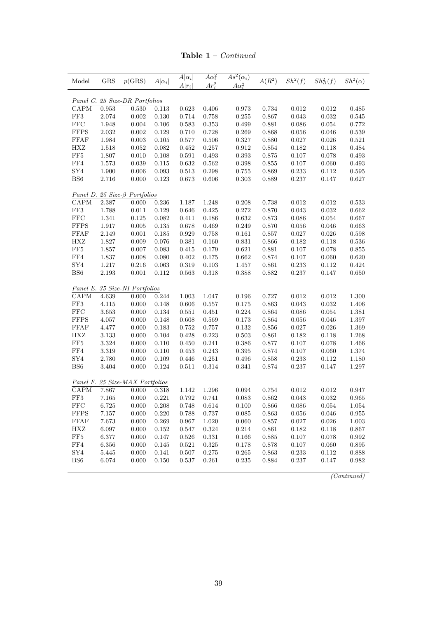Table 1 – Continued

|           | p(GRS)                                                 | $A \alpha_i $                             | $\overline{A} \alpha_i $<br>$\overline{A \overline{r}_i}$                                                                                                                                           | $A\alpha_i^2$<br>$\overline{A\overline{r}_{i}^{2}}$ | $As^2(\alpha_i)$<br>$A\alpha_i^2$                  | $A(R^2)$                                      | $Sh^2(f)$               | $Sh_B^2(f)$                                     | $Sh^2(\alpha)$          |
|-----------|--------------------------------------------------------|-------------------------------------------|-----------------------------------------------------------------------------------------------------------------------------------------------------------------------------------------------------|-----------------------------------------------------|----------------------------------------------------|-----------------------------------------------|-------------------------|-------------------------------------------------|-------------------------|
|           |                                                        |                                           |                                                                                                                                                                                                     |                                                     |                                                    |                                               |                         |                                                 |                         |
| 0.953     | 0.530                                                  | 0.113                                     | 0.623                                                                                                                                                                                               | 0.406                                               | 0.973                                              | 0.734                                         | $\,0.012\,$             | 0.012                                           | 0.485                   |
| 2.074     | 0.002                                                  | 0.130                                     | 0.714                                                                                                                                                                                               | 0.758                                               | 0.255                                              | 0.867                                         | 0.043                   | 0.032                                           | 0.545                   |
| 1.948     | 0.004                                                  | 0.106                                     | 0.583                                                                                                                                                                                               | $\,0.353\,$                                         | 0.499                                              | 0.881                                         | $\,0.086\,$             | $\,0.054\,$                                     | 0.772                   |
| $2.032\,$ | 0.002                                                  | $\,0.129\,$                               | 0.710                                                                                                                                                                                               | 0.728                                               | 0.269                                              | 0.868                                         | 0.056                   | 0.046                                           | 0.539                   |
| 1.984     | 0.003                                                  | 0.105                                     | 0.577                                                                                                                                                                                               | 0.506                                               | 0.327                                              | 0.880                                         | 0.027                   | 0.026                                           | 0.521                   |
| 1.518     | 0.052                                                  | 0.082                                     | 0.452                                                                                                                                                                                               | 0.257                                               | 0.912                                              | 0.854                                         | 0.182                   | 0.118                                           | 0.484                   |
| $1.807\,$ | 0.010                                                  | $0.108\,$                                 | 0.591                                                                                                                                                                                               | 0.493                                               | 0.393                                              | 0.875                                         | $0.107\,$               | $0.078\,$                                       | 0.493                   |
| 1.573     | 0.039                                                  | 0.115                                     | 0.632                                                                                                                                                                                               | 0.562                                               | 0.398                                              | 0.855                                         | 0.107                   | 0.060                                           | 0.493                   |
| $1.900\,$ | 0.006                                                  | 0.093                                     | 0.513                                                                                                                                                                                               | 0.298                                               | 0.755                                              | 0.869                                         | $\,0.233\,$             | 0.112                                           | $\!0.595\!$             |
| 2.716     | 0.000                                                  | 0.123                                     | 0.673                                                                                                                                                                                               | 0.606                                               | 0.303                                              | 0.889                                         | 0.237                   | 0.147                                           | 0.627                   |
|           |                                                        |                                           |                                                                                                                                                                                                     |                                                     |                                                    |                                               |                         |                                                 |                         |
| 2.387     | $0.000\,$                                              | $0.236\,$                                 | 1.187                                                                                                                                                                                               | 1.248                                               | $0.208\,$                                          | 0.738                                         | $\,0.012\,$             | $\,0.012\,$                                     | 0.533                   |
| $1.788\,$ | 0.011                                                  | 0.129                                     | 0.646                                                                                                                                                                                               | 0.425                                               | 0.272                                              | 0.870                                         | 0.043                   | 0.032                                           | 0.662                   |
| 1.341     | 0.125                                                  | 0.082                                     | 0.411                                                                                                                                                                                               | 0.186                                               | 0.632                                              | 0.873                                         | 0.086                   | 0.054                                           | 0.667                   |
| $1.917\,$ | $\,0.005\,$                                            | $0.135\,$                                 | 0.678                                                                                                                                                                                               | 0.469                                               | $0.249\,$                                          | $0.870\,$                                     | 0.056                   | 0.046                                           | 0.663                   |
| 2.149     | 0.001                                                  | 0.185                                     | 0.929                                                                                                                                                                                               | 0.758                                               | 0.161                                              | 0.857                                         | 0.027                   | 0.026                                           | 0.598                   |
| $1.827\,$ | 0.009                                                  | 0.076                                     | 0.381                                                                                                                                                                                               | 0.160                                               | 0.831                                              | 0.866                                         | 0.182                   | 0.118                                           | $\,0.536\,$             |
| 1.857     | 0.007                                                  | 0.083                                     | 0.415                                                                                                                                                                                               | 0.179                                               | 0.621                                              | 0.881                                         | 0.107                   | 0.078                                           | 0.855                   |
| $1.837\,$ | 0.008                                                  | 0.080                                     | 0.402                                                                                                                                                                                               | 0.175                                               | 0.662                                              | 0.874                                         | $0.107\,$               | 0.060                                           | 0.620                   |
|           |                                                        |                                           | 0.319                                                                                                                                                                                               |                                                     |                                                    | 0.861                                         |                         |                                                 | 0.424                   |
| 2.193     | 0.001                                                  | 0.112                                     | 0.563                                                                                                                                                                                               | $0.318\,$                                           | 0.388                                              | 0.882                                         | $0.237\,$               | 0.147                                           | 0.650                   |
|           |                                                        |                                           |                                                                                                                                                                                                     |                                                     |                                                    |                                               |                         |                                                 |                         |
| 4.639     | 0.000                                                  | 0.244                                     | 1.003                                                                                                                                                                                               | 1.047                                               |                                                    | 0.727                                         | $\,0.012\,$             | 0.012                                           | 1.300                   |
| 4.115     | 0.000                                                  | 0.148                                     | 0.606                                                                                                                                                                                               | 0.557                                               | 0.175                                              | 0.863                                         | 0.043                   | 0.032                                           | 1.406                   |
| $3.653\,$ | $0.000\,$                                              | 0.134                                     | 0.551                                                                                                                                                                                               | 0.451                                               | $0.224\,$                                          | 0.864                                         | 0.086                   | 0.054                                           | 1.381                   |
| 4.057     | 0.000                                                  | 0.148                                     | 0.608                                                                                                                                                                                               | 0.569                                               | 0.173                                              | 0.864                                         | 0.056                   | 0.046                                           | 1.397                   |
| $4.477\,$ | 0.000                                                  | 0.183                                     | 0.752                                                                                                                                                                                               | 0.757                                               | 0.132                                              | 0.856                                         | 0.027                   | 0.026                                           | 1.369                   |
| $3.133\,$ | 0.000                                                  | 0.104                                     | 0.428                                                                                                                                                                                               | $0.223\,$                                           | 0.503                                              | 0.861                                         | 0.182                   | 0.118                                           | 1.268                   |
| $3.324\,$ | 0.000                                                  | 0.110                                     | 0.450                                                                                                                                                                                               | 0.241                                               | 0.386                                              | 0.877                                         | 0.107                   | 0.078                                           | 1.466                   |
| $3.319\,$ | 0.000                                                  | 0.110                                     | 0.453                                                                                                                                                                                               | 0.243                                               | $\,0.395\,$                                        | $\,0.874\,$                                   | 0.107                   | 0.060                                           | 1.374                   |
| 2.780     | 0.000                                                  | 0.109                                     | 0.446                                                                                                                                                                                               | $0.251\,$                                           | $0.496\,$                                          | $0.858\,$                                     | $\rm 0.233$             | 0.112                                           | 1.180                   |
| $3.404\,$ | 0.000                                                  | 0.124                                     | 0.511                                                                                                                                                                                               | 0.314                                               | $\!0.341$                                          | 0.874                                         | $0.237\,$               | $0.147\,$                                       | $1.297\,$               |
|           |                                                        |                                           |                                                                                                                                                                                                     |                                                     |                                                    |                                               |                         |                                                 |                         |
| 7.867     | 0.000                                                  | 0.318                                     | 1.142                                                                                                                                                                                               | 1.296                                               | 0.094                                              | 0.754                                         | $\,0.012\,$             | 0.012                                           | 0.947                   |
| 7.165     |                                                        |                                           | $0.792\,$                                                                                                                                                                                           | 0.741                                               | $\,0.083\,$                                        | 0.862                                         | 0.043                   | $\,0.032\,$                                     | 0.965                   |
| 6.725     | 0.000                                                  | 0.208                                     | 0.748                                                                                                                                                                                               | 0.614                                               | 0.100                                              | 0.866                                         | 0.086                   | 0.054                                           | 1.054                   |
| 7.157     | 0.000                                                  | 0.220                                     | 0.788                                                                                                                                                                                               | 0.737                                               | 0.085                                              | 0.863                                         | 0.056                   | 0.046                                           | 0.955                   |
| 7.673     | 0.000                                                  | 0.269                                     | 0.967                                                                                                                                                                                               | 1.020                                               | 0.060                                              | 0.857                                         | 0.027                   | 0.026                                           | 1.003                   |
|           | 0.000                                                  | 0.152                                     | 0.547                                                                                                                                                                                               |                                                     | 0.214                                              | 0.861                                         | 0.182                   |                                                 | 0.867                   |
|           |                                                        | 0.147                                     |                                                                                                                                                                                                     |                                                     |                                                    |                                               |                         |                                                 | 0.992                   |
|           |                                                        |                                           | 0.521                                                                                                                                                                                               |                                                     |                                                    | 0.878                                         |                         | 0.060                                           | 0.895                   |
|           |                                                        |                                           |                                                                                                                                                                                                     |                                                     |                                                    |                                               |                         | 0.112                                           | 0.888                   |
|           |                                                        |                                           |                                                                                                                                                                                                     |                                                     | 0.235                                              |                                               |                         | 0.147                                           | 0.982                   |
|           | $1.217\,$<br>6.097<br>6.377<br>6.356<br>5.445<br>6.074 | 0.216<br>0.000<br>0.000<br>0.000<br>0.000 | Panel C. 25 Size-DR Portfolios<br>Panel D. 25 Size- $\beta$ Portfolios<br>0.063<br>Panel E. 35 Size-NI Portfolios<br>Panel F. 25 Size-MAX Portfolios<br>$0.000 \t 0.221$<br>0.145<br>0.141<br>0.150 | 0.526<br>0.507<br>0.537                             | 0.103<br>0.324<br>0.331<br>0.325<br>0.275<br>0.261 | 1.457<br>$0.196\,$<br>0.166<br>0.178<br>0.265 | 0.885<br>0.863<br>0.884 | $\,0.233\,$<br>0.107<br>0.107<br>0.233<br>0.237 | 0.112<br>0.118<br>0.078 |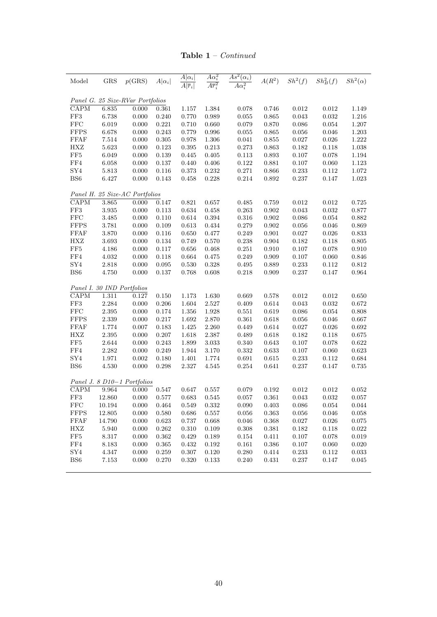| Table 1 | Continued |
|---------|-----------|
|         |           |

| Model                    | GRS       | p(GRS)                           | $A \alpha_i $ | $A \alpha_i $<br>$\overline{A \overline{r}_i }$ | $A\alpha_i^2$<br>$\overline{A\overline{r}_{i}^{2}}$ | $\overline{As^2(\alpha_i)}$<br>$A\alpha_i^2$ | $A(R^2)$    | $Sh^2(f)$   | $Sh_B^2(f)$ | $Sh^2(\alpha)$ |
|--------------------------|-----------|----------------------------------|---------------|-------------------------------------------------|-----------------------------------------------------|----------------------------------------------|-------------|-------------|-------------|----------------|
|                          |           | Panel G. 25 Size-RVar Portfolios |               |                                                 |                                                     |                                              |             |             |             |                |
| $\overline{\text{CAPM}}$ | 6.835     | 0.000                            | 0.361         | 1.157                                           | 1.384                                               | 0.078                                        | 0.746       | 0.012       | 0.012       | 1.149          |
| ${\rm FF3}$              | $6.738\,$ | 0.000                            | 0.240         | 0.770                                           | 0.989                                               | 0.055                                        | 0.865       | 0.043       | 0.032       | $1.216\,$      |
| ${\rm FFC}$              | 6.019     | 0.000                            | 0.221         | 0.710                                           | 0.660                                               | 0.079                                        | 0.870       | 0.086       | 0.054       | 1.207          |
| <b>FFPS</b>              | $6.678\,$ | 0.000                            | 0.243         | 0.779                                           | 0.996                                               | 0.055                                        | 0.865       | 0.056       | 0.046       | $1.203\,$      |
| FFAF                     | $7.514\,$ | 0.000                            | $\,0.305\,$   | 0.978                                           | $1.306\,$                                           | 0.041                                        | $\,0.855\,$ | 0.027       | 0.026       | $1.222\,$      |
| HXZ                      | 5.623     | 0.000                            | 0.123         | 0.395                                           | $0.213\,$                                           | 0.273                                        | 0.863       | $\,0.182\,$ | 0.118       | $1.038\,$      |
| $\rm FF5$                | $6.049\,$ | $0.000\,$                        | $\,0.139\,$   | 0.445                                           | $0.405\,$                                           | 0.113                                        | $\,0.893\,$ | $0.107\,$   | 0.078       | $1.194\,$      |
| FF4                      | 6.058     | 0.000                            | 0.137         | 0.440                                           | $0.406\,$                                           | 0.122                                        | 0.881       | $0.107\,$   | 0.060       | 1.123          |
| ${\rm SY4}$              | $5.813\,$ | $0.000\,$                        | 0.116         | 0.373                                           | $0.232\,$                                           | $0.271\,$                                    | $0.866\,$   | $0.233\,$   | $0.112\,$   | $1.072\,$      |
| $_{\rm BS6}$             | 6.427     | $0.000\,$                        | 0.143         | 0.458                                           | $0.228\,$                                           | $0.214\,$                                    | 0.892       | $0.237\,$   | 0.147       | $1.023\,$      |
|                          |           | Panel H. 25 Size-AC Portfolios   |               |                                                 |                                                     |                                              |             |             |             |                |
| $\overline{\text{CAPM}}$ | 3.865     | 0.000                            | 0.147         | 0.821                                           | 0.657                                               | 0.485                                        | 0.759       | 0.012       | 0.012       | 0.725          |
| ${\rm FF3}$              | $3.935\,$ | $0.000\,$                        | 0.113         | 0.634                                           | 0.458                                               | $\,0.263\,$                                  | $\,0.902\,$ | $\,0.043\,$ | 0.032       | 0.877          |
| <b>FFC</b>               | $3.485\,$ | $0.000\,$                        | 0.110         | 0.614                                           | $\,0.394\,$                                         | $0.316\,$                                    | 0.902       | 0.086       | 0.054       | 0.882          |
| <b>FFPS</b>              | $3.781\,$ | $0.000\,$                        | 0.109         | 0.613                                           | 0.434                                               | $0.279\,$                                    | $0.902\,$   | $\,0.056\,$ | 0.046       | 0.869          |
| FFAF                     | $3.870\,$ | 0.000                            | 0.116         | 0.650                                           | 0.477                                               | 0.249                                        | 0.901       | $0.027\,$   | 0.026       | 0.833          |
| HXZ                      | $3.693\,$ | $0.000\,$                        | $\,0.134\,$   | 0.749                                           | 0.570                                               | $0.238\,$                                    | $\,0.904\,$ | 0.182       | $0.118\,$   | $0.805\,$      |
| $\rm FF5$                | 4.186     | 0.000                            | 0.117         | 0.656                                           | $0.468\,$                                           | $0.251\,$                                    | 0.910       | $0.107\,$   | 0.078       | 0.910          |
| ${\rm FF4}$              | 4.032     | 0.000                            | 0.118         | 0.664                                           | 0.475                                               | 0.249                                        | 0.909       | 0.107       | 0.060       | 0.846          |
| ${\rm SY4}$              | 2.818     | 0.000                            | $\,0.095\,$   | 0.530                                           | 0.328                                               | 0.495                                        | 0.889       | $0.233\,$   | 0.112       | $0.812\,$      |
| BS <sub>6</sub>          | 4.750     | 0.000                            | 0.137         | 0.768                                           | 0.608                                               | 0.218                                        | 0.909       | 0.237       | 0.147       | 0.964          |
|                          |           | Panel I. 30 IND Portfolios       |               |                                                 |                                                     |                                              |             |             |             |                |
| CAPM                     | $1.311\,$ | 0.127                            | $0.150\,$     | 1.173                                           | 1.630                                               | 0.669                                        | 0.578       | 0.012       | 0.012       | 0.650          |
| FF3                      | 2.284     | 0.000                            | 0.206         | 1.604                                           | 2.527                                               | 0.409                                        | 0.614       | $\,0.043\,$ | 0.032       | 0.672          |
| ${\rm FFC}$              | $2.395\,$ | $0.000\,$                        | 0.174         | 1.356                                           | 1.928                                               | 0.551                                        | 0.619       | $\,0.086\,$ | 0.054       | 0.808          |
| <b>FFPS</b>              | $2.339\,$ | 0.000                            | 0.217         | 1.692                                           | 2.870                                               | 0.361                                        | 0.618       | 0.056       | 0.046       | 0.667          |
| FFAF                     | $1.774\,$ | 0.007                            | 0.183         | 1.425                                           | $2.260\,$                                           | 0.449                                        | 0.614       | 0.027       | 0.026       | 0.692          |
| ${\rm HXZ}$              | $2.395\,$ | 0.000                            | 0.207         | 1.618                                           | 2.387                                               | 0.489                                        | $0.618\,$   | $\rm 0.182$ | 0.118       | 0.675          |
| FF5                      | 2.644     | 0.000                            | 0.243         | 1.899                                           | 3.033                                               | 0.340                                        | 0.643       | 0.107       | 0.078       | $\,0.622\,$    |
| FF4                      | $2.282\,$ | $0.000\,$                        | 0.249         | $1.944\,$                                       | 3.170                                               | 0.332                                        | $\,0.633\,$ | 0.107       | $0.060\,$   | $\,0.623\,$    |
| ${\rm SY4}$              | 1.971     | 0.002                            | 0.180         | 1.401                                           | 1.774                                               | 0.691                                        | 0.615       | $0.233\,$   | 0.112       | $\,0.684\,$    |
| BS <sub>6</sub>          | 4.530     | 0.000                            | 0.298         | 2.327                                           | 4.545                                               | 0.254                                        | 0.641       | $0.237\,$   | 0.147       | 0.735          |
|                          |           | Panel J. 8 D10-1 Portfolios      |               |                                                 |                                                     |                                              |             |             |             |                |
| $\text{CAPM}$            | 9.964     | 0.000                            | 0.547         | 0.647                                           | 0.557                                               | 0.079                                        | 0.192       | 0.012       | 0.012       | 0.052          |
| FF3                      |           | 12.860   0.000   0.577           |               | 0.683                                           | 0.545                                               | 0.057                                        | 0.361       | 0.043       | 0.032       | 0.057          |
| $_{\rm FFC}$             | 10.194    | 0.000                            | 0.464         | 0.549                                           | 0.332                                               | 0.090                                        | 0.403       | 0.086       | 0.054       | 0.044          |
| <b>FFPS</b>              | 12.805    | 0.000                            | 0.580         | 0.686                                           | 0.557                                               | 0.056                                        | 0.363       | 0.056       | $0.046\,$   | 0.058          |
| FFAF                     | 14.790    | 0.000                            | 0.623         | 0.737                                           | 0.668                                               | 0.046                                        | 0.368       | 0.027       | 0.026       | 0.075          |
| ${\rm HXZ}$              | 5.940     | 0.000                            | 0.262         | 0.310                                           | 0.109                                               | 0.308                                        | 0.381       | 0.182       | 0.118       | 0.022          |
| FF5                      | $8.317\,$ | 0.000                            | 0.362         | 0.429                                           | 0.189                                               | 0.154                                        | $0.411\,$   | 0.107       | 0.078       | 0.019          |
|                          | 8.183     | 0.000                            | 0.365         | 0.432                                           | 0.192                                               | 0.161                                        | $0.386\,$   | 0.107       | 0.060       | 0.020          |
|                          |           |                                  |               |                                                 |                                                     |                                              |             |             |             |                |
| FF4<br>SY4               | $4.347\,$ | 0.000                            | 0.259         | 0.307                                           | 0.120                                               | $0.280\,$                                    | 0.414       | $\rm 0.233$ | 0.112       | 0.033          |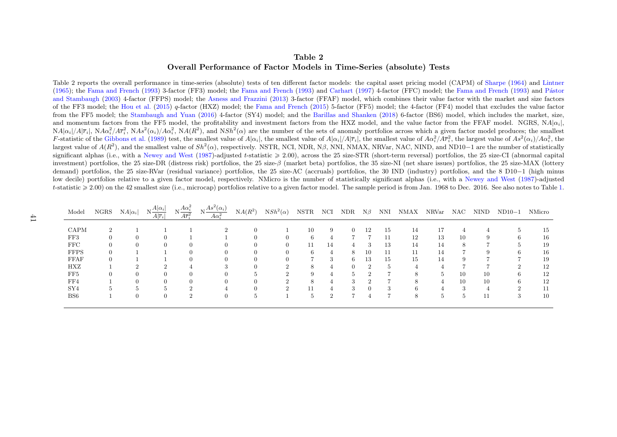## Table 2Overall Performance of Factor Models in Time-Series (absolute) Tests

Table <sup>2</sup> reports the overall performance in time-series (absolute) tests of ten different factor models: the capital asset pricing model (CAPM) of [Sharpe](#page-38-9) ([1964\)](#page-38-9) and [Lintner](#page-37-15) [\(1965\)](#page-37-15); the Fama and [French](#page-35-14) [\(1993\)](#page-35-14) 3-factor (FF3) model; the Fama and French ([1993\)](#page-35-14) and [Carhart](#page-34-14) ([1997\)](#page-34-14) 4-factor (FFC) model; the Fama and French (1993) and Pástor and [Stambaugh](#page-38-10) [\(2003\)](#page-38-10) 4-factor (FFPS) model; the Asness and [Frazzini](#page-34-15) ([2013\)](#page-34-15) 3-factor (FFAF) model, which combines their value factor with the market and size factors of the FF3 model; the [Hou](#page-36-13) et al. [\(2015\)](#page-36-13) <sup>q</sup>-factor (HXZ) model; the Fama and [French](#page-35-15) [\(2015\)](#page-35-15) 5-factor (FF5) model; the 4-factor (FF4) model that excludes the value factor from the FF5 model; the [Stambaugh](#page-38-11) and Yuan [\(2016\)](#page-38-11) 4-factor (SY4) model; and the Barillas and [Shanken](#page-34-16) [\(2018\)](#page-34-16) 6-factor (BS6) model, which includes the market, size, and momentum factors from the FF5 model, the profitability and investment factors from the HXZ model, and the value factor from the FFAF model. NGRS, NA| $\alpha_i$ |  $NA|\alpha_i|/A|\overline{r}_i|$ ,  $NA\alpha_i^2/AF_i^2$ ,  $NAs^2(\alpha_i)/A\alpha_i^2$ ,  $NA(R^2)$ , and  $NSh^2(\alpha)$  are the number of the sets of anomaly portfolios across which a given factor model produces; the smallest F-statistic of the [Gibbons](#page-36-14) et al. [\(1989\)](#page-36-14) test, the smallest value of  $A|\alpha_i|$ , the smallest value of  $A|\alpha_i|/A|\overline{r}_i|$ , the smallest value of  $A\alpha_i^2/A\overline{r}_i^2$ , the largest value of  $As^2(\alpha_i)/A\alpha_i^2$ , the largest value of  $A(R^2)$ , and the smallest value of  $Sh^2(\alpha)$ , respectively. NSTR, NCI, NDR, N $\beta$ , NNI, NMAX, NRVar, NAC, NIND, and ND10–1 are the number of statistically significant alphas (i.e., with a [Newey](#page-38-12) and West [\(1987\)](#page-38-12)-adjusted t-statistic  $\geq 2.00$ ), across the 25 size-STR (short-term reversal) portfolios, the 25 size-CI (abnormal capital) capital capital capital capital capital c investment) portfolios, the 25 size-DR (distress risk) portfolios, the 25 size- $\beta$  (market beta) portfolios, the 35 size-NI (net share issues) portfolios, the 25 size-MAX (lottery demand) portfolios, the 25 size-RVar (residual variance) portfolios, the 25 size-AC (accruals) portfolios, the 30 IND (industry) portfolios, and the 8 D10 $-1$  (high minus low decile) portfolios relative to <sup>a</sup> <sup>g</sup>iven factor model, respectively. NMicro is the number of statistically significant alphas (i.e., with <sup>a</sup> [Newey](#page-38-12) and West ([1987\)](#page-38-12)-adjustedt-statistic  $\geq 2.00$ ) on the 42 smallest size (i.e., microcap) portfolios relative to a given factor model. The sample period is from Jan. 1968 to Dec. 2016. See also notes to Table [1.](#page-39-1)

<span id="page-42-0"></span>

| Model           |          | NGRS $NA \alpha_i $ | $N\frac{A \alpha_i }{\cdots}$<br>$A \overline{r}_i $ | $N\frac{A\alpha_i^2}{A\overline{r}_i^2}$ | $N\frac{As^2(\alpha_i)}{s}$<br>$A\alpha_i^2$ | $NA(R^2)$    | $NSh^2(\alpha)$ | NSTR | NCI            | NDR | $N\beta$ | NNI | NMAX NRVar NAC |    |               | NIND | $ND10-1$     | NMicro |
|-----------------|----------|---------------------|------------------------------------------------------|------------------------------------------|----------------------------------------------|--------------|-----------------|------|----------------|-----|----------|-----|----------------|----|---------------|------|--------------|--------|
|                 |          |                     |                                                      |                                          |                                              |              |                 |      |                |     |          |     |                |    |               |      |              |        |
| CAPM            |          |                     |                                                      |                                          |                                              | 0            |                 | 10   | 9              | 0   | 12       | 15  | 14             | 17 |               |      |              | 15     |
| FF3             | $\left($ |                     | $\left($                                             |                                          |                                              |              | $\theta$        | 6    | 4              |     |          | 11  | 12             | 13 | 10            | 9    | <sub>b</sub> | 16     |
| $_{\rm FFC}$    |          |                     |                                                      |                                          |                                              |              | $\theta$        | 11   | 14             |     | 3        | 13  | 14             | 14 | 8             |      |              | 19     |
| <b>FFPS</b>     | $\Omega$ |                     |                                                      |                                          | $^{\circ}$                                   |              | $\Omega$        | 6.   | 4              | 8   | 10       | 11  | 11             | 14 |               | 9    |              | 16     |
| FFAF            | $\Omega$ |                     |                                                      |                                          | $^{\circ}$                                   |              | $\Omega$        |      | 3              | 6   | 13       | 15  | 15             | 14 | 9             |      |              | 19     |
| HXZ             |          |                     |                                                      |                                          |                                              |              |                 | 8    |                |     |          |     |                |    |               |      |              | 12     |
| FF5             |          |                     |                                                      |                                          | $^{\circ}$                                   |              |                 | 9    |                | h   |          |     | 8              | 5  | 10            | 10   |              | 12     |
| FF4             |          |                     |                                                      |                                          | 0                                            |              |                 | 8    | 4              | 3   |          |     | 8              |    | 10            | 10   |              | 12     |
| SY4             |          |                     | $\overline{5}$                                       | ച                                        |                                              |              | $\mathfrak{D}$  | 11   |                | 3   | 0        | 3   | b.             |    | $\Omega$      |      |              | 11     |
| BS <sub>6</sub> |          |                     | $\theta$                                             | $\mathfrak{D}$                           | 0                                            | <sub>3</sub> |                 | 5.   | $\mathfrak{D}$ |     |          |     | 8              | 5  | $\frac{5}{2}$ | 11   | 3            | 10     |
|                 |          |                     |                                                      |                                          |                                              |              |                 |      |                |     |          |     |                |    |               |      |              |        |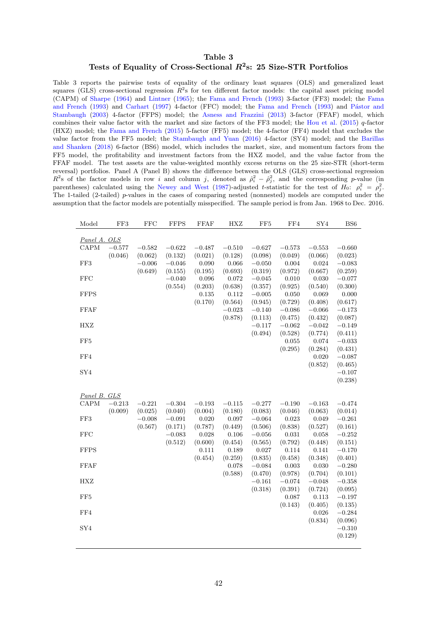## Table 3 Tests of Equality of Cross-Sectional  $R^2$ s: 25 Size-STR Portfolios

<span id="page-43-0"></span>Table 3 reports the pairwise tests of equality of the ordinary least squares (OLS) and generalized least squares (GLS) cross-sectional regression  $R^2$ s for ten different factor models: the capital asset pricing model (CAPM) of [Sharpe](#page-38-1) [\(1964\)](#page-38-1) and [Lintner](#page-37-0) [\(1965\)](#page-37-0); the [Fama and French](#page-35-3) [\(1993\)](#page-35-3) 3-factor (FF3) model; the [Fama](#page-35-3) [and French](#page-35-3) [\(1993\)](#page-35-3) and [Carhart](#page-34-4) [\(1997\)](#page-34-4) 4-factor (FFC) model; the [Fama and French](#page-35-3) (1993) and Pástor and [Stambaugh](#page-38-2) [\(2003\)](#page-38-2) 4-factor (FFPS) model; the [Asness and Frazzini](#page-34-5) [\(2013\)](#page-34-5) 3-factor (FFAF) model, which combines their value factor with the market and size factors of the FF3 model; the [Hou et al.](#page-36-0) [\(2015\)](#page-36-0)  $q$ -factor (HXZ) model; the [Fama and French](#page-35-0) [\(2015\)](#page-35-0) 5-factor (FF5) model; the 4-factor (FF4) model that excludes the value factor from the FF5 model; the [Stambaugh and Yuan](#page-38-0) [\(2016\)](#page-38-0) 4-factor (SY4) model; and the [Barillas](#page-34-0) [and Shanken](#page-34-0) [\(2018\)](#page-34-0) 6-factor (BS6) model, which includes the market, size, and momentum factors from the FF5 model, the profitability and investment factors from the HXZ model, and the value factor from the FFAF model. The test assets are the value-weighted monthly excess returns on the 25 size-STR (short-term reversal) portfolios. Panel A (Panel B) shows the difference between the OLS (GLS) cross-sectional regression  $R^2$ s of the factor models in row i and column j, denoted as  $\hat{\rho}_i^2 - \hat{\rho}_j^2$ , and the corresponding p-value (in parentheses) calculated using the [Newey and West](#page-38-8) [\(1987\)](#page-38-8)-adjusted t-statistic for the test of  $H_0$ :  $\rho_i^2 = \rho_j^2$ . The 1-tailed (2-tailed) p-values in the cases of comparing nested (nonnested) models are computed under the assumption that the factor models are potentially misspecified. The sample period is from Jan. 1968 to Dec. 2016.

| Model           | FF3      | <b>FFC</b> | <b>FFPS</b> | <b>FFAF</b> | <b>HXZ</b> | FF5      | FF4              | SY4              | BS <sub>6</sub>     |
|-----------------|----------|------------|-------------|-------------|------------|----------|------------------|------------------|---------------------|
| Panel A. OLS    |          |            |             |             |            |          |                  |                  |                     |
| $\text{CAPM}$   | $-0.577$ | $-0.582$   | $-0.622$    | $-0.487$    | $-0.510$   | $-0.627$ | $-0.573$         | $-0.553$         | $-0.660$            |
|                 | (0.046)  | (0.062)    | (0.132)     | (0.021)     | (0.128)    | (0.098)  | (0.049)          | (0.066)          | (0.023)             |
| FF3             |          | $-0.006$   | $-0.046$    | 0.090       | 0.066      | $-0.050$ | 0.004            | 0.024            | $-0.083$            |
|                 |          | (0.649)    | (0.155)     | (0.195)     | (0.693)    | (0.319)  | (0.972)          | (0.667)          | (0.259)             |
| <b>FFC</b>      |          |            | $-0.040$    | 0.096       | 0.072      | $-0.045$ | 0.010            | 0.030            | $-0.077$            |
|                 |          |            | (0.554)     | (0.203)     | (0.638)    | (0.357)  | (0.925)          | (0.540)          | (0.300)             |
| <b>FFPS</b>     |          |            |             | 0.135       | 0.112      | $-0.005$ | 0.050            | 0.069            | 0.000               |
|                 |          |            |             | (0.170)     | (0.564)    | (0.945)  | (0.729)          | (0.408)          | (0.617)             |
| FFAF            |          |            |             |             | $-0.023$   | $-0.140$ | $-0.086$         | $-0.066$         | $-0.173$            |
|                 |          |            |             |             | (0.878)    | (0.113)  | (0.475)          | (0.432)          | (0.087)             |
| HXZ             |          |            |             |             |            | $-0.117$ | $-0.062$         | $-0.042$         | $-0.149$            |
|                 |          |            |             |             |            | (0.494)  | (0.528)          | (0.774)          | (0.411)             |
| FF5             |          |            |             |             |            |          | 0.055            | 0.074            | $-0.033$            |
|                 |          |            |             |             |            |          | (0.295)          | (0.284)          | (0.431)             |
| FF4             |          |            |             |             |            |          |                  | 0.020            | $-0.087$            |
|                 |          |            |             |             |            |          |                  | (0.852)          | (0.465)             |
| ${\rm SY4}$     |          |            |             |             |            |          |                  |                  | $-0.107$            |
|                 |          |            |             |             |            |          |                  |                  | (0.238)             |
|                 |          |            |             |             |            |          |                  |                  |                     |
| Panel B. GLS    |          |            |             |             |            |          |                  |                  |                     |
| CAPM            | $-0.213$ | $-0.221$   | $-0.304$    | $-0.193$    | $-0.115$   | $-0.277$ | $-0.190$         | $-0.163$         | $-0.474$            |
|                 | (0.009)  | (0.025)    | (0.040)     | (0.004)     | (0.180)    | (0.083)  | (0.046)          | (0.063)          | (0.014)             |
| FF3             |          | $-0.008$   | $-0.091$    | 0.020       | 0.097      | $-0.064$ | 0.023            | 0.049            | $-0.261$            |
|                 |          | (0.567)    | (0.171)     | (0.787)     | (0.449)    | (0.506)  | (0.838)          | (0.527)          | (0.161)             |
| <b>FFC</b>      |          |            | $-0.083$    | 0.028       | 0.106      | $-0.056$ | 0.031            | 0.058            | $-0.252$            |
|                 |          |            | (0.512)     | (0.600)     | (0.454)    | (0.565)  | (0.792)          | (0.448)          | (0.151)             |
| <b>FFPS</b>     |          |            |             | 0.111       | 0.189      | 0.027    | 0.114            | 0.141            | $-0.170$            |
|                 |          |            |             | (0.454)     | (0.259)    | (0.835)  | (0.458)          | (0.348)          | (0.401)             |
| <b>FFAF</b>     |          |            |             |             | 0.078      | $-0.084$ | $\,0.003\,$      | 0.030            | $-0.280$            |
|                 |          |            |             |             | (0.588)    | (0.470)  | (0.978)          | (0.704)          | (0.101)             |
| HXZ             |          |            |             |             |            | $-0.161$ | $-0.074$         | $-0.048$         | $-0.358$            |
| FF <sub>5</sub> |          |            |             |             |            | (0.318)  | (0.391)<br>0.087 | (0.724)<br>0.113 | (0.095)<br>$-0.197$ |
|                 |          |            |             |             |            |          | (0.143)          | (0.405)          | (0.135)             |
| FF4             |          |            |             |             |            |          |                  | 0.026            | $-0.284$            |
|                 |          |            |             |             |            |          |                  | (0.834)          | (0.096)             |
| SY4             |          |            |             |             |            |          |                  |                  | $-0.310$            |
|                 |          |            |             |             |            |          |                  |                  | (0.129)             |
|                 |          |            |             |             |            |          |                  |                  |                     |
|                 |          |            |             |             |            |          |                  |                  |                     |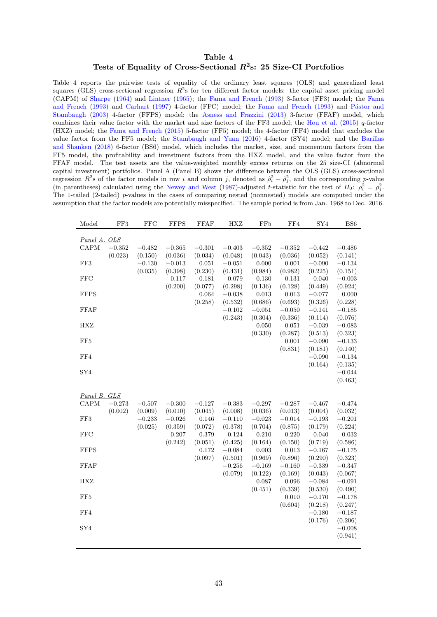## Table 4 Tests of Equality of Cross-Sectional  $R^2$ s: 25 Size-CI Portfolios

<span id="page-44-0"></span>Table 4 reports the pairwise tests of equality of the ordinary least squares (OLS) and generalized least squares (GLS) cross-sectional regression  $R^2$ s for ten different factor models: the capital asset pricing model (CAPM) of [Sharpe](#page-38-1) [\(1964\)](#page-38-1) and [Lintner](#page-37-0) [\(1965\)](#page-37-0); the [Fama and French](#page-35-3) [\(1993\)](#page-35-3) 3-factor (FF3) model; the [Fama](#page-35-3) [and French](#page-35-3) [\(1993\)](#page-35-3) and [Carhart](#page-34-4) [\(1997\)](#page-34-4) 4-factor (FFC) model; the [Fama and French](#page-35-3) (1993) and Pástor and [Stambaugh](#page-38-2) [\(2003\)](#page-38-2) 4-factor (FFPS) model; the [Asness and Frazzini](#page-34-5) [\(2013\)](#page-34-5) 3-factor (FFAF) model, which combines their value factor with the market and size factors of the FF3 model; the [Hou et al.](#page-36-0) [\(2015\)](#page-36-0)  $q$ -factor (HXZ) model; the [Fama and French](#page-35-0) [\(2015\)](#page-35-0) 5-factor (FF5) model; the 4-factor (FF4) model that excludes the value factor from the FF5 model; the [Stambaugh and Yuan](#page-38-0) [\(2016\)](#page-38-0) 4-factor (SY4) model; and the [Barillas](#page-34-0) [and Shanken](#page-34-0) [\(2018\)](#page-34-0) 6-factor (BS6) model, which includes the market, size, and momentum factors from the FF5 model, the profitability and investment factors from the HXZ model, and the value factor from the FFAF model. The test assets are the value-weighted monthly excess returns on the 25 size-CI (abnormal capital investment) portfolios. Panel A (Panel B) shows the difference between the OLS (GLS) cross-sectional regression  $R^2$ s of the factor models in row i and column j, denoted as  $\hat{\rho}_i^2 - \hat{\rho}_j^2$ , and the corresponding p-value (in parentheses) calculated using the [Newey and West](#page-38-8) [\(1987\)](#page-38-8)-adjusted t-statistic for the test of  $H_0$ :  $\rho_i^2 = \rho_j^2$ . The 1-tailed (2-tailed) p-values in the cases of comparing nested (nonnested) models are computed under the assumption that the factor models are potentially misspecified. The sample period is from Jan. 1968 to Dec. 2016.

| Model                    | FF3      | <b>FFC</b> | <b>FFPS</b> | <b>FFAF</b> | <b>HXZ</b>          | FF <sub>5</sub>     | FF4                 | SY4                 | BS <sub>6</sub>     |
|--------------------------|----------|------------|-------------|-------------|---------------------|---------------------|---------------------|---------------------|---------------------|
|                          |          |            |             |             |                     |                     |                     |                     |                     |
| Panel A. OLS             |          |            |             |             |                     |                     |                     |                     |                     |
| CAPM                     | $-0.352$ | $-0.482$   | $-0.365$    | $-0.301$    | $-0.403$            | $-0.352$            | $-0.352$            | $-0.442$            | $-0.486$            |
|                          | (0.023)  | (0.150)    | (0.036)     | (0.034)     | (0.048)             | (0.043)             | (0.036)             | (0.052)             | (0.141)             |
| FF3                      |          | $-0.130$   | $-0.013$    | 0.051       | $-0.051$            | 0.000               | $0.001\,$           | $-0.090$            | $-0.134$            |
|                          |          | (0.035)    | (0.398)     | (0.230)     | (0.431)             | (0.984)             | (0.982)             | (0.225)             | (0.151)             |
| <b>FFC</b>               |          |            | 0.117       | 0.181       | 0.079               | 0.130               | 0.131               | 0.040               | $-0.003$            |
|                          |          |            | (0.200)     | (0.077)     | (0.298)             | (0.136)             | (0.128)             | (0.449)             | (0.924)             |
| <b>FFPS</b>              |          |            |             | 0.064       | $-0.038$            | 0.013               | 0.013               | $-0.077$            | 0.000               |
| <b>FFAF</b>              |          |            |             | (0.258)     | (0.532)<br>$-0.102$ | (0.686)<br>$-0.051$ | (0.693)<br>$-0.050$ | (0.326)<br>$-0.141$ | (0.228)<br>$-0.185$ |
|                          |          |            |             |             | (0.243)             | (0.304)             | (0.336)             | (0.114)             | (0.076)             |
| HXZ                      |          |            |             |             |                     | 0.050               | 0.051               | $-0.039$            | $-0.083$            |
|                          |          |            |             |             |                     | (0.330)             | (0.287)             | (0.513)             | (0.323)             |
| FF5                      |          |            |             |             |                     |                     | 0.001               | $-0.090$            | $-0.133$            |
|                          |          |            |             |             |                     |                     | (0.831)             | (0.181)             | (0.140)             |
| FF4                      |          |            |             |             |                     |                     |                     | $-0.090$            | $-0.134$            |
|                          |          |            |             |             |                     |                     |                     | (0.164)             | (0.135)             |
| SY <sub>4</sub>          |          |            |             |             |                     |                     |                     |                     | $-0.044$            |
|                          |          |            |             |             |                     |                     |                     |                     | (0.463)             |
|                          |          |            |             |             |                     |                     |                     |                     |                     |
| Panel B. GLS             |          |            |             |             |                     |                     |                     |                     |                     |
| $\mathop{\mathrm{CAPM}}$ | $-0.273$ | $-0.507$   | $-0.300\,$  | $-0.127$    | $-0.383$            | $-0.297$            | $-0.287$            | $-0.467$            | $-0.474$            |
|                          | (0.002)  | (0.009)    | (0.010)     | (0.045)     | (0.008)             | (0.036)             | (0.013)             | (0.004)             | (0.032)             |
| FF3                      |          | $-0.233$   | $-0.026$    | 0.146       | $-0.110$            | $-0.023$            | $-0.014$            | $-0.193$            | $-0.201$            |
|                          |          | (0.025)    | (0.359)     | (0.072)     | (0.378)             | (0.704)             | (0.875)             | (0.179)             | (0.224)             |
| <b>FFC</b>               |          |            | 0.207       | 0.379       | 0.124               | 0.210               | 0.220               | 0.040               | 0.032               |
|                          |          |            | (0.242)     | (0.051)     | (0.425)             | (0.164)             | (0.150)             | (0.719)             | (0.586)             |
| <b>FFPS</b>              |          |            |             | 0.172       | $-0.084$            | 0.003               | $\,0.013\,$         | $-0.167$            | $-0.175$            |
|                          |          |            |             | (0.097)     | (0.501)             | (0.969)             | (0.896)             | (0.290)             | (0.323)             |
| FFAF                     |          |            |             |             | $-0.256$            | $-0.169$            | $-0.160$            | $-0.339\,$          | $-0.347$            |
|                          |          |            |             |             | (0.079)             | (0.122)             | (0.169)             | (0.043)             | (0.067)             |
| HXZ                      |          |            |             |             |                     | 0.087               | 0.096               | $-0.084$            | $-0.091$            |
|                          |          |            |             |             |                     | (0.451)             | (0.339)             | (0.530)             | (0.490)             |
| FF <sub>5</sub>          |          |            |             |             |                     |                     | 0.010               | $-0.170$            | $-0.178$            |
|                          |          |            |             |             |                     |                     | (0.604)             | (0.218)             | (0.247)             |
| FF4                      |          |            |             |             |                     |                     |                     | $-0.180$            | $-0.187$            |
|                          |          |            |             |             |                     |                     |                     | (0.176)             | (0.206)             |
| SY4                      |          |            |             |             |                     |                     |                     |                     | $-0.008$            |
|                          |          |            |             |             |                     |                     |                     |                     | (0.941)             |
|                          |          |            |             |             |                     |                     |                     |                     |                     |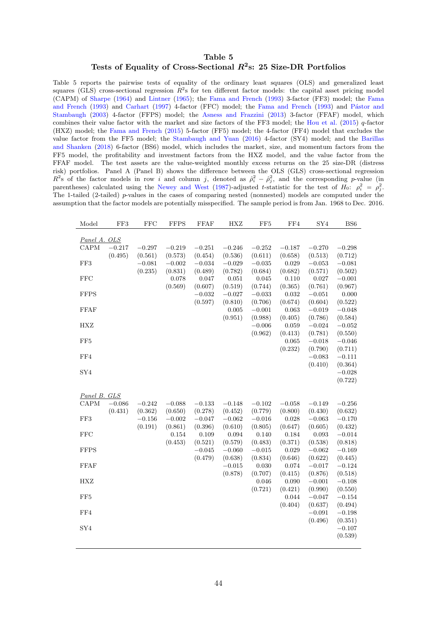## Table 5 Tests of Equality of Cross-Sectional  $R^2$ s: 25 Size-DR Portfolios

<span id="page-45-0"></span>Table 5 reports the pairwise tests of equality of the ordinary least squares (OLS) and generalized least squares (GLS) cross-sectional regression  $R^2$ s for ten different factor models: the capital asset pricing model (CAPM) of [Sharpe](#page-38-1) [\(1964\)](#page-38-1) and [Lintner](#page-37-0) [\(1965\)](#page-37-0); the [Fama and French](#page-35-3) [\(1993\)](#page-35-3) 3-factor (FF3) model; the [Fama](#page-35-3) [and French](#page-35-3) [\(1993\)](#page-35-3) and [Carhart](#page-34-4) [\(1997\)](#page-34-4) 4-factor (FFC) model; the [Fama and French](#page-35-3) (1993) and Pástor and [Stambaugh](#page-38-2) [\(2003\)](#page-38-2) 4-factor (FFPS) model; the [Asness and Frazzini](#page-34-5) [\(2013\)](#page-34-5) 3-factor (FFAF) model, which combines their value factor with the market and size factors of the FF3 model; the [Hou et al.](#page-36-0) [\(2015\)](#page-36-0)  $q$ -factor (HXZ) model; the [Fama and French](#page-35-0) [\(2015\)](#page-35-0) 5-factor (FF5) model; the 4-factor (FF4) model that excludes the value factor from the FF5 model; the [Stambaugh and Yuan](#page-38-0) [\(2016\)](#page-38-0) 4-factor (SY4) model; and the [Barillas](#page-34-0) [and Shanken](#page-34-0) [\(2018\)](#page-34-0) 6-factor (BS6) model, which includes the market, size, and momentum factors from the FF5 model, the profitability and investment factors from the HXZ model, and the value factor from the FFAF model. The test assets are the value-weighted monthly excess returns on the 25 size-DR (distress risk) portfolios. Panel A (Panel B) shows the difference between the OLS (GLS) cross-sectional regression  $R^2$ s of the factor models in row i and column j, denoted as  $\hat{\rho}_i^2 - \hat{\rho}_j^2$ , and the corresponding p-value (in parentheses) calculated using the [Newey and West](#page-38-8) [\(1987\)](#page-38-8)-adjusted t-statistic for the test of  $H_0$ :  $\rho_i^2 = \rho_j^2$ . The 1-tailed (2-tailed) p-values in the cases of comparing nested (nonnested) models are computed under the assumption that the factor models are potentially misspecified. The sample period is from Jan. 1968 to Dec. 2016.

| Model           | FF3                 | <b>FFC</b>          | <b>FFPS</b>         | <b>FFAF</b>         | <b>HXZ</b>          | FF <sub>5</sub>     | FF4                 | SY4                 | BS <sub>6</sub>     |
|-----------------|---------------------|---------------------|---------------------|---------------------|---------------------|---------------------|---------------------|---------------------|---------------------|
| Panel A. OLS    |                     |                     |                     |                     |                     |                     |                     |                     |                     |
| CAPM            | $-0.217$            | $-0.297$            | $-0.219$            | $-0.251$            | $-0.246$            | $-0.252$            | $-0.187$            | $-0.270$            | $-0.298$            |
|                 | (0.495)             | (0.561)             | (0.573)             | (0.454)             | (0.536)             | (0.611)             | (0.658)             | (0.513)             | (0.712)             |
| FF3             |                     | $-0.081$            | $-0.002\,$          | $-0.034\,$          | $-0.029$            | $-0.035\,$          | 0.029               | $-0.053$            | $-0.081$            |
|                 |                     | (0.235)             | (0.831)             | (0.489)             | (0.782)             | (0.684)             | (0.682)             | (0.571)             | (0.502)             |
| $_{\rm FFC}$    |                     |                     | 0.078               | 0.047               | 0.051               | 0.045               | 0.110               | 0.027               | $-0.001$            |
|                 |                     |                     | (0.569)             | (0.607)             | (0.519)             | (0.744)             | (0.365)             | (0.761)             | (0.967)             |
| <b>FFPS</b>     |                     |                     |                     | $-0.032$            | $-0.027$            | $-0.033$            | 0.032               | $-0.051$            | 0.000               |
| <b>FFAF</b>     |                     |                     |                     | (0.597)             | (0.810)<br>0.005    | (0.706)<br>$-0.001$ | (0.674)<br>0.063    | (0.604)<br>$-0.019$ | (0.522)<br>$-0.048$ |
|                 |                     |                     |                     |                     | (0.951)             | (0.988)             | (0.405)             | (0.786)             | (0.584)             |
| HXZ             |                     |                     |                     |                     |                     | $-0.006$            | 0.059               | $-0.024$            | $-0.052$            |
|                 |                     |                     |                     |                     |                     | (0.962)             | (0.413)             | (0.781)             | (0.550)             |
| FF <sub>5</sub> |                     |                     |                     |                     |                     |                     | 0.065               | $-0.018$            | $-0.046$            |
|                 |                     |                     |                     |                     |                     |                     | (0.232)             | (0.790)             | (0.711)             |
| FF4             |                     |                     |                     |                     |                     |                     |                     | $-0.083$            | $-0.111$            |
|                 |                     |                     |                     |                     |                     |                     |                     | (0.410)             | (0.364)             |
| SY4             |                     |                     |                     |                     |                     |                     |                     |                     | $-0.028$            |
|                 |                     |                     |                     |                     |                     |                     |                     |                     | (0.722)             |
|                 |                     |                     |                     |                     |                     |                     |                     |                     |                     |
| Panel B. GLS    |                     |                     |                     |                     |                     |                     |                     |                     |                     |
| CAPM            | $-0.086$<br>(0.431) | $-0.242$<br>(0.362) | $-0.088$<br>(0.650) | $-0.133$<br>(0.278) | $-0.148$            | $-0.102$<br>(0.779) | $-0.058$<br>(0.800) | $-0.149$<br>(0.430) | $-0.256$<br>(0.632) |
| FF3             |                     | $-0.156$            | $-0.002$            | $-0.047\,$          | (0.452)<br>$-0.062$ | $-0.016\,$          | 0.028               | $-0.063$            | $-0.170$            |
|                 |                     | (0.191)             | (0.861)             | (0.396)             | (0.610)             | (0.805)             | (0.647)             | (0.605)             | (0.432)             |
| <b>FFC</b>      |                     |                     | 0.154               | 0.109               | 0.094               | 0.140               | 0.184               | 0.093               | $-0.014$            |
|                 |                     |                     | (0.453)             | (0.521)             | (0.579)             | (0.483)             | (0.371)             | (0.538)             | (0.818)             |
| <b>FFPS</b>     |                     |                     |                     | $-0.045$            | $-0.060$            | $-0.015$            | 0.029               | $-0.062$            | $-0.169$            |
|                 |                     |                     |                     | (0.479)             | (0.638)             | (0.834)             | (0.646)             | (0.622)             | (0.445)             |
| FFAF            |                     |                     |                     |                     | $-0.015$            | 0.030               | 0.074               | $-0.017$            | $-0.124$            |
|                 |                     |                     |                     |                     | (0.878)             | (0.707)             | (0.415)             | (0.876)             | (0.518)             |
| HXZ             |                     |                     |                     |                     |                     | 0.046               | 0.090               | $-0.001$            | $-0.108$            |
|                 |                     |                     |                     |                     |                     | (0.721)             | (0.421)             | (0.990)             | (0.550)             |
| FF <sub>5</sub> |                     |                     |                     |                     |                     |                     | 0.044               | $-0.047$            | $-0.154$            |
| FF4             |                     |                     |                     |                     |                     |                     | (0.404)             | (0.637)<br>$-0.091$ | (0.494)             |
|                 |                     |                     |                     |                     |                     |                     |                     | (0.496)             | $-0.198$<br>(0.351) |
| SY4             |                     |                     |                     |                     |                     |                     |                     |                     | $-0.107$            |
|                 |                     |                     |                     |                     |                     |                     |                     |                     | (0.539)             |
|                 |                     |                     |                     |                     |                     |                     |                     |                     |                     |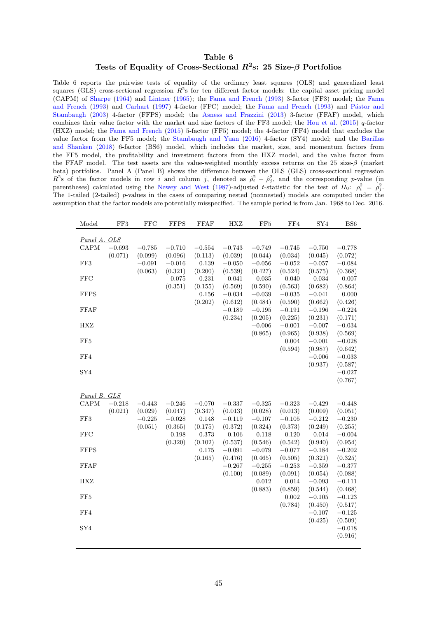## Table 6 Tests of Equality of Cross-Sectional  $R^2$ s: 25 Size- $\beta$  Portfolios

<span id="page-46-0"></span>Table 6 reports the pairwise tests of equality of the ordinary least squares (OLS) and generalized least squares (GLS) cross-sectional regression  $R^2$ s for ten different factor models: the capital asset pricing model (CAPM) of [Sharpe](#page-38-1) [\(1964\)](#page-38-1) and [Lintner](#page-37-0) [\(1965\)](#page-37-0); the [Fama and French](#page-35-3) [\(1993\)](#page-35-3) 3-factor (FF3) model; the [Fama](#page-35-3) [and French](#page-35-3) [\(1993\)](#page-35-3) and [Carhart](#page-34-4) [\(1997\)](#page-34-4) 4-factor (FFC) model; the [Fama and French](#page-35-3) (1993) and Pástor and [Stambaugh](#page-38-2) [\(2003\)](#page-38-2) 4-factor (FFPS) model; the [Asness and Frazzini](#page-34-5) [\(2013\)](#page-34-5) 3-factor (FFAF) model, which combines their value factor with the market and size factors of the FF3 model; the [Hou et al.](#page-36-0) [\(2015\)](#page-36-0)  $q$ -factor (HXZ) model; the [Fama and French](#page-35-0) [\(2015\)](#page-35-0) 5-factor (FF5) model; the 4-factor (FF4) model that excludes the value factor from the FF5 model; the [Stambaugh and Yuan](#page-38-0) [\(2016\)](#page-38-0) 4-factor (SY4) model; and the [Barillas](#page-34-0) [and Shanken](#page-34-0) [\(2018\)](#page-34-0) 6-factor (BS6) model, which includes the market, size, and momentum factors from the FF5 model, the profitability and investment factors from the HXZ model, and the value factor from the FFAF model. The test assets are the value-weighted monthly excess returns on the 25 size-β (market beta) portfolios. Panel A (Panel B) shows the difference between the OLS (GLS) cross-sectional regression  $R^2$ s of the factor models in row i and column j, denoted as  $\hat{\rho}_i^2 - \hat{\rho}_j^2$ , and the corresponding p-value (in parentheses) calculated using the [Newey and West](#page-38-8) [\(1987\)](#page-38-8)-adjusted t-statistic for the test of  $H_0$ :  $\rho_i^2 = \rho_j^2$ . The 1-tailed (2-tailed) p-values in the cases of comparing nested (nonnested) models are computed under the assumption that the factor models are potentially misspecified. The sample period is from Jan. 1968 to Dec. 2016.

| Model           | FF3      | <b>FFC</b> | <b>FFPS</b> | <b>FFAF</b> | <b>HXZ</b> | FF <sub>5</sub> | FF4      | SY4                 | BS <sub>6</sub>     |
|-----------------|----------|------------|-------------|-------------|------------|-----------------|----------|---------------------|---------------------|
| Panel A. OLS    |          |            |             |             |            |                 |          |                     |                     |
| CAPM            | $-0.693$ | $-0.785$   | $-0.710$    | $-0.554$    | $-0.743$   | $-0.749$        | $-0.745$ | $-0.750$            | $-0.778$            |
|                 | (0.071)  | (0.099)    | (0.096)     | (0.113)     | (0.039)    | (0.044)         | (0.034)  | (0.045)             | (0.072)             |
| FF3             |          | $-0.091$   | $-0.016$    | 0.139       | $-0.050$   | $-0.056$        | $-0.052$ | $-0.057$            | $-0.084$            |
|                 |          | (0.063)    | (0.321)     | (0.200)     | (0.539)    | (0.427)         | (0.524)  | (0.575)             | (0.368)             |
| <b>FFC</b>      |          |            | 0.075       | 0.231       | 0.041      | 0.035           | 0.040    | 0.034               | 0.007               |
|                 |          |            | (0.351)     | (0.155)     | (0.569)    | (0.590)         | (0.563)  | (0.682)             | (0.864)             |
| <b>FFPS</b>     |          |            |             | 0.156       | $-0.034$   | $-0.039$        | $-0.035$ | $-0.041$            | 0.000               |
|                 |          |            |             | (0.202)     | (0.612)    | (0.484)         | (0.590)  | (0.662)             | (0.426)             |
| FFAF            |          |            |             |             | $-0.189$   | $-0.195$        | $-0.191$ | $-0.196$            | $-0.224$            |
|                 |          |            |             |             | (0.234)    | (0.205)         | (0.225)  | (0.231)             | (0.171)             |
| <b>HXZ</b>      |          |            |             |             |            | $-0.006$        | $-0.001$ | $-0.007$            | $-0.034$            |
|                 |          |            |             |             |            | (0.865)         | (0.965)  | (0.938)             | (0.569)             |
| FF5             |          |            |             |             |            |                 | 0.004    | $-0.001$            | $-0.028$            |
|                 |          |            |             |             |            |                 | (0.594)  | (0.987)             | (0.642)             |
| FF4             |          |            |             |             |            |                 |          | $-0.006$<br>(0.937) | $-0.033$            |
| SY4             |          |            |             |             |            |                 |          |                     | (0.587)<br>$-0.027$ |
|                 |          |            |             |             |            |                 |          |                     | (0.767)             |
|                 |          |            |             |             |            |                 |          |                     |                     |
| Panel B. GLS    |          |            |             |             |            |                 |          |                     |                     |
| CAPM            | $-0.218$ | $-0.443$   | $-0.246$    | $-0.070$    | $-0.337$   | $-0.325$        | $-0.323$ | $-0.429$            | $-0.448$            |
|                 | (0.021)  | (0.029)    | (0.047)     | (0.347)     | (0.013)    | (0.028)         | (0.013)  | (0.009)             | (0.051)             |
| FF3             |          | $-0.225$   | $-0.028$    | 0.148       | $-0.119$   | $-0.107$        | $-0.105$ | $-0.212$            | $-0.230$            |
|                 |          | (0.051)    | (0.365)     | (0.175)     | (0.372)    | (0.324)         | (0.373)  | (0.249)             | (0.255)             |
| <b>FFC</b>      |          |            | 0.198       | 0.373       | 0.106      | 0.118           | 0.120    | 0.014               | $-0.004$            |
|                 |          |            | (0.320)     | (0.102)     | (0.537)    | (0.546)         | (0.542)  | (0.940)             | (0.954)             |
| <b>FFPS</b>     |          |            |             | 0.175       | $-0.091$   | $-0.079$        | $-0.077$ | $-0.184$            | $-0.202$            |
|                 |          |            |             | (0.165)     | (0.476)    | (0.465)         | (0.505)  | (0.321)             | (0.325)             |
| FFAF            |          |            |             |             | $-0.267$   | $-0.255$        | $-0.253$ | $-0.359$            | $-0.377$            |
|                 |          |            |             |             | (0.100)    | (0.089)         | (0.091)  | (0.054)             | (0.088)             |
| HXZ             |          |            |             |             |            | 0.012           | 0.014    | $-0.093$            | $-0.111$            |
|                 |          |            |             |             |            | (0.883)         | (0.859)  | (0.544)             | (0.468)             |
| FF <sub>5</sub> |          |            |             |             |            |                 | 0.002    | $-0.105$            | $-0.123$            |
|                 |          |            |             |             |            |                 | (0.784)  | (0.450)             | (0.517)             |
| FF4             |          |            |             |             |            |                 |          | $-0.107$            | $-0.125$            |
|                 |          |            |             |             |            |                 |          | (0.425)             | (0.509)             |
| SY4             |          |            |             |             |            |                 |          |                     | $-0.018$            |
|                 |          |            |             |             |            |                 |          |                     | (0.916)             |
|                 |          |            |             |             |            |                 |          |                     |                     |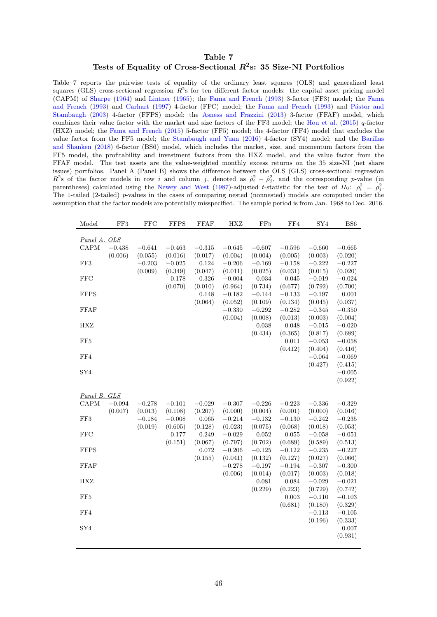## Table 7 Tests of Equality of Cross-Sectional  $R^2$ s: 35 Size-NI Portfolios

<span id="page-47-0"></span>Table 7 reports the pairwise tests of equality of the ordinary least squares (OLS) and generalized least squares (GLS) cross-sectional regression  $R^2$ s for ten different factor models: the capital asset pricing model (CAPM) of [Sharpe](#page-38-1) [\(1964\)](#page-38-1) and [Lintner](#page-37-0) [\(1965\)](#page-37-0); the [Fama and French](#page-35-3) [\(1993\)](#page-35-3) 3-factor (FF3) model; the [Fama](#page-35-3) [and French](#page-35-3) [\(1993\)](#page-35-3) and [Carhart](#page-34-4) [\(1997\)](#page-34-4) 4-factor (FFC) model; the [Fama and French](#page-35-3) (1993) and Pástor and [Stambaugh](#page-38-2) [\(2003\)](#page-38-2) 4-factor (FFPS) model; the [Asness and Frazzini](#page-34-5) [\(2013\)](#page-34-5) 3-factor (FFAF) model, which combines their value factor with the market and size factors of the FF3 model; the [Hou et al.](#page-36-0) [\(2015\)](#page-36-0)  $q$ -factor (HXZ) model; the [Fama and French](#page-35-0) [\(2015\)](#page-35-0) 5-factor (FF5) model; the 4-factor (FF4) model that excludes the value factor from the FF5 model; the [Stambaugh and Yuan](#page-38-0) [\(2016\)](#page-38-0) 4-factor (SY4) model; and the [Barillas](#page-34-0) [and Shanken](#page-34-0) [\(2018\)](#page-34-0) 6-factor (BS6) model, which includes the market, size, and momentum factors from the FF5 model, the profitability and investment factors from the HXZ model, and the value factor from the FFAF model. The test assets are the value-weighted monthly excess returns on the 35 size-NI (net share issues) portfolios. Panel A (Panel B) shows the difference between the OLS (GLS) cross-sectional regression  $R^2$ s of the factor models in row i and column j, denoted as  $\hat{\rho}_i^2 - \hat{\rho}_j^2$ , and the corresponding p-value (in parentheses) calculated using the [Newey and West](#page-38-8) [\(1987\)](#page-38-8)-adjusted t-statistic for the test of  $H_0$ :  $\rho_i^2 = \rho_j^2$ . The 1-tailed (2-tailed) p-values in the cases of comparing nested (nonnested) models are computed under the assumption that the factor models are potentially misspecified. The sample period is from Jan. 1968 to Dec. 2016.

| Model           | FF3      | <b>FFC</b> | <b>FFPS</b> | <b>FFAF</b> | <b>HXZ</b> | FF <sub>5</sub> | FF4         | SY4        | BS <sub>6</sub> |
|-----------------|----------|------------|-------------|-------------|------------|-----------------|-------------|------------|-----------------|
| Panel A. OLS    |          |            |             |             |            |                 |             |            |                 |
| CAPM            | $-0.438$ | $-0.641$   | $-0.463$    | $-0.315$    | $-0.645$   | $-0.607$        | $-0.596$    | $-0.660$   | $-0.665$        |
|                 | (0.006)  | (0.055)    | (0.016)     | (0.017)     | (0.004)    | (0.004)         | (0.005)     | (0.003)    | (0.020)         |
| FF3             |          | $-0.203$   | $-0.025$    | 0.124       | $-0.206$   | $-0.169$        | $-0.158$    | $-0.222$   | $-0.227$        |
|                 |          | (0.009)    | (0.349)     | (0.047)     | (0.011)    | (0.025)         | (0.031)     | (0.015)    | (0.020)         |
| <b>FFC</b>      |          |            | 0.178       | 0.326       | $-0.004$   | 0.034           | 0.045       | $-0.019$   | $-0.024$        |
|                 |          |            | (0.070)     | (0.010)     | (0.964)    | (0.734)         | (0.677)     | (0.792)    | (0.700)         |
| <b>FFPS</b>     |          |            |             | 0.148       | $-0.182$   | $-0.144$        | $-0.133$    | $-0.197$   | $0.001\,$       |
|                 |          |            |             | (0.064)     | (0.052)    | (0.109)         | (0.134)     | (0.045)    | (0.037)         |
| FFAF            |          |            |             |             | $-0.330$   | $-0.292$        | $-0.282$    | $-0.345$   | $-0.350$        |
|                 |          |            |             |             | (0.004)    | (0.008)         | (0.013)     | (0.003)    | (0.004)         |
| <b>HXZ</b>      |          |            |             |             |            | 0.038           | 0.048       | $-0.015$   | $-0.020$        |
|                 |          |            |             |             |            | (0.434)         | (0.365)     | (0.817)    | (0.689)         |
| FF <sub>5</sub> |          |            |             |             |            |                 | 0.011       | $-0.053$   | $-0.058$        |
|                 |          |            |             |             |            |                 | (0.412)     | (0.404)    | (0.416)         |
| FF4             |          |            |             |             |            |                 |             | $-0.064$   | $-0.069$        |
|                 |          |            |             |             |            |                 |             | (0.427)    | (0.415)         |
| SY4             |          |            |             |             |            |                 |             |            | $-0.005$        |
|                 |          |            |             |             |            |                 |             |            | (0.922)         |
|                 |          |            |             |             |            |                 |             |            |                 |
| Panel B. GLS    |          |            |             |             |            |                 |             |            |                 |
| CAPM            | $-0.094$ | $-0.278$   | $-0.101$    | $-0.029$    | $-0.307$   | $-0.226$        | $-0.223$    | $-0.336\,$ | $-0.329$        |
|                 | (0.007)  | (0.013)    | (0.108)     | (0.207)     | (0.000)    | (0.004)         | (0.001)     | (0.000)    | (0.016)         |
| FF3             |          | $-0.184$   | $-0.008$    | 0.065       | $-0.214$   | $-0.132$        | $-0.130$    | $-0.242$   | $-0.235$        |
|                 |          | (0.019)    | (0.605)     | (0.128)     | (0.023)    | (0.075)         | (0.068)     | (0.018)    | (0.053)         |
| <b>FFC</b>      |          |            | 0.177       | 0.249       | $-0.029$   | 0.052           | 0.055       | $-0.058$   | $-0.051$        |
|                 |          |            | (0.151)     | (0.067)     | (0.797)    | (0.702)         | (0.689)     | (0.589)    | (0.513)         |
| <b>FFPS</b>     |          |            |             | 0.072       | $-0.206$   | $-0.125$        | $-0.122$    | $-0.235$   | $-0.227$        |
|                 |          |            |             | (0.155)     | (0.041)    | (0.132)         | (0.127)     | (0.027)    | (0.066)         |
| <b>FFAF</b>     |          |            |             |             | $-0.278$   | $-0.197$        | $-0.194$    | $-0.307$   | $-0.300$        |
|                 |          |            |             |             | (0.006)    | (0.014)         | (0.017)     | (0.003)    | (0.018)         |
| HXZ             |          |            |             |             |            | 0.081           | 0.084       | $-0.029$   | $-0.021$        |
|                 |          |            |             |             |            | (0.229)         | (0.223)     | (0.729)    | (0.742)         |
| FF5             |          |            |             |             |            |                 | $\,0.003\,$ | $-0.110$   | $-0.103$        |
|                 |          |            |             |             |            |                 | (0.681)     | (0.180)    | (0.329)         |
| FF4             |          |            |             |             |            |                 |             | $-0.113$   | $-0.105$        |
|                 |          |            |             |             |            |                 |             | (0.196)    | (0.333)         |
| SY4             |          |            |             |             |            |                 |             |            | 0.007           |
|                 |          |            |             |             |            |                 |             |            | (0.931)         |
|                 |          |            |             |             |            |                 |             |            |                 |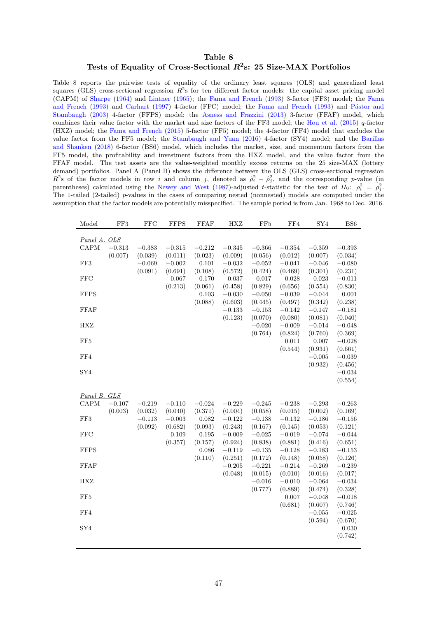## Table 8 Tests of Equality of Cross-Sectional  $R^2$ s: 25 Size-MAX Portfolios

<span id="page-48-0"></span>Table 8 reports the pairwise tests of equality of the ordinary least squares (OLS) and generalized least squares (GLS) cross-sectional regression  $R^2$ s for ten different factor models: the capital asset pricing model (CAPM) of [Sharpe](#page-38-1) [\(1964\)](#page-38-1) and [Lintner](#page-37-0) [\(1965\)](#page-37-0); the [Fama and French](#page-35-3) [\(1993\)](#page-35-3) 3-factor (FF3) model; the [Fama](#page-35-3) [and French](#page-35-3) [\(1993\)](#page-35-3) and [Carhart](#page-34-4) [\(1997\)](#page-34-4) 4-factor (FFC) model; the [Fama and French](#page-35-3) (1993) and Pástor and [Stambaugh](#page-38-2) [\(2003\)](#page-38-2) 4-factor (FFPS) model; the [Asness and Frazzini](#page-34-5) [\(2013\)](#page-34-5) 3-factor (FFAF) model, which combines their value factor with the market and size factors of the FF3 model; the [Hou et al.](#page-36-0) [\(2015\)](#page-36-0)  $q$ -factor (HXZ) model; the [Fama and French](#page-35-0) [\(2015\)](#page-35-0) 5-factor (FF5) model; the 4-factor (FF4) model that excludes the value factor from the FF5 model; the [Stambaugh and Yuan](#page-38-0) [\(2016\)](#page-38-0) 4-factor (SY4) model; and the [Barillas](#page-34-0) [and Shanken](#page-34-0) [\(2018\)](#page-34-0) 6-factor (BS6) model, which includes the market, size, and momentum factors from the FF5 model, the profitability and investment factors from the HXZ model, and the value factor from the FFAF model. The test assets are the value-weighted monthly excess returns on the 25 size-MAX (lottery demand) portfolios. Panel A (Panel B) shows the difference between the OLS (GLS) cross-sectional regression  $R^2$ s of the factor models in row i and column j, denoted as  $\hat{\rho}_i^2 - \hat{\rho}_j^2$ , and the corresponding p-value (in parentheses) calculated using the [Newey and West](#page-38-8) [\(1987\)](#page-38-8)-adjusted t-statistic for the test of  $H_0$ :  $\rho_i^2 = \rho_j^2$ . The 1-tailed (2-tailed) p-values in the cases of comparing nested (nonnested) models are computed under the assumption that the factor models are potentially misspecified. The sample period is from Jan. 1968 to Dec. 2016.

| Model           | FF3      | <b>FFC</b> | <b>FFPS</b>      | <b>FFAF</b>      | <b>HXZ</b>          | FF <sub>5</sub>     | FF4                 | SY4                 | BS <sub>6</sub>     |
|-----------------|----------|------------|------------------|------------------|---------------------|---------------------|---------------------|---------------------|---------------------|
| Panel A. OLS    |          |            |                  |                  |                     |                     |                     |                     |                     |
| CAPM            | $-0.313$ | $-0.383$   | $-0.315$         | $-0.212$         | $-0.345$            | $-0.366$            | $-0.354$            | $-0.359$            | $-0.393\,$          |
|                 | (0.007)  | (0.039)    | (0.011)          | (0.023)          | (0.009)             | (0.056)             | (0.012)             | (0.007)             | (0.034)             |
| $\rm FF3$       |          | $-0.069$   | $-0.002$         | 0.101            | $-0.032$            | $-0.052\,$          | $-0.041$            | $-0.046$            | $-0.080$            |
|                 |          | (0.091)    | (0.691)          | (0.108)          | (0.572)             | (0.424)             | (0.469)             | (0.301)             | (0.231)             |
| <b>FFC</b>      |          |            | 0.067            | 0.170            | 0.037               | 0.017               | 0.028               | 0.023               | $-0.011$            |
|                 |          |            | (0.213)          | (0.061)          | (0.458)             | (0.829)             | (0.656)             | (0.554)             | (0.830)             |
| <b>FFPS</b>     |          |            |                  | 0.103            | $-0.030$            | $-0.050$            | $-0.039$            | $-0.044$            | 0.001               |
|                 |          |            |                  | (0.088)          | (0.603)             | (0.445)             | (0.497)             | (0.342)             | (0.238)             |
| FFAF            |          |            |                  |                  | $-0.133$            | $-0.153$            | $-0.142$            | $-0.147$            | $-0.181$            |
|                 |          |            |                  |                  | (0.123)             | (0.070)             | (0.080)             | (0.081)             | (0.040)             |
| HXZ             |          |            |                  |                  |                     | $-0.020$            | $-0.009$            | $-0.014$            | $-0.048$            |
|                 |          |            |                  |                  |                     | (0.764)             | (0.824)             | (0.760)             | (0.369)             |
| FF <sub>5</sub> |          |            |                  |                  |                     |                     | 0.011               | 0.007               | $-0.028$            |
|                 |          |            |                  |                  |                     |                     | (0.544)             | (0.931)             | (0.661)             |
| FF4             |          |            |                  |                  |                     |                     |                     | $-0.005$            | $-0.039$            |
|                 |          |            |                  |                  |                     |                     |                     | (0.932)             | (0.456)             |
| SY4             |          |            |                  |                  |                     |                     |                     |                     | $-0.034$            |
|                 |          |            |                  |                  |                     |                     |                     |                     | (0.554)             |
|                 |          |            |                  |                  |                     |                     |                     |                     |                     |
| Panel B. GLS    |          |            |                  |                  |                     |                     |                     |                     |                     |
| CAPM            | $-0.107$ | $-0.219$   | $-0.110$         | $-0.024$         | $-0.229$            | $-0.245$            | $-0.238$            | $-0.293$            | $-0.263$            |
|                 | (0.003)  | (0.032)    | (0.040)          | (0.371)          | (0.004)             | (0.058)             | (0.015)             | (0.002)             | (0.169)             |
| FF3             |          | $-0.113$   | $-0.003$         | 0.082            | $-0.122$            | $-0.138$            | $-0.132$            | $-0.186$            | $-0.156$            |
|                 |          | (0.092)    | (0.682)          | (0.093)          | (0.243)             | (0.167)             | (0.145)             | (0.053)             | (0.121)             |
| $_{\rm FFC}$    |          |            | 0.109<br>(0.357) | 0.195            | $-0.009$            | $-0.025$            | $-0.019$            | $-0.074$            | $-0.044$            |
|                 |          |            |                  | (0.157)<br>0.086 | (0.924)             | (0.838)<br>$-0.135$ | (0.881)<br>$-0.128$ | (0.416)<br>$-0.183$ | (0.651)             |
| <b>FFPS</b>     |          |            |                  | (0.110)          | $-0.119$<br>(0.251) |                     | (0.148)             | (0.058)             | $-0.153$<br>(0.126) |
| FFAF            |          |            |                  |                  | $-0.205$            | (0.172)<br>$-0.221$ | $-0.214$            | $-0.269$            | $-0.239$            |
|                 |          |            |                  |                  | (0.048)             | (0.015)             | (0.010)             | (0.016)             | (0.017)             |
| <b>HXZ</b>      |          |            |                  |                  |                     | $-0.016\,$          | $-0.010$            | $-0.064$            | $-0.034$            |
|                 |          |            |                  |                  |                     | (0.777)             | (0.889)             | (0.474)             | (0.328)             |
| FF <sub>5</sub> |          |            |                  |                  |                     |                     | 0.007               | $-0.048$            | $-0.018$            |
|                 |          |            |                  |                  |                     |                     | (0.681)             | (0.607)             | (0.746)             |
| FF4             |          |            |                  |                  |                     |                     |                     | $-0.055$            | $-0.025$            |
|                 |          |            |                  |                  |                     |                     |                     | (0.594)             | (0.670)             |
| SY4             |          |            |                  |                  |                     |                     |                     |                     | $0.030\,$           |
|                 |          |            |                  |                  |                     |                     |                     |                     | (0.742)             |
|                 |          |            |                  |                  |                     |                     |                     |                     |                     |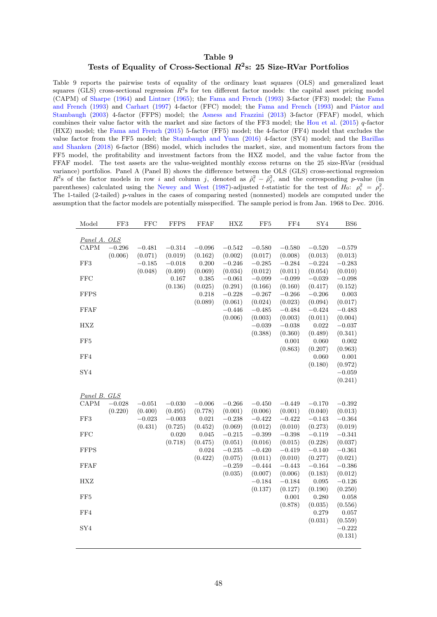## Table 9 Tests of Equality of Cross-Sectional  $R^2$ s: 25 Size-RVar Portfolios

<span id="page-49-0"></span>Table 9 reports the pairwise tests of equality of the ordinary least squares (OLS) and generalized least squares (GLS) cross-sectional regression  $R^2$ s for ten different factor models: the capital asset pricing model (CAPM) of [Sharpe](#page-38-1) [\(1964\)](#page-38-1) and [Lintner](#page-37-0) [\(1965\)](#page-37-0); the [Fama and French](#page-35-3) [\(1993\)](#page-35-3) 3-factor (FF3) model; the [Fama](#page-35-3) [and French](#page-35-3) [\(1993\)](#page-35-3) and [Carhart](#page-34-4) [\(1997\)](#page-34-4) 4-factor (FFC) model; the [Fama and French](#page-35-3) (1993) and Pástor and [Stambaugh](#page-38-2) [\(2003\)](#page-38-2) 4-factor (FFPS) model; the [Asness and Frazzini](#page-34-5) [\(2013\)](#page-34-5) 3-factor (FFAF) model, which combines their value factor with the market and size factors of the FF3 model; the [Hou et al.](#page-36-0) [\(2015\)](#page-36-0)  $q$ -factor (HXZ) model; the [Fama and French](#page-35-0) [\(2015\)](#page-35-0) 5-factor (FF5) model; the 4-factor (FF4) model that excludes the value factor from the FF5 model; the [Stambaugh and Yuan](#page-38-0) [\(2016\)](#page-38-0) 4-factor (SY4) model; and the [Barillas](#page-34-0) [and Shanken](#page-34-0) [\(2018\)](#page-34-0) 6-factor (BS6) model, which includes the market, size, and momentum factors from the FF5 model, the profitability and investment factors from the HXZ model, and the value factor from the FFAF model. The test assets are the value-weighted monthly excess returns on the 25 size-RVar (residual variance) portfolios. Panel A (Panel B) shows the difference between the OLS (GLS) cross-sectional regression  $R^2$ s of the factor models in row i and column j, denoted as  $\hat{\rho}_i^2 - \hat{\rho}_j^2$ , and the corresponding p-value (in parentheses) calculated using the [Newey and West](#page-38-8) [\(1987\)](#page-38-8)-adjusted t-statistic for the test of  $H_0$ :  $\rho_i^2 = \rho_j^2$ . The 1-tailed (2-tailed) p-values in the cases of comparing nested (nonnested) models are computed under the assumption that the factor models are potentially misspecified. The sample period is from Jan. 1968 to Dec. 2016.

| Model           | FF3      | <b>FFC</b> | <b>FFPS</b> | <b>FFAF</b>      | <b>HXZ</b>          | FF <sub>5</sub>     | FF4                 | SY4                 | BS <sub>6</sub>     |
|-----------------|----------|------------|-------------|------------------|---------------------|---------------------|---------------------|---------------------|---------------------|
|                 |          |            |             |                  |                     |                     |                     |                     |                     |
| Panel A. OLS    |          |            |             |                  |                     |                     |                     |                     |                     |
| CAPM            | $-0.296$ | $-0.481$   | $-0.314$    | $-0.096$         | $-0.542$            | $-0.580$            | $-0.580$            | $-0.520$            | $-0.579$            |
|                 | (0.006)  | (0.071)    | (0.019)     | (0.162)          | (0.002)             | (0.017)             | (0.008)             | (0.013)             | (0.013)             |
| FF3             |          | $-0.185$   | $-0.018$    | 0.200            | $-0.246$            | $-0.285$            | $-0.284$            | $-0.224$            | $-0.283$            |
|                 |          | (0.048)    | (0.409)     | (0.069)          | (0.034)             | (0.012)             | (0.011)             | (0.054)             | (0.010)             |
| <b>FFC</b>      |          |            | 0.167       | 0.385            | $-0.061$            | $-0.099$            | $-0.099$            | $-0.039$            | $-0.098$            |
|                 |          |            | (0.136)     | (0.025)          | (0.291)             | (0.166)             | (0.160)             | (0.417)             | (0.152)             |
| <b>FFPS</b>     |          |            |             | 0.218<br>(0.089) | $-0.228$            | $-0.267$            | $-0.266$            | $-0.206$            | 0.003               |
| <b>FFAF</b>     |          |            |             |                  | (0.061)<br>$-0.446$ | (0.024)<br>$-0.485$ | (0.023)<br>$-0.484$ | (0.094)<br>$-0.424$ | (0.017)<br>$-0.483$ |
|                 |          |            |             |                  | (0.006)             | (0.003)             | (0.003)             | (0.011)             | (0.004)             |
| <b>HXZ</b>      |          |            |             |                  |                     | $-0.039$            | $-0.038$            | 0.022               | $-0.037$            |
|                 |          |            |             |                  |                     | (0.388)             | (0.360)             | (0.489)             | (0.341)             |
| FF <sub>5</sub> |          |            |             |                  |                     |                     | 0.001               | 0.060               | $0.002\,$           |
|                 |          |            |             |                  |                     |                     | (0.863)             | (0.207)             | (0.963)             |
| FF4             |          |            |             |                  |                     |                     |                     | 0.060               | 0.001               |
|                 |          |            |             |                  |                     |                     |                     | (0.180)             | (0.972)             |
| SY4             |          |            |             |                  |                     |                     |                     |                     | $-0.059$            |
|                 |          |            |             |                  |                     |                     |                     |                     | (0.241)             |
|                 |          |            |             |                  |                     |                     |                     |                     |                     |
| Panel B. GLS    |          |            |             |                  |                     |                     |                     |                     |                     |
| CAPM            | $-0.028$ | $-0.051$   | $-0.030$    | $-0.006$         | $-0.266$            | $-0.450$            | $-0.449$            | $-0.170$            | $-0.392$            |
|                 | (0.220)  | (0.400)    | (0.495)     | (0.778)          | (0.001)             | (0.006)             | (0.001)             | (0.040)             | (0.013)             |
| FF3             |          | $-0.023$   | $-0.003$    | 0.021            | $-0.238$            | $-0.422$            | $-0.422$            | $-0.143$            | $-0.364$            |
|                 |          | (0.431)    | (0.725)     | (0.452)          | (0.069)             | (0.012)             | (0.010)             | (0.273)             | (0.019)             |
| <b>FFC</b>      |          |            | 0.020       | 0.045            | $-0.215$            | $-0.399$            | $-0.398$            | $-0.119$            | $-0.341$            |
|                 |          |            | (0.718)     | (0.475)          | (0.051)             | (0.016)             | (0.015)             | (0.228)             | (0.037)             |
| <b>FFPS</b>     |          |            |             | 0.024            | $-0.235$            | $-0.420$            | $-0.419$            | $-0.140$            | $-0.361$            |
|                 |          |            |             | (0.422)          | (0.075)             | (0.011)             | (0.010)             | (0.277)             | (0.021)             |
| FFAF            |          |            |             |                  | $-0.259$            | $-0.444$            | $-0.443$            | $-0.164$            | $-0.386$            |
|                 |          |            |             |                  | (0.035)             | (0.007)             | (0.006)             | (0.183)             | (0.012)             |
| HXZ             |          |            |             |                  |                     | $-0.184$            | $-0.184$            | 0.095               | $-0.126$            |
|                 |          |            |             |                  |                     | (0.137)             | (0.127)             | (0.190)             | (0.250)             |
| FF <sub>5</sub> |          |            |             |                  |                     |                     | 0.001               | 0.280               | 0.058               |
|                 |          |            |             |                  |                     |                     | (0.878)             | (0.035)             | (0.556)             |
| FF4             |          |            |             |                  |                     |                     |                     | 0.279               | 0.057               |
|                 |          |            |             |                  |                     |                     |                     | (0.031)             | (0.559)             |
| SY4             |          |            |             |                  |                     |                     |                     |                     | $-0.222$            |
|                 |          |            |             |                  |                     |                     |                     |                     | (0.131)             |
|                 |          |            |             |                  |                     |                     |                     |                     |                     |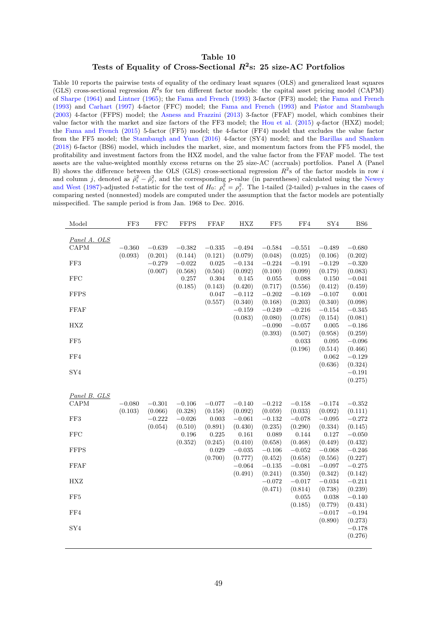## Table 10 Tests of Equality of Cross-Sectional  $R^2$ s: 25 size-AC Portfolios

<span id="page-50-0"></span>Table 10 reports the pairwise tests of equality of the ordinary least squares (OLS) and generalized least squares (GLS) cross-sectional regression  $R^2$ s for ten different factor models: the capital asset pricing model (CAPM) of [Sharpe](#page-38-1) [\(1964\)](#page-38-1) and [Lintner](#page-37-0) [\(1965\)](#page-37-0); the [Fama and French](#page-35-3) [\(1993\)](#page-35-3) 3-factor (FF3) model; the [Fama and French](#page-35-3) [\(1993\)](#page-35-3) and [Carhart](#page-34-4) [\(1997\)](#page-34-4) 4-factor (FFC) model; the [Fama and French](#page-35-3) (1993) and Pástor and Stambaugh [\(2003\)](#page-38-2) 4-factor (FFPS) model; the [Asness and Frazzini](#page-34-5) [\(2013\)](#page-34-5) 3-factor (FFAF) model, which combines their value factor with the market and size factors of the FF3 model; the [Hou et al.](#page-36-0)  $(2015)$  q-factor  $(HXZ)$  model; the [Fama and French](#page-35-0) [\(2015\)](#page-35-0) 5-factor (FF5) model; the 4-factor (FF4) model that excludes the value factor from the FF5 model; the [Stambaugh and Yuan](#page-38-0) [\(2016\)](#page-38-0) 4-factor (SY4) model; and the [Barillas and Shanken](#page-34-0) [\(2018\)](#page-34-0) 6-factor (BS6) model, which includes the market, size, and momentum factors from the FF5 model, the profitability and investment factors from the HXZ model, and the value factor from the FFAF model. The test assets are the value-weighted monthly excess returns on the 25 size-AC (accruals) portfolios. Panel A (Panel B) shows the difference between the OLS (GLS) cross-sectional regression  $R^2$ s of the factor models in row i and column j, denoted as  $\hat{\rho}_i^2 - \hat{\rho}_j^2$ , and the corresponding p-value (in parentheses) calculated using the [Newey](#page-38-8) [and West](#page-38-8) [\(1987\)](#page-38-8)-adjusted t-statistic for the test of  $H_0$ :  $\rho_i^2 = \rho_j^2$ . The 1-tailed (2-tailed) p-values in the cases of comparing nested (nonnested) models are computed under the assumption that the factor models are potentially misspecified. The sample period is from Jan. 1968 to Dec. 2016.

| Model                                                                                                             | ${\rm FF3}$         | ${\rm FFC}$                                | <b>FFPS</b>                                                    | <b>FFAF</b>                                                                     | <b>HXZ</b>                                                                                                   | FF <sub>5</sub>                                                                                                                     | FF4                                                                                                                                                     | SY4                                                                                                                                                                            | $_{\rm BS6}$                                                                                                                                                                                     |
|-------------------------------------------------------------------------------------------------------------------|---------------------|--------------------------------------------|----------------------------------------------------------------|---------------------------------------------------------------------------------|--------------------------------------------------------------------------------------------------------------|-------------------------------------------------------------------------------------------------------------------------------------|---------------------------------------------------------------------------------------------------------------------------------------------------------|--------------------------------------------------------------------------------------------------------------------------------------------------------------------------------|--------------------------------------------------------------------------------------------------------------------------------------------------------------------------------------------------|
| Panel A. OLS<br>CAPM<br>FF3                                                                                       | $-0.360$<br>(0.093) | $-0.639$<br>(0.201)<br>$-0.279$            | $-0.382$<br>(0.144)<br>$-0.022$                                | $-0.335$<br>(0.121)<br>0.025                                                    | $-0.494$<br>(0.079)<br>$-0.134$                                                                              | $-0.584$<br>(0.048)<br>$-0.224$                                                                                                     | $-0.551$<br>(0.025)<br>$-0.191$                                                                                                                         | $-0.489$<br>(0.106)<br>$-0.129$                                                                                                                                                | $-0.680$<br>(0.202)<br>$-0.320$                                                                                                                                                                  |
| <b>FFC</b>                                                                                                        |                     | (0.007)                                    | (0.568)<br>0.257<br>(0.185)                                    | (0.504)<br>0.304<br>(0.143)                                                     | (0.092)<br>0.145<br>(0.420)                                                                                  | (0.100)<br>0.055<br>(0.717)                                                                                                         | (0.099)<br>0.088<br>(0.556)                                                                                                                             | (0.179)<br>0.150<br>(0.412)                                                                                                                                                    | (0.083)<br>$-0.041$<br>(0.459)                                                                                                                                                                   |
| <b>FFPS</b>                                                                                                       |                     |                                            |                                                                | 0.047<br>(0.557)                                                                | $-0.112$<br>(0.340)                                                                                          | $-0.202$<br>(0.168)                                                                                                                 | $-0.169$<br>(0.203)                                                                                                                                     | $-0.107$<br>(0.340)                                                                                                                                                            | 0.001<br>(0.098)                                                                                                                                                                                 |
| FFAF                                                                                                              |                     |                                            |                                                                |                                                                                 | $-0.159$<br>(0.083)                                                                                          | $-0.249$<br>(0.080)                                                                                                                 | $-0.216$<br>(0.078)                                                                                                                                     | $-0.154$<br>(0.154)                                                                                                                                                            | $-0.345$<br>(0.081)                                                                                                                                                                              |
| HXZ<br>FF <sub>5</sub>                                                                                            |                     |                                            |                                                                |                                                                                 |                                                                                                              | $-0.090$<br>(0.393)                                                                                                                 | $-0.057$<br>(0.507)<br>0.033                                                                                                                            | 0.005<br>(0.958)<br>0.095                                                                                                                                                      | $-0.186$<br>(0.259)<br>$-0.096$                                                                                                                                                                  |
| FF4                                                                                                               |                     |                                            |                                                                |                                                                                 |                                                                                                              |                                                                                                                                     | (0.196)                                                                                                                                                 | (0.514)<br>0.062                                                                                                                                                               | (0.466)<br>$-0.129$                                                                                                                                                                              |
| SY4                                                                                                               |                     |                                            |                                                                |                                                                                 |                                                                                                              |                                                                                                                                     |                                                                                                                                                         | (0.636)                                                                                                                                                                        | (0.324)<br>$-0.191$<br>(0.275)                                                                                                                                                                   |
| Panel B. GLS<br>$\text{CAPM}$<br>FF3<br><b>FFC</b><br><b>FFPS</b><br>FFAF<br>HXZ<br>FF <sub>5</sub><br>FF4<br>SY4 | $-0.080$<br>(0.103) | $-0.301$<br>(0.066)<br>$-0.222$<br>(0.054) | $-0.106$<br>(0.328)<br>$-0.026$<br>(0.510)<br>0.196<br>(0.352) | $-0.077$<br>(0.158)<br>0.003<br>(0.891)<br>0.225<br>(0.245)<br>0.029<br>(0.700) | $-0.140$<br>(0.092)<br>$-0.061$<br>(0.430)<br>0.161<br>(0.410)<br>$-0.035$<br>(0.777)<br>$-0.064$<br>(0.491) | $-0.212$<br>(0.059)<br>$-0.132$<br>(0.235)<br>0.089<br>(0.658)<br>$-0.106$<br>(0.452)<br>$-0.135$<br>(0.241)<br>$-0.072$<br>(0.471) | $-0.158$<br>(0.033)<br>$-0.078$<br>(0.290)<br>0.144<br>(0.468)<br>$-0.052$<br>(0.658)<br>$-0.081$<br>(0.350)<br>$-0.017$<br>(0.814)<br>0.055<br>(0.185) | $-0.174$<br>(0.092)<br>$-0.095$<br>(0.334)<br>0.127<br>(0.449)<br>$-0.068$<br>(0.556)<br>$-0.097$<br>(0.342)<br>$-0.034$<br>(0.738)<br>0.038<br>(0.779)<br>$-0.017$<br>(0.890) | $-0.352$<br>(0.111)<br>$-0.272$<br>(0.145)<br>$-0.050$<br>(0.432)<br>$-0.246$<br>(0.227)<br>$-0.275$<br>(0.142)<br>$-0.211$<br>(0.239)<br>$-0.140$<br>(0.431)<br>$-0.194$<br>(0.273)<br>$-0.178$ |
|                                                                                                                   |                     |                                            |                                                                |                                                                                 |                                                                                                              |                                                                                                                                     |                                                                                                                                                         |                                                                                                                                                                                | (0.276)                                                                                                                                                                                          |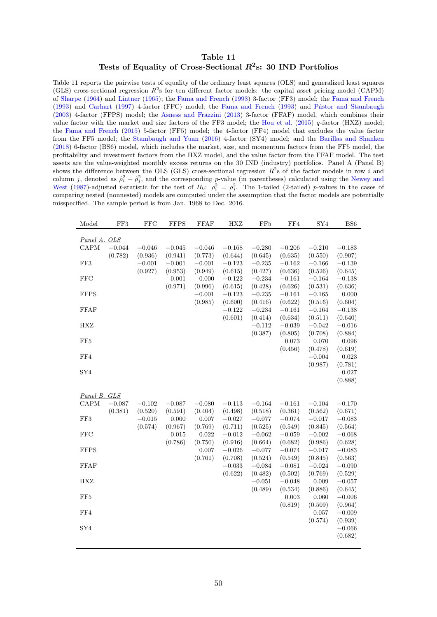## Table 11 Tests of Equality of Cross-Sectional  $R^2$ s: 30 IND Portfolios

<span id="page-51-0"></span>Table 11 reports the pairwise tests of equality of the ordinary least squares (OLS) and generalized least squares (GLS) cross-sectional regression  $R^2$ s for ten different factor models: the capital asset pricing model (CAPM) of [Sharpe](#page-38-1) [\(1964\)](#page-38-1) and [Lintner](#page-37-0) [\(1965\)](#page-37-0); the [Fama and French](#page-35-3) [\(1993\)](#page-35-3) 3-factor (FF3) model; the [Fama and French](#page-35-3) [\(1993\)](#page-35-3) and [Carhart](#page-34-4) [\(1997\)](#page-34-4) 4-factor (FFC) model; the [Fama and French](#page-35-3) (1993) and Pástor and Stambaugh [\(2003\)](#page-38-2) 4-factor (FFPS) model; the [Asness and Frazzini](#page-34-5) [\(2013\)](#page-34-5) 3-factor (FFAF) model, which combines their value factor with the market and size factors of the FF3 model; the [Hou et al.](#page-36-0)  $(2015)$  q-factor  $(HXZ)$  model; the [Fama and French](#page-35-0) [\(2015\)](#page-35-0) 5-factor (FF5) model; the 4-factor (FF4) model that excludes the value factor from the FF5 model; the [Stambaugh and Yuan](#page-38-0) [\(2016\)](#page-38-0) 4-factor (SY4) model; and the [Barillas and Shanken](#page-34-0) [\(2018\)](#page-34-0) 6-factor (BS6) model, which includes the market, size, and momentum factors from the FF5 model, the profitability and investment factors from the HXZ model, and the value factor from the FFAF model. The test assets are the value-weighted monthly excess returns on the 30 IND (industry) portfolios. Panel A (Panel B) shows the difference between the OLS (GLS) cross-sectional regression  $R^2$ s of the factor models in row i and column j, denoted as  $\hat{\rho}_i^2 - \hat{\rho}_j^2$ , and the corresponding p-value (in parentheses) calculated using the [Newey and](#page-38-8) [West](#page-38-8) [\(1987\)](#page-38-8)-adjusted t-statistic for the test of  $H_0$ :  $\rho_i^2 = \rho_j^2$ . The 1-tailed (2-tailed) p-values in the cases of comparing nested (nonnested) models are computed under the assumption that the factor models are potentially misspecified. The sample period is from Jan. 1968 to Dec. 2016.

| Model           | FF3      | <b>FFC</b> | <b>FFPS</b> | <b>FFAF</b> | <b>HXZ</b> | FF <sub>5</sub> | FF4      | ${\rm SY4}$      | BS <sub>6</sub>     |
|-----------------|----------|------------|-------------|-------------|------------|-----------------|----------|------------------|---------------------|
| Panel A. OLS    |          |            |             |             |            |                 |          |                  |                     |
| CAPM            | $-0.044$ | $-0.046$   | $-0.045$    | $-0.046$    | $-0.168$   | $-0.280$        | $-0.206$ | $-0.210$         | $-0.183$            |
|                 | (0.782)  | (0.936)    | (0.941)     | (0.773)     | (0.644)    | (0.645)         | (0.635)  | (0.550)          | (0.907)             |
| FF3             |          | $-0.001$   | $-0.001$    | $-0.001$    | $-0.123$   | $-0.235$        | $-0.162$ | $-0.166$         | $-0.139$            |
|                 |          | (0.927)    | (0.953)     | (0.949)     | (0.615)    | (0.427)         | (0.636)  | (0.526)          | (0.645)             |
| <b>FFC</b>      |          |            | 0.001       | 0.000       | $-0.122$   | $-0.234$        | $-0.161$ | $-0.164$         | $-0.138$            |
|                 |          |            | (0.971)     | (0.996)     | (0.615)    | (0.428)         | (0.626)  | (0.531)          | (0.636)             |
| <b>FFPS</b>     |          |            |             | $-0.001\,$  | $-0.123$   | $-0.235$        | $-0.161$ | $-0.165$         | 0.000               |
|                 |          |            |             | (0.985)     | (0.600)    | (0.416)         | (0.622)  | (0.516)          | (0.604)             |
| FFAF            |          |            |             |             | $-0.122$   | $-0.234$        | $-0.161$ | $-0.164$         | $-0.138$            |
|                 |          |            |             |             | (0.601)    | (0.414)         | (0.634)  | (0.511)          | (0.640)             |
| HXZ             |          |            |             |             |            | $-0.112$        | $-0.039$ | $-0.042$         | $-0.016$            |
|                 |          |            |             |             |            | (0.387)         | (0.805)  | (0.708)          | (0.884)             |
| FF <sub>5</sub> |          |            |             |             |            |                 | 0.073    | 0.070            | $\,0.096\,$         |
|                 |          |            |             |             |            |                 | (0.456)  | (0.478)          | (0.619)             |
| FF4             |          |            |             |             |            |                 |          | $-0.004$         | 0.023               |
|                 |          |            |             |             |            |                 |          | (0.987)          | (0.781)             |
| SY4             |          |            |             |             |            |                 |          |                  | 0.027               |
|                 |          |            |             |             |            |                 |          |                  | (0.888)             |
|                 |          |            |             |             |            |                 |          |                  |                     |
| Panel B. GLS    |          |            |             |             |            |                 |          |                  |                     |
| CAPM            | $-0.087$ | $-0.102$   | $-0.087$    | $-0.080$    | $-0.113$   | $-0.164$        | $-0.161$ | $-0.104$         | $-0.170$            |
|                 | (0.381)  | (0.520)    | (0.591)     | (0.404)     | (0.498)    | (0.518)         | (0.361)  | (0.562)          | (0.671)             |
| FF3             |          | $-0.015$   | 0.000       | 0.007       | $-0.027$   | $-0.077$        | $-0.074$ | $-0.017$         | $-0.083$            |
|                 |          | (0.574)    | (0.967)     | (0.769)     | (0.711)    | (0.525)         | (0.549)  | (0.845)          | (0.564)             |
| <b>FFC</b>      |          |            | 0.015       | 0.022       | $-0.012$   | $-0.062$        | $-0.059$ | $-0.002$         | $-0.068$            |
|                 |          |            | (0.786)     | (0.750)     | (0.916)    | (0.664)         | (0.682)  | (0.986)          | (0.628)             |
| <b>FFPS</b>     |          |            |             | 0.007       | $-0.026$   | $-0.077$        | $-0.074$ | $-0.017$         | $-0.083$            |
|                 |          |            |             | (0.761)     | (0.708)    | (0.524)         | (0.549)  | (0.845)          | (0.563)             |
| <b>FFAF</b>     |          |            |             |             | $-0.033$   | $-0.084$        | $-0.081$ | $-0.024$         | $-0.090$            |
|                 |          |            |             |             | (0.622)    | (0.482)         | (0.502)  | (0.769)          | (0.529)             |
| HXZ             |          |            |             |             |            | $-0.051$        | $-0.048$ | 0.009            | $-0.057$            |
|                 |          |            |             |             |            | (0.489)         | (0.534)  | (0.886)          | (0.645)             |
| FF <sub>5</sub> |          |            |             |             |            |                 | 0.003    | 0.060            | $-0.006$            |
|                 |          |            |             |             |            |                 | (0.819)  | (0.509)          | (0.964)             |
| FF4             |          |            |             |             |            |                 |          | 0.057<br>(0.574) | $-0.009$            |
| SY <sub>4</sub> |          |            |             |             |            |                 |          |                  | (0.939)             |
|                 |          |            |             |             |            |                 |          |                  | $-0.066$<br>(0.682) |
|                 |          |            |             |             |            |                 |          |                  |                     |
|                 |          |            |             |             |            |                 |          |                  |                     |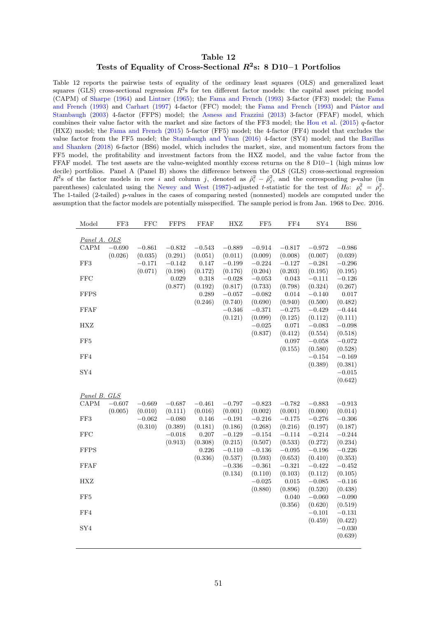## Table 12 Tests of Equality of Cross-Sectional  $R^2$ s: 8 D10-1 Portfolios

<span id="page-52-0"></span>Table 12 reports the pairwise tests of equality of the ordinary least squares (OLS) and generalized least squares (GLS) cross-sectional regression  $R^2$ s for ten different factor models: the capital asset pricing model (CAPM) of [Sharpe](#page-38-1) [\(1964\)](#page-38-1) and [Lintner](#page-37-0) [\(1965\)](#page-37-0); the [Fama and French](#page-35-3) [\(1993\)](#page-35-3) 3-factor (FF3) model; the [Fama](#page-35-3) [and French](#page-35-3) [\(1993\)](#page-35-3) and [Carhart](#page-34-4) [\(1997\)](#page-34-4) 4-factor (FFC) model; the [Fama and French](#page-35-3) (1993) and Pástor and [Stambaugh](#page-38-2) [\(2003\)](#page-38-2) 4-factor (FFPS) model; the [Asness and Frazzini](#page-34-5) [\(2013\)](#page-34-5) 3-factor (FFAF) model, which combines their value factor with the market and size factors of the FF3 model; the [Hou et al.](#page-36-0) [\(2015\)](#page-36-0)  $q$ -factor (HXZ) model; the [Fama and French](#page-35-0) [\(2015\)](#page-35-0) 5-factor (FF5) model; the 4-factor (FF4) model that excludes the value factor from the FF5 model; the [Stambaugh and Yuan](#page-38-0) [\(2016\)](#page-38-0) 4-factor (SY4) model; and the [Barillas](#page-34-0) [and Shanken](#page-34-0) [\(2018\)](#page-34-0) 6-factor (BS6) model, which includes the market, size, and momentum factors from the FF5 model, the profitability and investment factors from the HXZ model, and the value factor from the FFAF model. The test assets are the value-weighted monthly excess returns on the  $8 \text{ D10}-1$  (high minus low decile) portfolios. Panel A (Panel B) shows the difference between the OLS (GLS) cross-sectional regression  $R^2$ s of the factor models in row i and column j, denoted as  $\hat{\rho}_i^2 - \hat{\rho}_j^2$ , and the corresponding p-value (in parentheses) calculated using the [Newey and West](#page-38-8) [\(1987\)](#page-38-8)-adjusted t-statistic for the test of  $H_0$ :  $\rho_i^2 = \rho_j^2$ . The 1-tailed (2-tailed) p-values in the cases of comparing nested (nonnested) models are computed under the assumption that the factor models are potentially misspecified. The sample period is from Jan. 1968 to Dec. 2016.

| Model           | FF3      | <b>FFC</b> | <b>FFPS</b> | <b>FFAF</b> | <b>HXZ</b> | FF <sub>5</sub> | FF4      | SY4      | BS <sub>6</sub> |
|-----------------|----------|------------|-------------|-------------|------------|-----------------|----------|----------|-----------------|
| Panel A. OLS    |          |            |             |             |            |                 |          |          |                 |
| CAPM            | $-0.690$ | $-0.861$   | $-0.832$    | $-0.543$    | $-0.889$   | $-0.914$        | $-0.817$ | $-0.972$ | $-0.986$        |
|                 | (0.026)  | (0.035)    | (0.291)     | (0.051)     | (0.011)    | (0.009)         | (0.008)  | (0.007)  | (0.039)         |
| FF3             |          | $-0.171$   | $-0.142$    | 0.147       | $-0.199$   | $-0.224$        | $-0.127$ | $-0.281$ | $-0.296$        |
|                 |          | (0.071)    | (0.198)     | (0.172)     | (0.176)    | (0.204)         | (0.203)  | (0.195)  | (0.195)         |
| <b>FFC</b>      |          |            | 0.029       | 0.318       | $-0.028$   | $-0.053$        | 0.043    | $-0.111$ | $-0.126$        |
|                 |          |            | (0.877)     | (0.192)     | (0.817)    | (0.733)         | (0.798)  | (0.324)  | (0.267)         |
| <b>FFPS</b>     |          |            |             | 0.289       | $-0.057$   | $-0.082$        | 0.014    | $-0.140$ | 0.017           |
|                 |          |            |             | (0.246)     | (0.740)    | (0.690)         | (0.940)  | (0.500)  | (0.482)         |
| FFAF            |          |            |             |             | $-0.346$   | $-0.371$        | $-0.275$ | $-0.429$ | $-0.444$        |
|                 |          |            |             |             | (0.121)    | (0.099)         | (0.125)  | (0.112)  | (0.111)         |
| <b>HXZ</b>      |          |            |             |             |            | $-0.025$        | 0.071    | $-0.083$ | $-0.098$        |
|                 |          |            |             |             |            | (0.837)         | (0.412)  | (0.554)  | (0.518)         |
| FF <sub>5</sub> |          |            |             |             |            |                 | 0.097    | $-0.058$ | $-0.072$        |
|                 |          |            |             |             |            |                 | (0.155)  | (0.580)  | (0.528)         |
| FF4             |          |            |             |             |            |                 |          | $-0.154$ | $-0.169$        |
|                 |          |            |             |             |            |                 |          | (0.389)  | (0.381)         |
| SY4             |          |            |             |             |            |                 |          |          | $-0.015$        |
|                 |          |            |             |             |            |                 |          |          | (0.642)         |
|                 |          |            |             |             |            |                 |          |          |                 |
| Panel B. GLS    |          |            |             |             |            |                 |          |          |                 |
| CAPM            | $-0.607$ | $-0.669$   | $-0.687$    | $-0.461$    | $-0.797$   | $-0.823$        | $-0.782$ | $-0.883$ | $-0.913$        |
|                 | (0.005)  | (0.010)    | (0.111)     | (0.016)     | (0.001)    | (0.002)         | (0.001)  | (0.000)  | (0.014)         |
| FF3             |          | $-0.062$   | $-0.080$    | 0.146       | $-0.191$   | $-0.216$        | $-0.175$ | $-0.276$ | $-0.306$        |
|                 |          | (0.310)    | (0.389)     | (0.181)     | (0.186)    | (0.268)         | (0.216)  | (0.197)  | (0.187)         |
| <b>FFC</b>      |          |            | $-0.018$    | 0.207       | $-0.129$   | $-0.154$        | $-0.114$ | $-0.214$ | $-0.244$        |
|                 |          |            | (0.913)     | (0.308)     | (0.215)    | (0.507)         | (0.533)  | (0.272)  | (0.234)         |
| <b>FFPS</b>     |          |            |             | 0.226       | $-0.110$   | $-0.136$        | $-0.095$ | $-0.196$ | $-0.226$        |
|                 |          |            |             | (0.336)     | (0.537)    | (0.593)         | (0.653)  | (0.410)  | (0.353)         |
| <b>FFAF</b>     |          |            |             |             | $-0.336$   | $-0.361$        | $-0.321$ | $-0.422$ | $-0.452$        |
|                 |          |            |             |             | (0.134)    | (0.110)         | (0.103)  | (0.112)  | (0.105)         |
| HXZ             |          |            |             |             |            | $-0.025$        | 0.015    | $-0.085$ | $-0.116$        |
|                 |          |            |             |             |            | (0.880)         | (0.896)  | (0.520)  | (0.438)         |
| FF5             |          |            |             |             |            |                 | 0.040    | $-0.060$ | $-0.090$        |
|                 |          |            |             |             |            |                 | (0.356)  | (0.620)  | (0.519)         |
| FF4             |          |            |             |             |            |                 |          | $-0.101$ | $-0.131$        |
|                 |          |            |             |             |            |                 |          | (0.459)  | (0.422)         |
| SY4             |          |            |             |             |            |                 |          |          | $-0.030$        |
|                 |          |            |             |             |            |                 |          |          | (0.639)         |
|                 |          |            |             |             |            |                 |          |          |                 |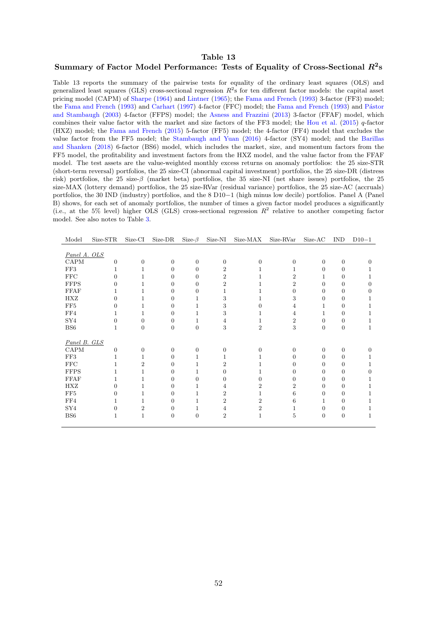#### <span id="page-53-1"></span>Table 13

## <span id="page-53-0"></span>Summary of Factor Model Performance: Tests of Equality of Cross-Sectional  $R^2$ s

Table 13 reports the summary of the pairwise tests for equality of the ordinary least squares (OLS) and generalized least squares (GLS) cross-sectional regression  $R^2$ s for ten different factor models: the capital asset pricing model (CAPM) of [Sharpe](#page-38-1) [\(1964\)](#page-38-1) and [Lintner](#page-37-0) [\(1965\)](#page-37-0); the [Fama and French](#page-35-3) [\(1993\)](#page-35-3) 3-factor (FF3) model; the [Fama and French](#page-35-3) [\(1993\)](#page-35-3) and [Carhart](#page-34-4) [\(1997\)](#page-34-4) 4-factor (FFC) model; the Fama and French (1993) and Pástor [and Stambaugh](#page-38-2) [\(2003\)](#page-38-2) 4-factor (FFPS) model; the [Asness and Frazzini](#page-34-5) [\(2013\)](#page-34-5) 3-factor (FFAF) model, which combines their value factor with the market and size factors of the FF3 model; the [Hou et al.](#page-36-0) [\(2015\)](#page-36-0)  $q$ -factor (HXZ) model; the [Fama and French](#page-35-0) [\(2015\)](#page-35-0) 5-factor (FF5) model; the 4-factor (FF4) model that excludes the value factor from the FF5 model; the [Stambaugh and Yuan](#page-38-0) [\(2016\)](#page-38-0) 4-factor (SY4) model; and the [Barillas](#page-34-0) [and Shanken](#page-34-0) [\(2018\)](#page-34-0) 6-factor (BS6) model, which includes the market, size, and momentum factors from the FF5 model, the profitability and investment factors from the HXZ model, and the value factor from the FFAF model. The test assets are the value-weighted monthly excess returns on anomaly portfolios: the 25 size-STR (short-term reversal) portfolios, the 25 size-CI (abnormal capital investment) portfolios, the 25 size-DR (distress risk) portfolios, the 25 size-β (market beta) portfolios, the 35 size-NI (net share issues) portfolios, the 25 size-MAX (lottery demand) portfolios, the 25 size-RVar (residual variance) portfolios, the 25 size-AC (accruals) portfolios, the 30 IND (industry) portfolios, and the 8 D10–1 (high minus low decile) portfolios. Panel A (Panel B) shows, for each set of anomaly portfolios, the number of times a given factor model produces a significantly (i.e., at the 5% level) higher OLS (GLS) cross-sectional regression  $R^2$  relative to another competing factor model. See also notes to Table [3.](#page-43-0)

| Model           | Size-STR     | Size-CI        | Size-DR          | Size- $\beta$  | Size-NI        | Size-MAX       | Size-RVar      | Size-AC          | <b>IND</b> | $D10-1$  |
|-----------------|--------------|----------------|------------------|----------------|----------------|----------------|----------------|------------------|------------|----------|
|                 |              |                |                  |                |                |                |                |                  |            |          |
| Panel A. OLS    |              |                |                  |                |                |                |                |                  |            |          |
| CAPM            | $\theta$     | 0              | $\overline{0}$   | 0              | $\theta$       | 0              | 0              | $\theta$         | 0          | $\Omega$ |
| FF3             | 1            |                | 0                | 0              | 2              |                |                | $\Omega$         | 0          |          |
| FFC             | $\Omega$     |                | 0                | 0              | $\overline{2}$ |                | $\overline{2}$ |                  | 0          |          |
| <b>FFPS</b>     | $\Omega$     |                | 0                | 0              | $\overline{2}$ |                | $\overline{2}$ | 0                | 0          | $\Omega$ |
| <b>FFAF</b>     |              |                | 0                | 0              |                |                | 0              | 0                | 0          | 0        |
| HXZ             | $\Omega$     |                | 0                | 1              | 3              |                | 3              | 0                | $\Omega$   | 1        |
| FF5             | 0            |                | 0                |                | 3              |                | 4              | 1                | 0          | 1        |
| FF4             |              |                | 0                |                | 3              |                | 4              |                  | 0          |          |
| SY <sub>4</sub> | $\Omega$     | 0              | $\theta$         | 1              | 4              |                | $\overline{2}$ | $\Omega$         | 0          | I.       |
| $_{\rm BS6}$    | 1            | 0              | $\overline{0}$   | $\overline{0}$ | $\sqrt{3}$     | $\overline{2}$ | 3              | $\theta$         | $\theta$   | 1        |
|                 |              |                |                  |                |                |                |                |                  |            |          |
| Panel B. GLS    |              |                |                  |                |                |                |                |                  |            |          |
| CAPM            | $\mathbf{0}$ | $\Omega$       | $\boldsymbol{0}$ | $\theta$       | $\Omega$       | 0              | $\Omega$       | $\Omega$         | $\theta$   | $\Omega$ |
| FF3             | 1            |                | 0                |                |                |                | 0              | 0                | 0          |          |
| FFC             |              | 2              | 0                |                | 2              |                | 0              | $\Omega$         | 0          | ı        |
| <b>FFPS</b>     | 1            |                | 0                | 1              | 0              |                | 0              | $\Omega$         | 0          | 0        |
| <b>FFAF</b>     | 1            |                | 0                | 0              | 0              | 0              | 0              | 0                | 0          |          |
| HXZ             | $\Omega$     |                | 0                |                |                | 2              | $\overline{2}$ | $\Omega$         | 0          |          |
| FF5             | 0            |                | 0                |                | 2              | 1              | 6              | 0                | 0          |          |
| FF4             | 1            |                | 0                |                | $\overline{2}$ | 2              | 6              |                  | 0          |          |
| SY <sub>4</sub> | $\Omega$     | $\overline{2}$ | 0                | 1              | 4              | $\overline{2}$ |                | $\theta$         | 0          |          |
| BS <sub>6</sub> | 1            | 1              | $\boldsymbol{0}$ | $\theta$       | $\overline{2}$ | 1              | 5              | $\boldsymbol{0}$ | $\theta$   | 1        |
|                 |              |                |                  |                |                |                |                |                  |            |          |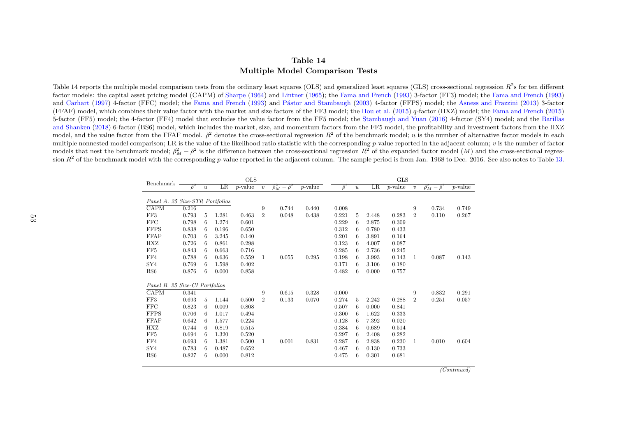## Table 14Multiple Model Comparison Tests

Table 14 reports the multiple model comparison tests from the ordinary least squares (OLS) and generalized least squares (GLS) cross-sectional regression  $R^2$ s for ten different factor models: the capital asset pricing model (CAPM) of [Sharpe](#page-38-9) [\(1964\)](#page-38-9) and [Lintner](#page-37-15) ([1965\)](#page-37-15); the Fama and [French](#page-35-14) [\(1993\)](#page-35-14) 3-factor (FF3) model; the Fama and [French](#page-35-14) ([1993\)](#page-35-14) and [Carhart](#page-34-14) [\(1997\)](#page-34-14) 4-factor (FFC) model; the Fama and [French](#page-35-14) [\(1993\)](#page-35-14) and Pástor and [Stambaugh](#page-38-10) ([2003\)](#page-38-10) 4-factor (FFPS) model; the Asness and [Frazzini](#page-34-15) ([2013\)](#page-34-15) 3-factor (FFAF) model, which combines their value factor with the market and size factors of the FF3 model; the [Hou](#page-36-13) et al. [\(2015\)](#page-36-13) <sup>q</sup>-factor (HXZ) model; the Fama and [French](#page-35-15) [\(2015\)](#page-35-15) 5-factor (FF5) model; the 4-factor (FF4) model that excludes the value factor from the FF5 model; the [Stambaugh](#page-38-11) and Yuan ([2016\)](#page-38-11) 4-factor (SY4) model; and the [Barillas](#page-34-16) and [Shanken](#page-34-16) [\(2018\)](#page-34-16) 6-factor (BS6) model, which includes the market, size, and momentum factors from the FF5 model, the profitability and investment factors from the HXZ model, and the value factor from the FFAF model.  $\hat{\rho}^2$  denotes the cross-sectional regression  $R^2$  of the benchmark model; u is the number of alternative factor models in each multiple nonnested model comparison; LR is the value of the likelihood ratio statistic with the corresponding p-value reported in the adjacent column;  $v$  is the number of factor models that nest the benchmark model;  $\hat{\rho}_M^2 - \hat{\rho}^2$  is the difference between the cross-sectional regression  $R^2$  of the expanded factor model  $(M)$  and the cross-sectional regres-<br>sign  $R^2$  of the benchmark model w sion  $R^2$  of the benchmark model with the corresponding p-value reported in the adjacent column. The sample period is from Jan. 1968 to Dec. 2016. See also notes to Table [13.](#page-53-1)

<span id="page-54-0"></span>

| Benchmark                       |                |                  |         | <b>OLS</b> |                |                               |            |                |                  |         | <b>GLS</b> |                  |                               |            |
|---------------------------------|----------------|------------------|---------|------------|----------------|-------------------------------|------------|----------------|------------------|---------|------------|------------------|-------------------------------|------------|
|                                 | $\hat{\rho}^2$ | $\boldsymbol{u}$ | $_{LR}$ | $p$ -value | $\upsilon$     | $\hat{\rho}_M^2-\hat{\rho}^2$ | $p$ -value | $\hat{\rho}^2$ | $\boldsymbol{u}$ | $_{LR}$ | $p$ -value | $\boldsymbol{v}$ | $\hat{\rho}_M^2-\hat{\rho}^2$ | $p$ -value |
|                                 |                |                  |         |            |                |                               |            |                |                  |         |            |                  |                               |            |
| Panel A. 25 Size-STR Portfolios |                |                  |         |            |                |                               |            |                |                  |         |            |                  |                               |            |
| CAPM                            | 0.216          |                  |         |            | 9              | 0.744                         | 0.440      | 0.008          |                  |         |            | 9                | 0.734                         | 0.749      |
| FF3                             | 0.793          | 5                | 1.281   | 0.463      | $\overline{2}$ | 0.048                         | 0.438      | 0.221          | 5                | 2.448   | 0.283      | $\overline{2}$   | 0.110                         | 0.267      |
| <b>FFC</b>                      | 0.798          | 6                | 1.274   | 0.601      |                |                               |            | 0.229          | 6                | 2.875   | 0.309      |                  |                               |            |
| <b>FFPS</b>                     | 0.838          | 6                | 0.196   | 0.650      |                |                               |            | 0.312          | 6                | 0.780   | 0.433      |                  |                               |            |
| <b>FFAF</b>                     | 0.703          | 6                | 3.245   | 0.140      |                |                               |            | 0.201          | 6                | 3.891   | 0.164      |                  |                               |            |
| HXZ                             | 0.726          | 6                | 0.861   | 0.298      |                |                               |            | 0.123          | 6                | 4.007   | 0.087      |                  |                               |            |
| FF5                             | 0.843          | 6                | 0.663   | 0.716      |                |                               |            | 0.285          | 6                | 2.736   | 0.245      |                  |                               |            |
| FF4                             | 0.788          | 6                | 0.636   | 0.559      | 1              | 0.055                         | 0.295      | 0.198          | 6                | 3.993   | 0.143      | 1                | 0.087                         | 0.143      |
| SY <sub>4</sub>                 | 0.769          | 6                | 1.598   | 0.402      |                |                               |            | 0.171          | 6                | 3.106   | 0.180      |                  |                               |            |
| BS <sub>6</sub>                 | 0.876          | 6                | 0.000   | 0.858      |                |                               |            | 0.482          | 6                | 0.000   | 0.757      |                  |                               |            |
|                                 |                |                  |         |            |                |                               |            |                |                  |         |            |                  |                               |            |
| Panel B. 25 Size-CI Portfolios  |                |                  |         |            |                |                               |            |                |                  |         |            |                  |                               |            |
| CAPM                            | 0.341          |                  |         |            | 9              | 0.615                         | 0.328      | 0.000          |                  |         |            | 9                | 0.832                         | 0.291      |
| FF3                             | 0.693          | 5                | 1.144   | 0.500      | $\overline{2}$ | 0.133                         | 0.070      | 0.274          | 5                | 2.242   | 0.288      | $\overline{2}$   | 0.251                         | 0.057      |
| FFC                             | 0.823          | 6                | 0.009   | 0.808      |                |                               |            | 0.507          | 6                | 0.000   | 0.841      |                  |                               |            |
| <b>FFPS</b>                     | 0.706          | 6                | 1.017   | 0.494      |                |                               |            | 0.300          | 6                | 1.622   | 0.333      |                  |                               |            |
| <b>FFAF</b>                     | 0.642          | 6                | 1.577   | 0.224      |                |                               |            | 0.128          | 6                | 7.392   | 0.020      |                  |                               |            |
| HXZ                             | 0.744          | 6                | 0.819   | 0.515      |                |                               |            | 0.384          | 6                | 0.689   | 0.514      |                  |                               |            |
| FF5                             | 0.694          | 6                | 1.320   | 0.520      |                |                               |            | 0.297          | 6                | 2.408   | 0.282      |                  |                               |            |
| FF4                             | 0.693          | 6                | 1.381   | 0.500      | $\mathbf{1}$   | 0.001                         | 0.831      | 0.287          | 6                | 2.838   | 0.230      | 1                | 0.010                         | 0.604      |
| SY <sub>4</sub>                 | 0.783          | 6                | 0.487   | 0.652      |                |                               |            | 0.467          | 6                | 0.130   | 0.733      |                  |                               |            |
| BS <sub>6</sub>                 | 0.827          | 6                | 0.000   | 0.812      |                |                               |            | 0.475          | 6                | 0.301   | 0.681      |                  |                               |            |
|                                 |                |                  |         |            |                |                               |            |                |                  |         |            |                  |                               |            |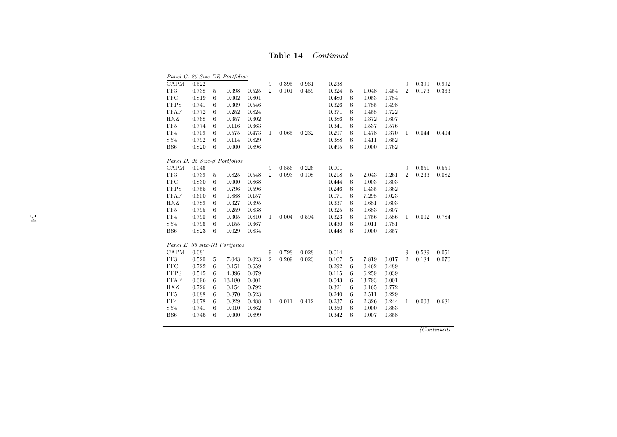## **Table 14** – *Continued*

|                 |       |                 | Panel C. 25 Size-DR Portfolios       |       |                |       |       |       |                  |        |       |                |       |       |
|-----------------|-------|-----------------|--------------------------------------|-------|----------------|-------|-------|-------|------------------|--------|-------|----------------|-------|-------|
| <b>CAPM</b>     | 0.522 |                 |                                      |       | 9              | 0.395 | 0.961 | 0.238 |                  |        |       | 9              | 0.399 | 0.992 |
| FF3             | 0.738 | 5               | 0.398                                | 0.525 | $\overline{2}$ | 0.101 | 0.459 | 0.324 | 5                | 1.048  | 0.454 | $\overline{2}$ | 0.173 | 0.363 |
| <b>FFC</b>      | 0.819 | 6               | 0.002                                | 0.801 |                |       |       | 0.480 | 6                | 0.053  | 0.784 |                |       |       |
| <b>FFPS</b>     | 0.741 | 6               | 0.309                                | 0.546 |                |       |       | 0.326 | 6                | 0.785  | 0.498 |                |       |       |
| <b>FFAF</b>     | 0.772 | 6               | 0.252                                | 0.824 |                |       |       | 0.371 | 6                | 0.458  | 0.722 |                |       |       |
| HXZ             | 0.768 | 6               | 0.357                                | 0.602 |                |       |       | 0.386 | 6                | 0.372  | 0.607 |                |       |       |
| $\rm FF5$       | 0.774 | $6\phantom{.}6$ | 0.116                                | 0.663 |                |       |       | 0.341 | 6                | 0.537  | 0.576 |                |       |       |
| ${\rm FF4}$     | 0.709 | $6\phantom{.}6$ | 0.575                                | 0.473 | 1              | 0.065 | 0.232 | 0.297 | $6\phantom{.}6$  | 1.478  | 0.370 | 1              | 0.044 | 0.404 |
| SY <sub>4</sub> | 0.792 | 6               | 0.114                                | 0.829 |                |       |       | 0.388 | 6                | 0.411  | 0.652 |                |       |       |
| BS6             | 0.820 | 6               | 0.000                                | 0.896 |                |       |       | 0.495 | 6                | 0.000  | 0.762 |                |       |       |
|                 |       |                 | Panel D. 25 Size- $\beta$ Portfolios |       |                |       |       |       |                  |        |       |                |       |       |
| CAPM            | 0.046 |                 |                                      |       | 9              | 0.856 | 0.226 | 0.001 |                  |        |       | 9              | 0.651 | 0.559 |
| FF3             | 0.739 | $5\,$           | 0.825                                | 0.548 | $\overline{2}$ | 0.093 | 0.108 | 0.218 | 5                | 2.043  | 0.261 | $\overline{2}$ | 0.233 | 0.082 |
| <b>FFC</b>      | 0.830 | $6\phantom{.}6$ | 0.000                                | 0.868 |                |       |       | 0.444 | 6                | 0.003  | 0.803 |                |       |       |
| <b>FFPS</b>     | 0.755 | 6               | 0.796                                | 0.596 |                |       |       | 0.246 | 6                | 1.435  | 0.362 |                |       |       |
| <b>FFAF</b>     | 0.600 | 6               | 1.888                                | 0.157 |                |       |       | 0.071 | 6                | 7.298  | 0.023 |                |       |       |
| HXZ             | 0.789 | $6\phantom{.}6$ | 0.327                                | 0.695 |                |       |       | 0.337 | $\boldsymbol{6}$ | 0.681  | 0.603 |                |       |       |
| $\rm FF5$       | 0.795 | $6\phantom{.}6$ | 0.259                                | 0.838 |                |       |       | 0.325 | 6                | 0.683  | 0.607 |                |       |       |
| ${\rm FF4}$     | 0.790 | 6               | 0.305                                | 0.810 | 1              | 0.004 | 0.594 | 0.323 | 6                | 0.756  | 0.586 | 1              | 0.002 | 0.784 |
| SY4             | 0.796 | $6\phantom{.}6$ | 0.155                                | 0.667 |                |       |       | 0.430 | 6                | 0.011  | 0.781 |                |       |       |
| BS6             | 0.823 | $6\phantom{.}6$ | 0.029                                | 0.834 |                |       |       | 0.448 | 6                | 0.000  | 0.857 |                |       |       |
|                 |       |                 | Panel E. 35 size-NI Portfolios       |       |                |       |       |       |                  |        |       |                |       |       |
| CAPM            | 0.081 |                 |                                      |       | 9              | 0.798 | 0.028 | 0.014 |                  |        |       | 9              | 0.589 | 0.051 |
| ${\rm FF3}$     | 0.520 | $\overline{5}$  | 7.043                                | 0.023 | $\overline{2}$ | 0.209 | 0.023 | 0.107 | 5                | 7.819  | 0.017 | $\overline{2}$ | 0.184 | 0.070 |
| ${\rm FFC}$     | 0.722 | 6               | 0.151                                | 0.659 |                |       |       | 0.292 | 6                | 0.462  | 0.489 |                |       |       |
| <b>FFPS</b>     | 0.545 | 6               | 4.396                                | 0.079 |                |       |       | 0.115 | 6                | 6.259  | 0.039 |                |       |       |
| <b>FFAF</b>     | 0.396 | 6               | 13.180                               | 0.001 |                |       |       | 0.043 | 6                | 13.793 | 0.001 |                |       |       |
| <b>HXZ</b>      | 0.726 | $6\phantom{.}6$ | 0.154                                | 0.792 |                |       |       | 0.321 | 6                | 0.165  | 0.772 |                |       |       |
| $\rm FF5$       | 0.688 | 6               | 0.870                                | 0.523 |                |       |       | 0.240 | 6                | 2.511  | 0.229 |                |       |       |
| ${\rm FF4}$     | 0.678 | 6               | 0.829                                | 0.488 | $\mathbf{1}$   | 0.011 | 0.412 | 0.237 | 6                | 2.326  | 0.244 | $\mathbf{1}$   | 0.003 | 0.681 |
|                 | 0.741 | 6               | 0.010                                | 0.862 |                |       |       | 0.350 | 6                | 0.000  | 0.863 |                |       |       |
| SY4             |       |                 |                                      |       |                |       |       |       |                  |        |       |                |       |       |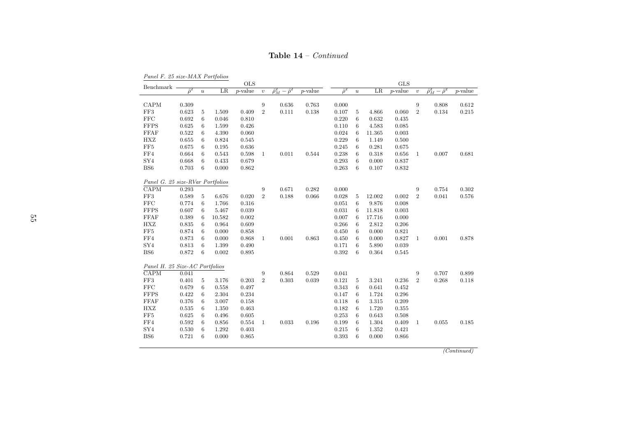**Table 14** – *Continued* 

Panel F. 25 size-MAX Portfolios

|                                        |                |                  |                | <b>OLS</b>                  |                     |                                 |                             |                |                  |         | <b>GLS</b>                  |                     |                               |                             |
|----------------------------------------|----------------|------------------|----------------|-----------------------------|---------------------|---------------------------------|-----------------------------|----------------|------------------|---------|-----------------------------|---------------------|-------------------------------|-----------------------------|
| Benchmark                              | $\hat{\rho}^2$ | $\boldsymbol{u}$ | LR             | $\overline{p\text{-value}}$ | $\upsilon$          | $\hat{\rho}_M^2 - \hat{\rho}^2$ | $\overline{p}\text{-value}$ | $\hat{\rho}^2$ | $\boldsymbol{u}$ | $_{LR}$ | $\overline{p}\text{-value}$ | $\upsilon$          | $\hat{\rho}_M^2-\hat{\rho}^2$ | $\overline{p\text{-value}}$ |
|                                        |                |                  |                |                             |                     |                                 |                             |                |                  |         |                             |                     |                               |                             |
| CAPM                                   | 0.309          |                  |                |                             | $\boldsymbol{9}$    | 0.636                           | 0.763                       | 0.000          |                  |         |                             | 9                   | 0.808                         | 0.612                       |
| FF3                                    | 0.623          | 5                | 1.509          | 0.409                       | $\,2$               | 0.111                           | 0.138                       | 0.107          | 5                | 4.866   | 0.060                       | $\boldsymbol{2}$    | 0.134                         | 0.215                       |
| <b>FFC</b>                             | 0.692          | 6                | 0.046          | 0.810                       |                     |                                 |                             | 0.220          | 6                | 0.632   | 0.435                       |                     |                               |                             |
| <b>FFPS</b>                            | 0.625          | 6                | 1.599          | 0.426                       |                     |                                 |                             | 0.110          | 6                | 4.583   | 0.085                       |                     |                               |                             |
| <b>FFAF</b>                            | 0.522          | 6                | 4.390          | 0.060                       |                     |                                 |                             | 0.024          | 6                | 11.365  | 0.003                       |                     |                               |                             |
| <b>HXZ</b>                             | 0.655          | 6                | 0.824          | 0.545                       |                     |                                 |                             | 0.229          | 6                | 1.149   | 0.500                       |                     |                               |                             |
| FF5                                    | 0.675          | 6                | 0.195          | 0.636                       |                     |                                 |                             | 0.245          | 6                | 0.281   | 0.675                       |                     |                               |                             |
| ${\rm FF4}$                            | 0.664          | 6                | 0.543          | 0.598                       | $\mathbf{1}$        | 0.011                           | 0.544                       | 0.238          | 6                | 0.318   | 0.656                       | 1                   | 0.007                         | 0.681                       |
| SY <sub>4</sub>                        | 0.668          | 6                | 0.433          | 0.679                       |                     |                                 |                             | 0.293          | 6                | 0.000   | 0.837                       |                     |                               |                             |
| BS <sub>6</sub>                        | 0.703          | 6                | 0.000          | 0.862                       |                     |                                 |                             | 0.263          | 6                | 0.107   | 0.832                       |                     |                               |                             |
|                                        |                |                  |                |                             |                     |                                 |                             |                |                  |         |                             |                     |                               |                             |
| Panel G. 25 size-RVar Portfolios       |                |                  |                |                             |                     |                                 |                             |                |                  |         |                             |                     |                               |                             |
| CAPM                                   | 0.293          |                  |                |                             | $\boldsymbol{9}$    | 0.671                           | 0.282                       | 0.000          |                  |         |                             | 9                   | 0.754                         | 0.302                       |
| $\rm FF3$                              | 0.589          | 5                | 6.676          | 0.020                       | $\overline{2}$      | 0.188                           | 0.066                       | 0.028          | 5                | 12.002  | 0.002                       | $\overline{2}$      | 0.041                         | 0.576                       |
| FFC                                    | 0.774          | $6\phantom{.}6$  | 1.766          | 0.316                       |                     |                                 |                             | 0.051          | 6                | 9.876   | 0.008                       |                     |                               |                             |
| <b>FFPS</b>                            | 0.607          | 6                | 5.467          | 0.039                       |                     |                                 |                             | 0.031          | 6                | 11.818  | 0.003                       |                     |                               |                             |
| <b>FFAF</b>                            | 0.389          | 6                | 10.582         | 0.002                       |                     |                                 |                             | 0.007          | 6                | 17.716  | 0.000                       |                     |                               |                             |
| <b>HXZ</b>                             | 0.835          | 6                | 0.964          | 0.609                       |                     |                                 |                             | 0.266          | 6                | 2.812   | 0.206                       |                     |                               |                             |
| FF5                                    | 0.874          | 6                | 0.000          | 0.858                       |                     |                                 |                             | 0.450          | 6                | 0.000   | 0.821                       |                     |                               |                             |
| FF4                                    | 0.873          | 6                | 0.000          | 0.868                       | $\mathbf{1}$        | 0.001                           | 0.863                       | 0.450          | 6                | 0.000   | 0.827                       | $\mathbf{1}$        | 0.001                         | 0.878                       |
| SY <sub>4</sub>                        | 0.813          | 6                | 1.399          | 0.490                       |                     |                                 |                             | 0.171          | 6                | 5.890   | 0.039                       |                     |                               |                             |
| BS <sub>6</sub>                        | 0.872          | $6\phantom{.}6$  | 0.002          | 0.895                       |                     |                                 |                             | 0.392          | 6                | 0.364   | 0.545                       |                     |                               |                             |
|                                        |                |                  |                |                             |                     |                                 |                             |                |                  |         |                             |                     |                               |                             |
| Panel H. 25 Size-AC Portfolios<br>CAPM | 0.041          |                  |                |                             |                     | 0.864                           | 0.529                       | 0.041          |                  |         |                             |                     | 0.707                         | 0.899                       |
| FF3                                    | 0.401          |                  |                | 0.203                       | 9<br>$\overline{2}$ | 0.303                           | 0.039                       | 0.121          | 5                | 3.241   | 0.236                       | 9<br>$\overline{2}$ | 0.268                         |                             |
| <b>FFC</b>                             | 0.679          | 5<br>6           | 3.176<br>0.558 | 0.497                       |                     |                                 |                             | 0.343          | 6                | 0.641   | 0.452                       |                     |                               | 0.118                       |
| <b>FFPS</b>                            | 0.422          | 6                | 2.304          | 0.234                       |                     |                                 |                             | 0.147          | 6                | 1.724   | 0.296                       |                     |                               |                             |
|                                        | 0.376          | 6                |                | 0.158                       |                     |                                 |                             | 0.118          | 6                |         | 0.209                       |                     |                               |                             |
| <b>FFAF</b><br><b>HXZ</b>              |                |                  | 3.007          |                             |                     |                                 |                             |                | 6                | 3.315   |                             |                     |                               |                             |
|                                        | 0.535          | 6                | 1.350          | 0.463                       |                     |                                 |                             | 0.182          |                  | 1.720   | 0.355                       |                     |                               |                             |
| FF5                                    | 0.625          | 6                | 0.496          | 0.605                       |                     |                                 |                             | 0.253          | 6                | 0.643   | 0.508                       |                     |                               |                             |
| ${\rm FF4}$                            | 0.592          | 6                | 0.856          | 0.554                       | $\mathbf{1}$        | 0.033                           | 0.196                       | 0.199          | 6                | 1.304   | 0.409                       | 1                   | 0.055                         | 0.185                       |
| SY <sub>4</sub>                        | 0.530          | 6<br>6           | 1.292          | 0.403                       |                     |                                 |                             | 0.215          | 6<br>6           | 1.352   | 0.421                       |                     |                               |                             |
| BS <sub>6</sub>                        | 0.721          |                  | 0.000          | 0.865                       |                     |                                 |                             | 0.393          |                  | 0.000   | 0.866                       |                     |                               |                             |
|                                        |                |                  |                |                             |                     |                                 |                             |                |                  |         |                             |                     |                               |                             |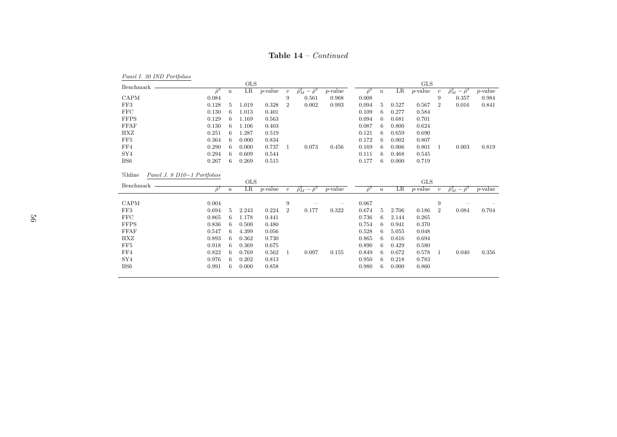| <b>Table 14</b> – <i>Continued</i> |  |
|------------------------------------|--|
|                                    |  |

| Panel I. 30 IND Portfolios            |                |                  |            |            |                  |                                 |                          |                |                  |         |            |                  |                                 |            |
|---------------------------------------|----------------|------------------|------------|------------|------------------|---------------------------------|--------------------------|----------------|------------------|---------|------------|------------------|---------------------------------|------------|
| Benchmark                             |                |                  | <b>OLS</b> |            |                  |                                 |                          |                |                  |         | <b>GLS</b> |                  |                                 |            |
|                                       | $\hat{\rho}^2$ | $\boldsymbol{u}$ | LR         | $p$ -value | $\boldsymbol{v}$ | $\hat{\rho}_M^2-\hat{\rho}^2$   | $p$ -value               | $\hat{\rho}^2$ | $\boldsymbol{u}$ | $_{LR}$ | $p$ -value | $\boldsymbol{v}$ | $\hat{\rho}_M^2 - \hat{\rho}^2$ | $p$ -value |
| CAPM                                  | 0.084          |                  |            |            | 9                | 0.561                           | 0.968                    | 0.008          |                  |         |            | 9                | 0.357                           | 0.984      |
| FF3                                   | 0.128          | 5                | 1.019      | 0.328      | $\overline{2}$   | 0.002                           | 0.993                    | 0.094          | 5                | 0.527   | 0.567      | $\overline{2}$   | 0.016                           | 0.841      |
| <b>FFC</b>                            | 0.130          | 6                | 1.013      | 0.401      |                  |                                 |                          | 0.109          | -6               | 0.277   | 0.584      |                  |                                 |            |
| <b>FFPS</b>                           | 0.129          | 6                | 1.169      | 0.563      |                  |                                 |                          | 0.094          | 6                | 0.681   | 0.701      |                  |                                 |            |
| <b>FFAF</b>                           | 0.130          | 6                | 1.106      | 0.403      |                  |                                 |                          | 0.087          | 6                | 0.800   | 0.624      |                  |                                 |            |
| <b>HXZ</b>                            | 0.251          | 6                | 1.287      | 0.519      |                  |                                 |                          | 0.121          | 6                | 0.659   | 0.690      |                  |                                 |            |
| FF5                                   | 0.364          | 6                | 0.000      | 0.834      |                  |                                 |                          | 0.172          | -6               | 0.002   | 0.807      |                  |                                 |            |
| FF4                                   | 0.290          | 6                | 0.000      | 0.737      | 1                | 0.073                           | 0.456                    | 0.169          | -6               | 0.006   | 0.801      | 1                | 0.003                           | 0.819      |
| SY <sub>4</sub>                       | 0.294          | 6                | 0.609      | 0.544      |                  |                                 |                          | 0.111          | 6                | 0.468   | 0.545      |                  |                                 |            |
| BS <sub>6</sub>                       | 0.267          | 6                | 0.269      | 0.515      |                  |                                 |                          | 0.177          | 6                | 0.000   | 0.719      |                  |                                 |            |
|                                       |                |                  |            |            |                  |                                 |                          |                |                  |         |            |                  |                                 |            |
| %hline<br>Panel J. 8 D10-1 Portfolios |                |                  |            |            |                  |                                 |                          |                |                  |         |            |                  |                                 |            |
|                                       |                |                  |            |            |                  |                                 |                          |                |                  |         |            |                  |                                 |            |
| Benchmark                             |                |                  | <b>OLS</b> |            |                  |                                 |                          |                |                  |         | <b>GLS</b> |                  |                                 |            |
|                                       | $\hat{\rho}^2$ | $\boldsymbol{u}$ | LR         | $p$ -value | $\boldsymbol{v}$ | $\hat{\rho}_M^2 - \hat{\rho}^2$ | $p$ -value               | $\hat{\rho}^2$ | $\boldsymbol{u}$ | LR      | $p$ -value | $\boldsymbol{v}$ | $\hat{\rho}_M^2-\hat{\rho}^2$   | $p$ -value |
|                                       |                |                  |            |            |                  |                                 |                          |                |                  |         |            |                  |                                 |            |
| CAPM                                  | 0.004          |                  |            |            | 9                |                                 | $\overline{\phantom{m}}$ | 0.067          |                  |         |            | 9                |                                 |            |
| FF3                                   | 0.694          | 5                | 2.243      | 0.224      | $\overline{2}$   | 0.177                           | 0.322                    | 0.674          | 5                | 2.706   | 0.186      | $\overline{2}$   | 0.084                           | 0.704      |
| FFC                                   | 0.865          | 6                | 1.178      | 0.441      |                  |                                 |                          | 0.736          | 6                | 2.144   | 0.265      |                  |                                 |            |
| <b>FFPS</b>                           | 0.836          | 6                | 0.500      | 0.480      |                  |                                 |                          | 0.754          | -6               | 0.941   | 0.370      |                  |                                 |            |
| <b>FFAF</b>                           | 0.547          | 6                | 4.399      | 0.056      |                  |                                 |                          | 0.528          | 6                | 5.055   | 0.048      |                  |                                 |            |
| <b>HXZ</b>                            | 0.893          | 6                | 0.362      | 0.730      |                  |                                 |                          | 0.865          | -6               | 0.616   | 0.694      |                  |                                 |            |
| FF5                                   | 0.918          | 6                | 0.369      | 0.675      |                  |                                 |                          | 0.890          | -6               | 0.429   | 0.580      |                  |                                 |            |
| FF4                                   | 0.822          | 6                | 0.769      | 0.562      | 1                | 0.097                           | 0.155                    | 0.849          | 6                | 0.672   | 0.578      | -1               | 0.040                           | 0.356      |
| SY <sub>4</sub>                       | 0.976          | 6                | 0.202      | 0.813      |                  |                                 |                          | 0.950          | 6                | 0.218   | 0.783      |                  |                                 |            |
| BS <sub>6</sub>                       | 0.991          | 6                | 0.000      | 0.858      |                  |                                 |                          | 0.980          | 6                | 0.000   | 0.860      |                  |                                 |            |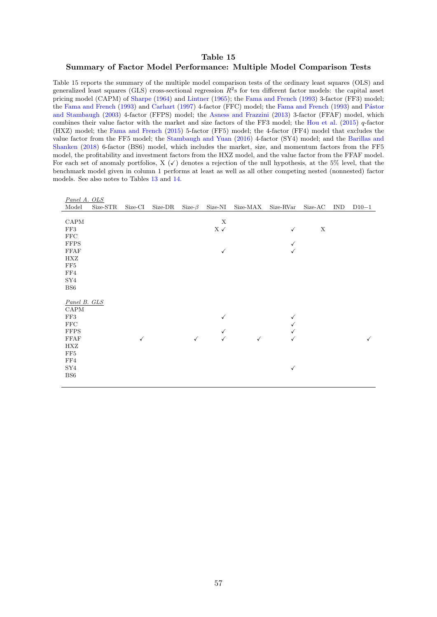#### Table 15

#### <span id="page-58-0"></span>Summary of Factor Model Performance: Multiple Model Comparison Tests

Table 15 reports the summary of the multiple model comparison tests of the ordinary least squares (OLS) and generalized least squares (GLS) cross-sectional regression  $R^2$ s for ten different factor models: the capital asset pricing model (CAPM) of [Sharpe](#page-38-1) [\(1964\)](#page-38-1) and [Lintner](#page-37-0) [\(1965\)](#page-37-0); the [Fama and French](#page-35-3) [\(1993\)](#page-35-3) 3-factor (FF3) model; the [Fama and French](#page-35-3) [\(1993\)](#page-35-3) and [Carhart](#page-34-4) [\(1997\)](#page-34-4) 4-factor (FFC) model; the Fama and French (1993) and Pástor [and Stambaugh](#page-38-2) [\(2003\)](#page-38-2) 4-factor (FFPS) model; the [Asness and Frazzini](#page-34-5) [\(2013\)](#page-34-5) 3-factor (FFAF) model, which combines their value factor with the market and size factors of the FF3 model; the [Hou et al.](#page-36-0) [\(2015\)](#page-36-0)  $q$ -factor (HXZ) model; the [Fama and French](#page-35-0) [\(2015\)](#page-35-0) 5-factor (FF5) model; the 4-factor (FF4) model that excludes the value factor from the FF5 model; the [Stambaugh and Yuan](#page-38-0) [\(2016\)](#page-38-0) 4-factor (SY4) model; and the [Barillas and](#page-34-0) [Shanken](#page-34-0) [\(2018\)](#page-34-0) 6-factor (BS6) model, which includes the market, size, and momentum factors from the FF5 model, the profitability and investment factors from the HXZ model, and the value factor from the FFAF model. For each set of anomaly portfolios, X  $(\checkmark)$  denotes a rejection of the null hypothesis, at the 5% level, that the benchmark model given in column 1 performs at least as well as all other competing nested (nonnested) factor models. See also notes to Tables [13](#page-53-0) and [14.](#page-54-0)

| Panel A. OLS    |          |              |         |               |                                    |              |              |             |            |              |
|-----------------|----------|--------------|---------|---------------|------------------------------------|--------------|--------------|-------------|------------|--------------|
| Model           | Size-STR | Size-CI      | Size-DR | Size- $\beta$ | Size-NI                            | Size-MAX     | Size-RVar    | Size-AC     | <b>IND</b> | $D10-1$      |
|                 |          |              |         |               |                                    |              |              |             |            |              |
| CAPM            |          |              |         |               | $\mathbf X$                        |              |              |             |            |              |
| FF3             |          |              |         |               | $\mathbf{X}\,\mathcal{\checkmark}$ |              | ✓            | $\mathbf X$ |            |              |
| FFC             |          |              |         |               |                                    |              |              |             |            |              |
| <b>FFPS</b>     |          |              |         |               |                                    |              | $\checkmark$ |             |            |              |
| <b>FFAF</b>     |          |              |         |               | $\checkmark$                       |              | ✓            |             |            |              |
| HXZ             |          |              |         |               |                                    |              |              |             |            |              |
| FF5             |          |              |         |               |                                    |              |              |             |            |              |
| FF4             |          |              |         |               |                                    |              |              |             |            |              |
| SY4             |          |              |         |               |                                    |              |              |             |            |              |
| BS <sub>6</sub> |          |              |         |               |                                    |              |              |             |            |              |
|                 |          |              |         |               |                                    |              |              |             |            |              |
| Panel B. GLS    |          |              |         |               |                                    |              |              |             |            |              |
| CAPM            |          |              |         |               |                                    |              |              |             |            |              |
| FF3             |          |              |         |               | √                                  |              | ✓            |             |            |              |
| FFC             |          |              |         |               |                                    |              | $\checkmark$ |             |            |              |
| <b>FFPS</b>     |          |              |         |               | ✓                                  |              | ✓            |             |            |              |
| FFAF            |          | $\checkmark$ |         | $\checkmark$  | $\checkmark$                       | $\checkmark$ | $\checkmark$ |             |            | $\checkmark$ |
| HXZ             |          |              |         |               |                                    |              |              |             |            |              |
| FF5             |          |              |         |               |                                    |              |              |             |            |              |
| FF4             |          |              |         |               |                                    |              |              |             |            |              |
| SY4             |          |              |         |               |                                    |              | $\checkmark$ |             |            |              |
| BS <sub>6</sub> |          |              |         |               |                                    |              |              |             |            |              |
|                 |          |              |         |               |                                    |              |              |             |            |              |